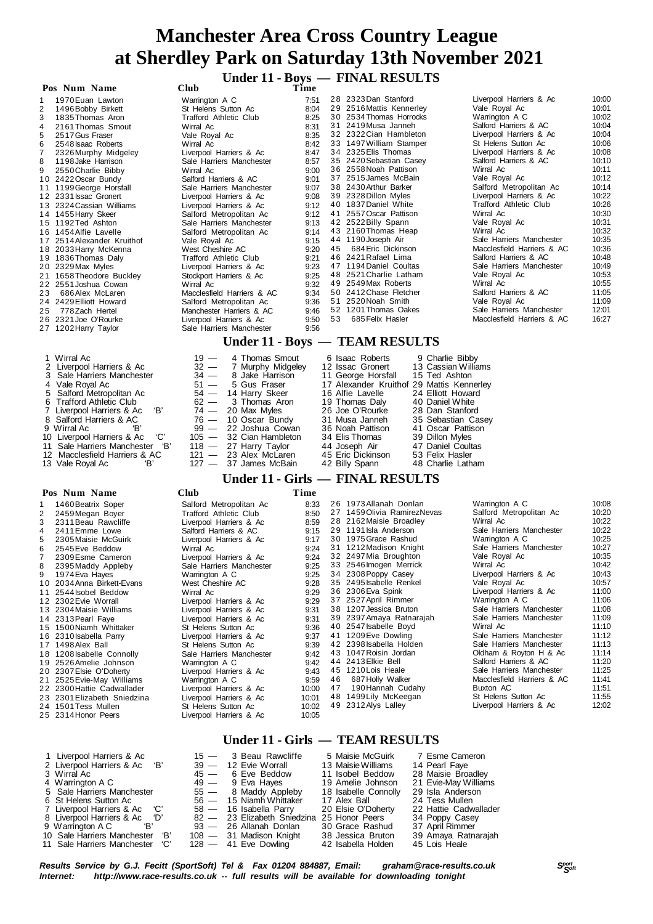# **Under 11 - Boys — FINAL RESULTS**

 **Pos Num** 

|    | Pos Num Name               | Club                          | Time |    |                          |                            |       |
|----|----------------------------|-------------------------------|------|----|--------------------------|----------------------------|-------|
|    | 1970 Euan Lawton           | Warrington A C                | 7:51 |    | 28 2323 Dan Stanford     | Liverpool Harriers & Ac    | 10:00 |
| 2  | 1496 Bobby Birkett         | St Helens Sutton Ac           | 8:04 |    | 29 2516 Mattis Kennerley | Vale Royal Ac              | 10:01 |
| 3  | 1835 Thomas Aron           | <b>Trafford Athletic Club</b> | 8:25 |    | 30 2534 Thomas Horrocks  | Warrington A C             | 10:02 |
| 4  | 2161 Thomas Smout          | Wirral Ac                     | 8:31 |    | 31 2419 Musa Janneh      | Salford Harriers & AC      | 10:04 |
| 5  | 2517 Gus Fraser            | Vale Royal Ac                 | 8:35 |    | 32 2322 Cian Hambleton   | Liverpool Harriers & Ac    | 10:04 |
| 6  | 2548 Isaac Roberts         | Wirral Ac                     | 8:42 |    | 33 1497 William Stamper  | St Helens Sutton Ac        | 10:06 |
| 7  | 2326 Murphy Midgeley       | Liverpool Harriers & Ac       | 8:47 |    | 34 2325 Elis Thomas      | Liverpool Harriers & Ac    | 10:08 |
| 8  | 1198 Jake Harrison         | Sale Harriers Manchester      | 8:57 |    | 35 2420 Sebastian Casey  | Salford Harriers & AC      | 10:10 |
| 9  | 2550 Charlie Bibby         | Wirral Ac                     | 9:00 |    | 36 2558 Noah Pattison    | Wirral Ac                  | 10:11 |
|    | 10 2422 Oscar Bundy        | Salford Harriers & AC         | 9:01 |    | 37 2515 James McBain     | Vale Royal Ac              | 10:12 |
|    | 11 1199 George Horsfall    | Sale Harriers Manchester      | 9:07 |    | 38 2430 Arthur Barker    | Salford Metropolitan Ac    | 10:14 |
|    | 12 2331 Issac Gronert      | Liverpool Harriers & Ac       | 9:08 |    | 39 2328 Dillon Myles     | Liverpool Harriers & Ac    | 10:22 |
|    | 13 2324 Cassian Williams   | Liverpool Harriers & Ac       | 9:12 |    | 40 1837 Daniel White     | Trafford Athletic Club     | 10:26 |
|    | 14 1455 Harry Skeer        | Salford Metropolitan Ac       | 9:12 |    | 41 2557 Oscar Pattison   | Wirral Ac                  | 10:30 |
|    | 15 1192 Ted Ashton         | Sale Harriers Manchester      | 9:13 |    | 42 2522 Billy Spann      | Vale Royal Ac              | 10:31 |
|    | 16 1454 Alfie Lavelle      | Salford Metropolitan Ac       | 9:14 |    | 43 2160 Thomas Heap      | Wirral Ac                  | 10:32 |
|    | 17 2514 Alexander Kruithof | Vale Royal Ac                 | 9:15 |    | 44 1190 Joseph Air       | Sale Harriers Manchester   | 10:35 |
|    | 18 2033 Harry McKenna      | West Cheshire AC              | 9:20 | 45 | 684 Eric Dickinson       | Macclesfield Harriers & AC | 10:36 |
|    | 19 1836 Thomas Daly        | Trafford Athletic Club        | 9:21 |    | 46 2421 Rafael Lima      | Salford Harriers & AC      | 10:48 |
|    | 20 2329 Max Myles          | Liverpool Harriers & Ac       | 9:23 |    | 47 1194 Daniel Coultas   | Sale Harriers Manchester   | 10:49 |
|    | 21 1658 Theodore Buckley   | Stockport Harriers & Ac       | 9:25 |    | 48 2521 Charlie Latham   | Vale Royal Ac              | 10:53 |
|    | 22 2551 Joshua Cowan       | Wirral Ac                     | 9:32 |    | 49 2549 Max Roberts      | Wirral Ac                  | 10:55 |
| 23 | 686 Alex McLaren           | Macclesfield Harriers & AC    | 9:34 |    | 50 2412 Chase Fletcher   | Salford Harriers & AC      | 11:05 |
|    | 24 2429 Elliott Howard     | Salford Metropolitan Ac       | 9:36 |    | 51 2520 Noah Smith       | Vale Royal Ac              | 11:09 |
| 25 | 778 Zach Hertel            | Manchester Harriers & AC      | 9:46 |    | 52 1201 Thomas Oakes     | Sale Harriers Manchester   | 12:01 |
|    | 26 2321 Joe O'Rourke       | Liverpool Harriers & Ac       | 9:50 | 53 | 685 Felix Hasler         | Macclesfield Harriers & AC | 16:27 |
|    | 27 1202 Harry Taylor       | Sale Harriers Manchester      | 9:56 |    |                          |                            |       |

### **Under 11 - Boys — TEAM RESULTS**

| 1 Wirral Ac<br>2 Liverpool Harriers & Ac<br>3 Sale Harriers Manchester<br>4 Vale Royal Ac<br>5 Salford Metropolitan Ac<br>6 Trafford Athletic Club<br>7 Liverpool Harriers & Ac 'B'<br>8 Salford Harriers & AC<br>10 Liverpool Harriers & Ac<br>"С'<br>11 Sale Harriers Manchester 'B' | $19 - 4$ Thomas Smout<br>32 - 7 Murphy Midgeley<br>$34 - 8$ Jake Harrison<br>$51 - 5$ Gus Fraser<br>54 - 14 Harry Skeer<br>$62 - 3$ Thomas Aron<br>$74 - 20$ Max Myles<br>$76 - 10$ Oscar Bundy<br>99 — 22 Joshua Cowan<br>105 - 32 Cian Hambleton<br>$118 - 27$ Harry Taylor | 6 Isaac Roberts<br>12 Issac Gronert<br>11 George Horsfall<br>17 Alexander Kruithof 29 Mattis Kennerley<br>16 Alfie Lavelle<br>19 Thomas Daly<br>26 Joe O'Rourke<br>31 Musa Janneh<br>36 Noah Pattison<br>34 Elis Thomas<br>44 Joseph Air | 9 Charlie Bibby<br>13 Cassian Williams<br>15 Ted Ashton<br>24 Elliott Howard<br>40 Daniel White<br>28 Dan Stanford<br>35 Sebastian Casey<br>41 Oscar Pattison<br>39 Dillon Myles<br>47 Daniel Coultas |
|----------------------------------------------------------------------------------------------------------------------------------------------------------------------------------------------------------------------------------------------------------------------------------------|-------------------------------------------------------------------------------------------------------------------------------------------------------------------------------------------------------------------------------------------------------------------------------|------------------------------------------------------------------------------------------------------------------------------------------------------------------------------------------------------------------------------------------|-------------------------------------------------------------------------------------------------------------------------------------------------------------------------------------------------------|
| 12 Macclesfield Harriers & AC<br>'B<br>13 Vale Royal Ac                                                                                                                                                                                                                                | $121 - 23$ Alex McLaren<br>$127 - 37$ James McBain                                                                                                                                                                                                                            | 45 Eric Dickinson<br>42 Billy Spann                                                                                                                                                                                                      | 53 Felix Hasler<br>48 Charlie Latham                                                                                                                                                                  |

### **Under 11 - Girls — FINAL RESULTS**

|  | m |
|--|---|
|  |   |

|   | Pos Num Name                | <b>Club</b>              | Time  |    |                              |                            |       |
|---|-----------------------------|--------------------------|-------|----|------------------------------|----------------------------|-------|
|   | 1460 Beatrix Soper          | Salford Metropolitan Ac  | 8:33  |    | 26 1973 Allanah Donlan       | Warrington A C             | 10:08 |
| 2 | 2459 Megan Boyer            | Trafford Athletic Club   | 8:50  |    | 27 1459 Olivia Ramirez Nevas | Salford Metropolitan Ac    | 10:20 |
|   | 2311 Beau Rawcliffe         | Liverpool Harriers & Ac  | 8.59  |    | 28 2162 Maisie Broadley      | Wirral Ac                  | 10:22 |
| 4 | 2411 Emme Lowe              | Salford Harriers & AC    | 9:15  |    | 29 1191 Isla Anderson        | Sale Harriers Manchester   | 10:22 |
| 5 | 2305 Maisie McGuirk         | Liverpool Harriers & Ac  | 9:17  |    | 30 1975 Grace Rashud         | Warrington A C             | 10:25 |
| 6 | 2545 Eve Beddow             | Wirral Ac                | 9:24  |    | 31 1212 Madison Knight       | Sale Harriers Manchester   | 10:27 |
| 7 | 2309 Esme Cameron           | Liverpool Harriers & Ac  | 9:24  |    | 32 2497 Mia Broughton        | Vale Royal Ac              | 10:35 |
| 8 | 2395 Maddy Appleby          | Sale Harriers Manchester | 9:25  |    | 33 2546 Imogen Merrick       | Wirral Ac                  | 10:42 |
| 9 | 1974 Eva Hayes              | Warrington A C           | 9:25  |    | 34 2308 Poppy Casey          | Liverpool Harriers & Ac    | 10:43 |
|   | 10 2034 Anna Birkett-Evans  | West Cheshire AC         | 9:28  |    | 35 2495 Isabelle Renkel      | Vale Royal Ac              | 10:57 |
|   | 11 2544 sobel Beddow        | Wirral Ac                | 9:29  |    | 36 2306 Eva Spink            | Liverpool Harriers & Ac    | 11:00 |
|   | 12 2302 Evie Worrall        | Liverpool Harriers & Ac  | 9:29  |    | 37 2527 April Rimmer         | Warrington A C             | 11:06 |
|   | 13 2304 Maisie Williams     | Liverpool Harriers & Ac  | 9:31  |    | 38 1207 Jessica Bruton       | Sale Harriers Manchester   | 11:08 |
|   | 14 2313 Pearl Faye          | Liverpool Harriers & Ac  | 9:31  |    | 39 2397 Amaya Ratnarajah     | Sale Harriers Manchester   | 11:09 |
|   | 15 1500 Niamh Whittaker     | St Helens Sutton Ac      | 9:36  |    | 40 2547 Isabelle Boyd        | Wirral Ac                  | 11:10 |
|   | 16 2310 Isabella Parry      | Liverpool Harriers & Ac  | 9:37  |    | 41 1209 Eve Dowling          | Sale Harriers Manchester   | 11:12 |
|   | 17 1498 Alex Ball           | St Helens Sutton Ac      | 9:39  |    | 42 2398 Isabella Holden      | Sale Harriers Manchester   | 11:13 |
|   | 18 1208 Isabelle Connolly   | Sale Harriers Manchester | 9:42  |    | 43 1047 Roisin Jordan        | Oldham & Royton H & Ac     | 11:14 |
|   | 19 2526 Amelie Johnson      | Warrington A C           | 9:42  |    | 44 2413 Elkie Bell           | Salford Harriers & AC      | 11:20 |
|   | 20 2307 Elsie O'Doherty     | Liverpool Harriers & Ac  | 9:43  |    | 45 1210 Lois Heale           | Sale Harriers Manchester   | 11:25 |
|   | 21 2525 Evie-May Williams   | Warrington A C           | 9:59  | 46 | 687 Holly Walker             | Macclesfield Harriers & AC | 11:41 |
|   | 22 2300 Hattie Cadwallader  | Liverpool Harriers & Ac  | 10:00 | 47 | 190 Hannah Cudahy            | Buxton AC                  | 11:51 |
|   | 23 2301 Elizabeth Sniedzina | Liverpool Harriers & Ac  | 10:01 |    | 48 1499 Lily McKeegan        | St Helens Sutton Ac        | 11:55 |
|   | 24 1501 Tess Mullen         | St Helens Sutton Ac      | 10:02 |    | 49 2312 Alys Lalley          | Liverpool Harriers & Ac    | 12:02 |
|   | 25 2314 Honor Peers         | Liverpool Harriers & Ac  | 10:05 |    |                              |                            |       |

#### **Under 11 - Girls — TEAM RESULTS**

| 1 Liverpool Harriers & Ac       |               |  | $15 - 3$ Beau Rawcliffe     | 5 Maisie McGuirk     | 7 Esme Cameron        |
|---------------------------------|---------------|--|-----------------------------|----------------------|-----------------------|
|                                 |               |  |                             |                      |                       |
| 2 Liverpool Harriers & Ac 'B'   |               |  | $39 - 12$ Evie Worrall      | 13 Maisie Williams   | 14 Pearl Faye         |
| 3 Wirral Ac                     |               |  | $45 - 6$ Eve Beddow         | 11 Isobel Beddow     | 28 Maisie Broadley    |
| 4 Warrington A C                |               |  | 49 — 9 Eva Haves            | 19 Amelie Johnson    | 21 Evie-May Williams  |
| 5 Sale Harriers Manchester      |               |  | 55 - 8 Maddy Appleby        | 18 Isabelle Connolly | 29 Isla Anderson      |
| 6 St Helens Sutton Ac           |               |  | 56 - 15 Niamh Whittaker     | 17 Alex Ball         | 24 Tess Mullen        |
| 7 Liverpool Harriers & Ac 'C'   |               |  | 58 - 16 Isabella Parry      | 20 Elsie O'Doherty   | 22 Hattie Cadwallader |
| 8 Liverpool Harriers & Ac 'D'   |               |  | 82 - 23 Elizabeth Sniedzina | 25 Honor Peers       | 34 Poppy Casey        |
| 9 Warrington A C                | e and the "B" |  | 93 — 26 Allanah Donlan      | 30 Grace Rashud      | 37 April Rimmer       |
| 10 Sale Harriers Manchester 'B' |               |  | 108 - 31 Madison Knight     | 38 Jessica Bruton    | 39 Amaya Ratnarajah   |
| 11 Sale Harriers Manchester 'C' |               |  | $128 - 41$ Eve Dowling      | 42 Isabella Holden   | 45 Lois Heale         |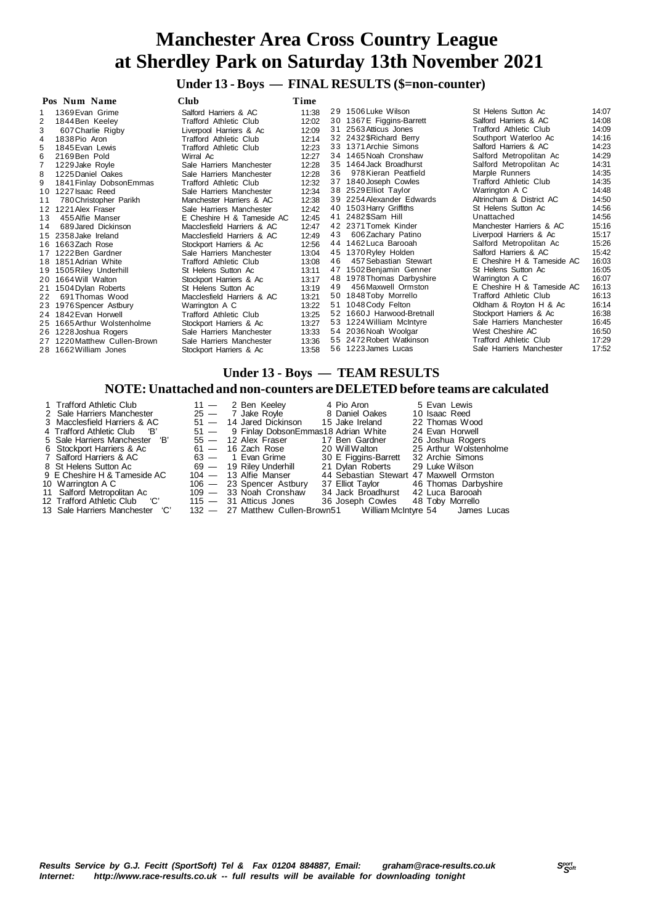# **Under 13 - Boys — FINAL RESULTS (\$=non-counter)**

|     | Pos Num Name                 | Club                          | Time  |    |                           |                               |                |
|-----|------------------------------|-------------------------------|-------|----|---------------------------|-------------------------------|----------------|
| 1   | 1369 Evan Grime              | Salford Harriers & AC         | 11:38 |    | 29 1506 Luke Wilson       | St Helens Sutton Ac           | 14:07          |
|     | 1844 Ben Keelev              | Trafford Athletic Club        | 12:02 |    | 30 1367E Figgins-Barrett  | Salford Harriers & AC         | 14:08          |
| 3   | 607 Charlie Rigby            | Liverpool Harriers & Ac       | 12:09 |    | 31 2563 Atticus Jones     | Trafford Athletic Club        | 14:09          |
| 4   | 1838 Pio Aron                | Trafford Athletic Club        | 12:14 |    | 32 2432 \$Richard Berry   | Southport Waterloo Ac         | 14:16          |
| 5   | 1845 Evan Lewis              | <b>Trafford Athletic Club</b> | 12:23 |    | 33 1371 Archie Simons     | Salford Harriers & AC         | 14:23          |
| 6   | 2169 Ben Pold                | Wirral Ac                     | 12:27 |    | 34 1465 Noah Cronshaw     | Salford Metropolitan Ac       | 14:29          |
|     | 1229 Jake Royle              | Sale Harriers Manchester      | 12:28 |    | 35 1464 Jack Broadhurst   | Salford Metropolitan Ac       | 14:31          |
| 8   | 1225 Daniel Oakes            | Sale Harriers Manchester      | 12:28 | 36 | 978 Kieran Peatfield      | Marple Runners                | 14:35          |
| 9   | 1841 Finlay Dobson Emmas     | Trafford Athletic Club        | 12:32 |    | 37 1840 Joseph Cowles     | <b>Trafford Athletic Club</b> | 14:35          |
| 10  | 1227 Isaac Reed              | Sale Harriers Manchester      | 12:34 |    | 38 2529 Elliot Taylor     | Warrington A C                | 14:48          |
| 11  | 780 Christopher Parikh       | Manchester Harriers & AC      | 12:38 |    | 39 2254 Alexander Edwards | Altrincham & District AC      | 14:50          |
| 12  | 1221 Alex Fraser             | Sale Harriers Manchester      | 12:42 | 40 | 1503 Harry Griffiths      | St Helens Sutton Ac           | 14:56          |
| 13  | 455 Alfie Manser             | E Cheshire H & Tameside AC    | 12:45 |    | 41 2482\$Sam Hill         | Unattached                    | 14:56          |
| 14  | 689 Jared Dickinson          | Macclesfield Harriers & AC    | 12:47 |    | 42 2371 Tomek Kinder      | Manchester Harriers & AC      | 15:16          |
|     | 15 2358 Jake Ireland         | Macclesfield Harriers & AC    | 12:49 | 43 | 606 Zachary Patino        | Liverpool Harriers & Ac       | 15:17          |
| 16. | 1663Zach Rose                | Stockport Harriers & Ac       | 12:56 |    | 44 1462 Luca Barooah      | Salford Metropolitan Ac       | 15:26          |
| 17  | 1222 Ben Gardner             | Sale Harriers Manchester      | 13:04 |    | 45 1370 Ryley Holden      | Salford Harriers & AC         | 15:42          |
|     | 18 1851 Adrian White         | Trafford Athletic Club        | 13:08 | 46 | 457 Sebastian Stewart     | E Cheshire H & Tameside AC    | 16:03          |
|     | 19 1505 Riley Underhill      | St Helens Sutton Ac           | 13:11 | 47 | 1502 Benjamin Genner      | St Helens Sutton Ac           | 16:05          |
| 20  | 1664 Will Walton             | Stockport Harriers & Ac       | 13:17 |    | 48 1978 Thomas Darbyshire | Warrington A C                | 16:07          |
| 21  | 1504 Dylan Roberts           | St Helens Sutton Ac           | 13:19 | 49 | 456 Maxwell Ormston       | E Cheshire H & Tameside AC    | 16:13          |
| 22  | 691 Thomas Wood              | Macclesfield Harriers & AC    | 13:21 |    | 50 1848 Toby Morrello     | <b>Trafford Athletic Club</b> | 16:13          |
| 23  | 1976 Spencer Astbury         | Warrington A C                | 13:22 |    | 51 1048 Cody Felton       | Oldham & Royton H & Ac        | 16:14          |
|     | 24 1842 Evan Horwell         | Trafford Athletic Club        | 13:25 | 52 | 1660J Harwood-Bretnall    | Stockport Harriers & Ac       | 16:38          |
|     | 25 1665 Arthur Wolstenholme  | Stockport Harriers & Ac       | 13:27 |    | 53 1224 William McIntyre  | Sale Harriers Manchester      | 16:45          |
|     | 26 1228 Joshua Rogers        | Sale Harriers Manchester      | 13:33 |    | 54 2036 Noah Woolgar      | West Cheshire AC              | 16:50          |
|     | 27 1220 Matthew Cullen-Brown | Sale Harriers Manchester      | 13:36 |    | 55 2472 Robert Watkinson  | Trafford Athletic Club        | 17:29<br>17:52 |
|     | 28 1662 William Jones        | Stockport Harriers & Ac       | 13:58 |    | 56 1223 James Lucas       | Sale Harriers Manchester      |                |

### **Under 13 - Boys — TEAM RESULTS**

### **NOTE: Unattached and non-counters are DELETED before teams are calculated**

| 1 Trafford Athletic Club        | 5 Evan Lewis<br>4 Pio Aron<br>11 — 2 Ben Keeley                    |
|---------------------------------|--------------------------------------------------------------------|
| 2 Sale Harriers Manchester      | 25 - 7 Jake Royle 8 Daniel Oakes<br>10 Isaac Reed                  |
| 3 Macclesfield Harriers & AC    | 51 - 14 Jared Dickinson<br>15 Jake Ireland<br>22 Thomas Wood       |
| 4 Trafford Athletic Club B'     | 51 - 9 Finlay Dobson Emmas 18 Adrian White<br>24 Evan Horwell      |
| 5 Sale Harriers Manchester 'B'  | 55 - 12 Alex Fraser<br>26 Joshua Rogers<br>17 Ben Gardner          |
| 6 Stockport Harriers & Ac       | 25 Arthur Wolstenholme<br>20 WillWalton<br>$61 - 16$ Zach Rose     |
| 7 Salford Harriers & AC         | 30 E Figgins-Barrett<br>32 Archie Simons<br>$63 - 1$ Evan Grime    |
| 8 St Helens Sutton Ac           | 21 Dylan Roberts 29 Luke Wilson<br>69 - 19 Riley Underhill         |
| 9 E Cheshire H & Tameside AC    | 44 Sebastian Stewart 47 Maxwell Ormston<br>$104 - 13$ Alfie Manser |
| 10 Warrington A C               | 106 - 23 Spencer Astbury<br>37 Elliot Taylor 46 Thomas Darbyshire  |
| 11 Salford Metropolitan Ac      | 109 - 33 Noah Cronshaw<br>34 Jack Broadhurst 42 Luca Barooah       |
| 12 Trafford Athletic Club (C)   | 115 - 31 Atticus Jones 36 Joseph Cowles 48 Toby Morrello           |
| 13 Sale Harriers Manchester 'C' | 132 - 27 Matthew Cullen-Brown51 William McIntyre 54 James Lucas    |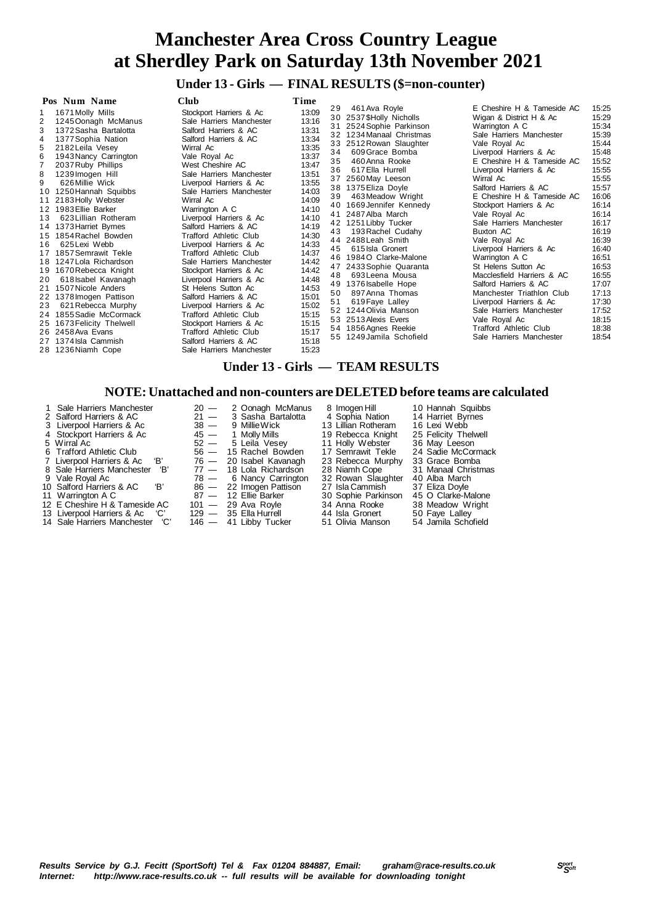## **Under 13 - Girls — FINAL RESULTS (\$=non-counter)**

| Pos Num Name                                                                                                                                                                                                                                                                                                                                                                                                                                                                                                                                                                                                                                                                                                                                                               | Club                                                                                                                                                                                                                                                                                                                                                                                                                                                                                                                                                                                                                                                                                                                                      | Time                                                                                                                                                                                                                                                     |                                                                                        |                                                                                                                                                                                                                                                                                                                                                                                                                                                                                                                                                                                                                               |                                                                                                                                                                                                                                                                                                                                                                                                                                                                                                                                                                                                                                                                                 |                                                                                                                                                                                                                                                 |
|----------------------------------------------------------------------------------------------------------------------------------------------------------------------------------------------------------------------------------------------------------------------------------------------------------------------------------------------------------------------------------------------------------------------------------------------------------------------------------------------------------------------------------------------------------------------------------------------------------------------------------------------------------------------------------------------------------------------------------------------------------------------------|-------------------------------------------------------------------------------------------------------------------------------------------------------------------------------------------------------------------------------------------------------------------------------------------------------------------------------------------------------------------------------------------------------------------------------------------------------------------------------------------------------------------------------------------------------------------------------------------------------------------------------------------------------------------------------------------------------------------------------------------|----------------------------------------------------------------------------------------------------------------------------------------------------------------------------------------------------------------------------------------------------------|----------------------------------------------------------------------------------------|-------------------------------------------------------------------------------------------------------------------------------------------------------------------------------------------------------------------------------------------------------------------------------------------------------------------------------------------------------------------------------------------------------------------------------------------------------------------------------------------------------------------------------------------------------------------------------------------------------------------------------|---------------------------------------------------------------------------------------------------------------------------------------------------------------------------------------------------------------------------------------------------------------------------------------------------------------------------------------------------------------------------------------------------------------------------------------------------------------------------------------------------------------------------------------------------------------------------------------------------------------------------------------------------------------------------------|-------------------------------------------------------------------------------------------------------------------------------------------------------------------------------------------------------------------------------------------------|
| 1671 Molly Mills<br>2<br>1245 Oonagh McManus<br>3<br>1372 Sasha Bartalotta<br>1377 Sophia Nation<br>2182 Leila Vesey<br>5<br>1943 Nancy Carrington<br>2037 Ruby Phillips<br>8<br>1239 Imogen Hill<br>9<br>626 Millie Wick<br>1250 Hannah Squibbs<br>10<br>2183 Holly Webster<br>11<br>1983 Ellie Barker<br>12<br>623 Lillian Rotheram<br>13<br>1373 Harriet Byrnes<br>14<br>1854 Rachel Bowden<br>15<br>625 Lexi Webb<br>16<br>1857 Semrawit Tekle<br>17<br>18 1247 Lola Richardson<br>1670 Rebecca Knight<br>19<br>618 Isabel Kavanagh<br>20<br>1507 Nicole Anders<br>21<br>1378 Imogen Pattison<br>22<br>621 Rebecca Murphy<br>23<br>1855 Sadie McCormack<br>24<br>1673 Felicity Thelwell<br>25<br>26 2458 Ava Evans<br>1374 Isla Cammish<br>27<br>1236 Niamh Cope<br>28 | Stockport Harriers & Ac<br>Sale Harriers Manchester<br>Salford Harriers & AC<br>Salford Harriers & AC<br>Wirral Ac<br>Vale Royal Ac<br>West Cheshire AC<br>Sale Harriers Manchester<br>Liverpool Harriers & Ac<br>Sale Harriers Manchester<br>Wirral Ac<br>Warrington A C<br>Liverpool Harriers & Ac<br>Salford Harriers & AC<br><b>Trafford Athletic Club</b><br>Liverpool Harriers & Ac<br><b>Trafford Athletic Club</b><br>Sale Harriers Manchester<br>Stockport Harriers & Ac<br>Liverpool Harriers & Ac<br>St Helens Sutton Ac<br>Salford Harriers & AC<br>Liverpool Harriers & Ac<br><b>Trafford Athletic Club</b><br>Stockport Harriers & Ac<br><b>Trafford Athletic Club</b><br>Salford Harriers & AC<br>Sale Harriers Manchester | 13:09<br>13:16<br>13:31<br>13:34<br>13:35<br>13:37<br>13:47<br>13:51<br>13:55<br>14:03<br>14:09<br>14:10<br>14:10<br>14:19<br>14:30<br>14:33<br>14:37<br>14:42<br>14:42<br>14:48<br>14:53<br>15:01<br>15:02<br>15:15<br>15:15<br>15:17<br>15:18<br>15:23 | 29<br>31<br>34<br>35<br>36<br>39<br>42<br>43<br>44<br>45<br>46<br>48<br>50<br>51<br>52 | 461 Ava Rovle<br>30 2537 \$Holly Nicholls<br>2524 Sophie Parkinson<br>32 1234 Manaal Christmas<br>33 2512 Rowan Slaughter<br>609 Grace Bomba<br>460 Anna Rooke<br>617 Ella Hurrell<br>37 2560 May Leeson<br>38 1375 Eliza Doyle<br>463 Meadow Wright<br>40 1669 Jennifer Kennedy<br>41 2487 Alba March<br>1251 Libby Tucker<br>193 Rachel Cudahy<br>2488 Leah Smith<br>615 Isla Gronert<br>1984O Clarke-Malone<br>47 2433 Sophie Quaranta<br>693 Leena Mousa<br>49 1376 Isabelle Hope<br>897 Anna Thomas<br>619 Faye Lalley<br>1244 Olivia Manson<br>53 2513 Alexis Evers<br>54 1856 Agnes Reekie<br>55 1249 Jamila Schofield | E Cheshire H & Tameside AC<br>Wigan & District H & Ac<br>Warrington A C<br>Sale Harriers Manchester<br>Vale Royal Ac<br>Liverpool Harriers & Ac<br>E Cheshire H & Tameside AC<br>Liverpool Harriers & Ac<br>Wirral Ac<br>Salford Harriers & AC<br>E Cheshire H & Tameside AC<br>Stockport Harriers & Ac<br>Vale Royal Ac<br>Sale Harriers Manchester<br>Buxton AC<br>Vale Roval Ac<br>Liverpool Harriers & Ac<br>Warrington A C<br>St Helens Sutton Ac<br>Macclesfield Harriers & AC<br>Salford Harriers & AC<br>Manchester Triathlon Club<br>Liverpool Harriers & Ac<br>Sale Harriers Manchester<br>Vale Royal Ac<br><b>Trafford Athletic Club</b><br>Sale Harriers Manchester | 15:25<br>15:29<br>15:34<br>15:39<br>15:44<br>15:48<br>15:52<br>15:55<br>15:55<br>15:57<br>16:06<br>16:14<br>16:14<br>16:17<br>16:19<br>16:39<br>16:40<br>16:51<br>16:53<br>16:55<br>17:07<br>17:13<br>17:30<br>17:52<br>18:15<br>18:38<br>18:54 |

## **Under 13 - Girls — TEAM RESULTS**

### **NOTE: Unattached and non-counters are DELETED before teams are calculated**

| 1 Sale Harriers Manchester        | $20 -$ | 2 Oonagh McManus          | 8 Imoaen Hill       | 10 Hannah Squibbs    |
|-----------------------------------|--------|---------------------------|---------------------|----------------------|
| 2 Salford Harriers & AC           | $21 -$ | 3 Sasha Bartalotta        | 4 Sophia Nation     | 14 Harriet Byrnes    |
| 3 Liverpool Harriers & Ac         | $38 -$ | 9 MillieWick              | 13 Lillian Rotheram | 16 Lexi Webb         |
| 4 Stockport Harriers & Ac         |        | $45 - 1$ Molly Mills      | 19 Rebecca Knight   | 25 Felicity Thelwell |
| 5 Wirral Ac                       |        | $52 - 5$ Leila Vesey      | 11 Holly Webster    | 36 May Leeson        |
| 6 Trafford Athletic Club          |        | 56 - 15 Rachel Bowden     | 17 Semrawit Tekle   | 24 Sadie McCormack   |
| 'В'<br>7 Liverpool Harriers & Ac  |        | 76 — 20 Isabel Kavanagh   | 23 Rebecca Murphy   | 33 Grace Bomba       |
| 'B'<br>8 Sale Harriers Manchester |        | $77 - 18$ Lola Richardson | 28 Niamh Cope       | 31 Manaal Christmas  |
| 9 Vale Royal Ac                   |        | $78 - 6$ Nancy Carrington | 32 Rowan Slaughter  | 40 Alba March        |
| 10 Salford Harriers & AC<br>'B'   |        | 86 - 22 Imogen Pattison   | 27 Isla Cammish     | 37 Eliza Doyle       |
| 11 Warrington A C                 |        | 87 - 12 Ellie Barker      | 30 Sophie Parkinson | 45 O Clarke-Malone   |
| 12 E Cheshire H & Tameside AC     |        | $101 - 29$ Ava Royle      | 34 Anna Rooke       | 38 Meadow Wright     |
| 13 Liverpool Harriers & Ac 'C'    |        | $129 - 35$ Ella Hurrell   | 44 Isla Gronert     | 50 Faye Lalley       |
| 14 Sale Harriers Manchester 'C'   |        | 146 - 41 Libby Tucker     | 51 Olivia Manson    | 54 Jamila Schofield  |

den 17 Semrawit Tekle 24 Sadie McCormack<br>hagh 23 Rebecca Murphy 33 Grace Bomba<br>Ison 28 Niamh Cope 31 Manaal Christmas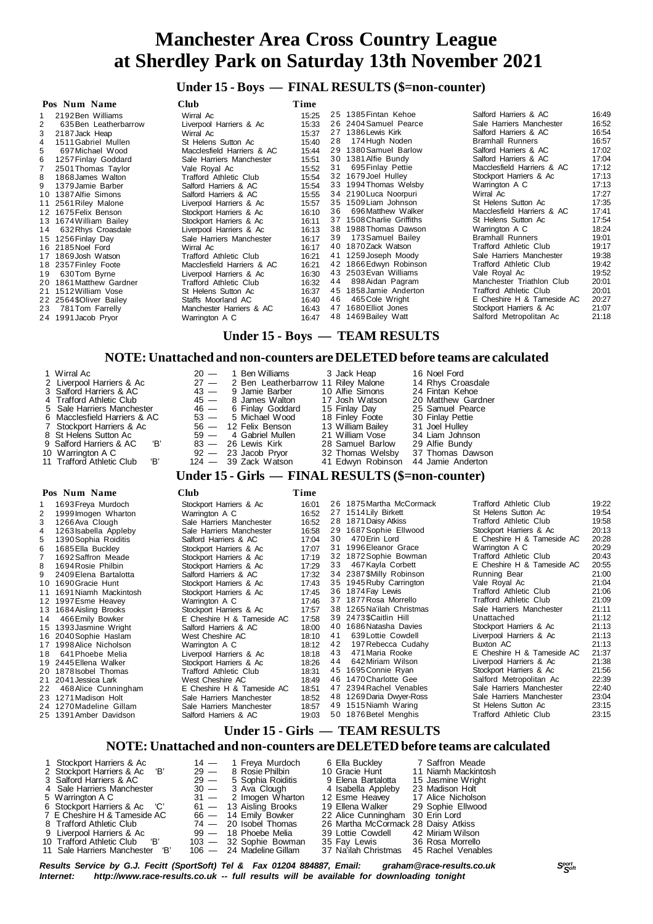## **Under 15 - Boys — FINAL RESULTS (\$=non-counter)**

|     | Pos Num Name            | <b>Club</b>                   | Time  |    |                           |                               |       |
|-----|-------------------------|-------------------------------|-------|----|---------------------------|-------------------------------|-------|
|     | 2192 Ben Williams       | Wirral Ac                     | 15:25 |    | 25 1385 Fintan Kehoe      | Salford Harriers & AC         | 16:49 |
| 2   | 635 Ben Leatherbarrow   | Liverpool Harriers & Ac       | 15:33 |    | 26 2404 Samuel Pearce     | Sale Harriers Manchester      | 16:52 |
| 3   | 2187 Jack Heap          | Wirral Ac                     | 15:37 |    | 27 1386 Lewis Kirk        | Salford Harriers & AC         | 16:54 |
| 4   | 1511 Gabriel Mullen     | St Helens Sutton Ac           | 15:40 | 28 | 174 Hugh Noden            | <b>Bramhall Runners</b>       | 16:57 |
| 5.  | 697 Michael Wood        | Macclesfield Harriers & AC    | 15:44 |    | 29 1380 Samuel Barlow     | Salford Harriers & AC         | 17:02 |
| 6   | 1257 Finlay Goddard     | Sale Harriers Manchester      | 15:51 |    | 30 1381 Alfie Bundy       | Salford Harriers & AC         | 17:04 |
|     | 2501 Thomas Taylor      | Vale Royal Ac                 | 15:52 | 31 | 695 Finlay Pettie         | Macclesfield Harriers & AC    | 17:12 |
| 8   | 1868 James Walton       | <b>Trafford Athletic Club</b> | 15:54 |    | 32 1679 Joel Hulley       | Stockport Harriers & Ac       | 17:13 |
| 9   | 1379 Jamie Barber       | Salford Harriers & AC         | 15:54 |    | 33 1994 Thomas Welsby     | Warrington A C                | 17:13 |
|     | 10 1387 Alfie Simons    | Salford Harriers & AC         | 15:55 |    | 34 2190 Luca Noorpuri     | Wirral Ac                     | 17:27 |
| 11  | 2561 Riley Malone       | Liverpool Harriers & Ac       | 15:57 |    | 35 1509 Liam Johnson      | St Helens Sutton Ac           | 17:35 |
|     | 12 1675 Felix Benson    | Stockport Harriers & Ac       | 16:10 | 36 | 696 Matthew Walker        | Macclesfield Harriers & AC    | 17:41 |
|     | 13 1674 William Bailey  | Stockport Harriers & Ac       | 16:11 |    | 37 1508 Charlie Griffiths | St Helens Sutton Ac           | 17:54 |
| 14  | 632 Rhys Croasdale      | Liverpool Harriers & Ac       | 16:13 |    | 38 1988 Thomas Dawson     | Warrington A C                | 18:24 |
|     | 15 1256 Finlay Day      | Sale Harriers Manchester      | 16:17 | 39 | 173 Samuel Bailey         | <b>Bramhall Runners</b>       | 19:01 |
|     | 16 2185 Noel Ford       | Wirral Ac                     | 16:17 |    | 40 1870 Zack Watson       | Trafford Athletic Club        | 19:17 |
| 17  | 1869 Josh Watson        | Trafford Athletic Club        | 16:21 |    | 41 1259 Joseph Moody      | Sale Harriers Manchester      | 19:38 |
|     | 18 2357 Finley Foote    | Macclesfield Harriers & AC    | 16:21 |    | 42 1866 Edwyn Robinson    | <b>Trafford Athletic Club</b> | 19:42 |
| 19  | 630Tom Byrne            | Liverpool Harriers & Ac       | 16:30 |    | 43 2503 Evan Williams     | Vale Royal Ac                 | 19:52 |
| 20. | 1861 Matthew Gardner    | Trafford Athletic Club        | 16:32 | 44 | 898 Aidan Pagram          | Manchester Triathlon Club     | 20:01 |
| 21  | 1512 William Vose       | St Helens Sutton Ac           | 16:37 |    | 45 1858 Jamie Anderton    | Trafford Athletic Club        | 20:01 |
|     | 22 2564 \$Oliver Bailey | Staffs Moorland AC            | 16:40 | 46 | 465 Cole Wright           | E Cheshire H & Tameside AC    | 20:27 |
| 23  | 781 Tom Farrelly        | Manchester Harriers & AC      | 16:43 |    | 47 1680 Elliot Jones      | Stockport Harriers & Ac       | 21:07 |
|     | 24 1991 Jacob Pryor     | Warrington A C                | 16:47 |    | 48 1469 Bailey Watt       | Salford Metropolitan Ac       | 21:18 |

### **Under 15 - Boys — TEAM RESULTS**

### **NOTE: Unattached and non-counters are DELETED before teams are calculated**

|        | 1 Wirral Ac<br>2 Liverpool Harriers & Ac<br>3 Salford Harriers & AC<br>4 Trafford Athletic Club<br>5 Sale Harriers Manchester<br>6 Macclesfield Harriers & AC<br>7 Stockport Harriers & Ac<br>8 St Helens Sutton Ac<br>'B'<br>9 Salford Harriers & AC<br>10 Warrington A C<br>'B'<br>11 Trafford Athletic Club | $20 -$<br>1 Ben Williams<br>$27 -$<br>2 Ben Leatherbarrow 11 Riley Malone<br>$43 -$<br>9 Jamie Barber<br>$45 -$<br>8 James Walton<br>6 Finlay Goddard<br>$46 -$<br>$53 -$<br>5 Michael Wood<br>56 - 12 Felix Benson<br>$59 -$<br>4 Gabriel Mullen<br>$83 -$<br>26 Lewis Kirk<br>$92 -$<br>23 Jacob Pryor<br>$124 - 39$ Zack Watson<br>Under 15 - Girls — FINAL RESULTS (\$=non-counter) |                |    | 3 Jack Heap<br>10 Alfie Simons<br>17 Josh Watson<br>15 Finlay Day<br>18 Finley Foote<br>13 William Bailey<br>21 William Vose<br>28 Samuel Barlow<br>32 Thomas Welsby<br>41 Edwyn Robinson | 16 Noel Ford<br>14 Rhys Croasdale<br>24 Fintan Kehoe<br>20 Matthew Gardner<br>25 Samuel Pearce<br>30 Finlay Pettie<br>31 Joel Hulley<br>34 Liam Johnson<br>29 Alfie Bundy<br>37 Thomas Dawson<br>44 Jamie Anderton |                                                   |                |
|--------|----------------------------------------------------------------------------------------------------------------------------------------------------------------------------------------------------------------------------------------------------------------------------------------------------------------|-----------------------------------------------------------------------------------------------------------------------------------------------------------------------------------------------------------------------------------------------------------------------------------------------------------------------------------------------------------------------------------------|----------------|----|-------------------------------------------------------------------------------------------------------------------------------------------------------------------------------------------|--------------------------------------------------------------------------------------------------------------------------------------------------------------------------------------------------------------------|---------------------------------------------------|----------------|
|        | Pos Num Name                                                                                                                                                                                                                                                                                                   | <b>Club</b>                                                                                                                                                                                                                                                                                                                                                                             | Time           |    |                                                                                                                                                                                           |                                                                                                                                                                                                                    |                                                   |                |
| 1      | 1693 Freya Murdoch                                                                                                                                                                                                                                                                                             | Stockport Harriers & Ac                                                                                                                                                                                                                                                                                                                                                                 | 16:01          |    | 26 1875 Martha McCormack                                                                                                                                                                  |                                                                                                                                                                                                                    | <b>Trafford Athletic Club</b>                     | 19:22          |
| 2      | 1999 Imogen Wharton                                                                                                                                                                                                                                                                                            | Warrington A C                                                                                                                                                                                                                                                                                                                                                                          | 16:52          |    | 27 1514 Lily Birkett<br>28 1871 Daisy Atkiss                                                                                                                                              |                                                                                                                                                                                                                    | St Helens Sutton Ac                               | 19:54<br>19:58 |
| 3      | 1266 Ava Clough                                                                                                                                                                                                                                                                                                | Sale Harriers Manchester                                                                                                                                                                                                                                                                                                                                                                | 16:52<br>16:58 |    | 29 1687 Sophie Ellwood                                                                                                                                                                    |                                                                                                                                                                                                                    | Trafford Athletic Club<br>Stockport Harriers & Ac | 20:13          |
| 4<br>5 | 1263 Isabella Appleby<br>1390 Sophia Roiditis                                                                                                                                                                                                                                                                  | Sale Harriers Manchester<br>Salford Harriers & AC                                                                                                                                                                                                                                                                                                                                       | 17:04          | 30 | 470 Erin Lord                                                                                                                                                                             |                                                                                                                                                                                                                    | E Cheshire H & Tameside AC                        | 20:28          |
| 6      | 1685 Ella Buckley                                                                                                                                                                                                                                                                                              | Stockport Harriers & Ac                                                                                                                                                                                                                                                                                                                                                                 | 17:07          |    | 31 1996 Eleanor Grace                                                                                                                                                                     |                                                                                                                                                                                                                    | Warrington A C                                    | 20:29          |
| 7      | 1692 Saffron Meade                                                                                                                                                                                                                                                                                             | Stockport Harriers & Ac                                                                                                                                                                                                                                                                                                                                                                 | 17:19          |    | 32 1872 Sophie Bowman                                                                                                                                                                     |                                                                                                                                                                                                                    | Trafford Athletic Club                            | 20:43          |
| 8      | 1694 Rosie Philbin                                                                                                                                                                                                                                                                                             | Stockport Harriers & Ac                                                                                                                                                                                                                                                                                                                                                                 | 17:29          | 33 | 467 Kayla Corbett                                                                                                                                                                         |                                                                                                                                                                                                                    | E Cheshire H & Tameside AC                        | 20:55          |
| 9      | 2409 Elena Bartalotta                                                                                                                                                                                                                                                                                          | Salford Harriers & AC                                                                                                                                                                                                                                                                                                                                                                   | 17:32          |    | 34 2387 SMilly Robinson                                                                                                                                                                   |                                                                                                                                                                                                                    | Running Bear                                      | 21:00          |
|        | 10 1690 Gracie Hunt                                                                                                                                                                                                                                                                                            | Stockport Harriers & Ac                                                                                                                                                                                                                                                                                                                                                                 | 17:43          |    | 35 1945 Ruby Carrington                                                                                                                                                                   |                                                                                                                                                                                                                    | Vale Royal Ac                                     | 21:04          |

| TU TO ANGIGUE LUIT       | $SIOCRDUI$ maillers $\alpha$ AC | 40. / ١ |
|--------------------------|---------------------------------|---------|
| 11 1691 Niamh Mackintosh | Stockport Harriers & Ac         | 17:45   |
| 12 1997 Esme Heavey      | Warrington A C                  | 17:46   |
| 13 1684 Aisling Brooks   | Stockport Harriers & Ac         | 17:57   |
| 14 466 Emily Bowker      | E Cheshire H & Tameside AC      | 17:58   |
| 15 1393 Jasmine Wright   | Salford Harriers & AC           | 18:00   |
| 16 2040 Sophie Haslam    | West Cheshire AC                | 18:10   |
| 17 1998 Alice Nicholson  | Warrington A C                  | 18:12   |
| 18 641 Phoebe Melia      | Liverpool Harriers & Ac         | 18:18   |
| 19 2445 Ellena Walker    | Stockport Harriers & Ac         | 18:26   |
| 20 1878 sobel Thomas     | Trafford Athletic Club          | 18:31   |
| 21 2041 Jessica Lark     | West Cheshire AC                | 18:49   |
| 22 468 Alice Cunningham  | E Cheshire H & Tameside AC      | 18:51   |
| 23 1271 Madison Holt     | Sale Harriers Manchester        | 18:52   |

- 
- 24 1270 Madeline Gillam Sale Harriers Manchester 18:57<br>25 1391 Amber Davidson Salford Harriers & AC 19:03 25 1391 Amber Davidson

# **Under 15 - Girls — TEAM RESULTS**

## **NOTE: Unattached and non-counters are DELETED before teams are calculated**

50 1876 Betel Menghis

| 1 Stockport Harriers & Ac<br>2 Stockport Harriers & Ac 'B' | $29 -$ | $14 - 1$ Freya Murdoch<br>8 Rosie Philbin | 6 Ella Bucklev<br>10 Gracie Hunt    | 7 Saffron Meade<br>11 Niamh Mackintosh |
|------------------------------------------------------------|--------|-------------------------------------------|-------------------------------------|----------------------------------------|
| 3 Salford Harriers & AC                                    | $29 -$ | 5 Sophia Roiditis                         | 9 Elena Bartalotta                  | 15 Jasmine Wright                      |
| 4 Sale Harriers Manchester                                 |        | 30 — 3 Ava Clough                         | 4 Isabella Appleby                  | 23 Madison Holt                        |
| 5 Warrington A C                                           |        | $31 - 2$ Imogen Wharton                   | 12 Esme Heavey                      | 17 Alice Nicholson                     |
| 6 Stockport Harriers & Ac 'C'                              |        | $61 - 13$ Aisling Brooks                  | 19 Ellena Walker 29 Sophie Ellwood  |                                        |
| 7 E Cheshire H & Tameside AC                               |        | 66 - 14 Emily Bowker                      | 22 Alice Cunningham 30 Erin Lord    |                                        |
| 8 Trafford Athletic Club                                   |        | $74 - 20$ Isobel Thomas                   | 26 Martha McCormack 28 Daisy Atkiss |                                        |
| 9 Liverpool Harriers & Ac                                  |        | 99 — 18 Phoebe Melia                      | 39 Lottie Cowdell 42 Miriam Wilson  |                                        |
| 10 Trafford Athletic Club 'B'                              |        | 103 - 32 Sophie Bowman                    | 35 Fay Lewis 36 Rosa Morrello       |                                        |
| 11 Sale Harriers Manchester 'B'                            |        | 106 — 24 Madeline Gillam                  | 37 Na'ilah Christmas                | 45 Rachel Venables                     |

18:26<br>Stockport Harriers & Ac 18:26<br>Trafford Athletic Club 18:31 Trafford Athletic Club 18:31<br>West Cheshire AC 18:49 2 18:49<br>2 E Cheshire H & Tameside AC 18:51 E Cheshire H & Tameside AC Sale Harriers Manchester 18:52

*<sup>S</sup>port Results Service by G.J. Fecitt (SportSoft) Tel & Fax 01204 884887, Email: graham@race-results.co.uk <sup>S</sup>oft Internet: http://www.race-results.co.uk -- full results will be available for downloading tonight*

Salford Metropolitan Ac 22:39<br>Sale Harriers Manchester 22:40

3 6 1874Fay Lewis Trafford Athletic Club 21:06 3 7 1877Rosa Morrello Trafford Athletic Club 21:09 3 8 1265Na'ilah Christmas Sale Harriers Manchester 21:11

4 0 1686Natasha Davies Stockport Harriers & Ac 21:13 41 639 Lottie Cowdell Liverpool Harriers & Ac 21:13<br>42 197 Rebecca Cudahy Buxton AC 21:13 42 197Rebecca Cudahy Buxton AC 21:13<br>43 471 Maria Rooke E Cheshire H & Tameside AC 21:37 471 Maria Rooke E Cheshire H & Tameside AC 21:37<br>642 Miriam Wilson Liverpool Harriers & Ac 21:38 4 4 642Miriam Wilson Liverpool Harriers & Ac 21:38 4 5 1695Connie Ryan Stockport Harriers & Ac 21:56

4 7 2394Rachel Venables Sale Harriers Manchester 22:40 4 8 1269Daria Dwyer-Ross Sale Harriers Manchester 23:04 49 1515Niamh Waring St Helens Sutton Ac 23:15<br>50 1876Betel Menghis Trafford Athletic Club 23:15

39 2473 \$Caitlin Hill Unattached<br>10 1686 Natasha Davies Stockport Harriers & Ac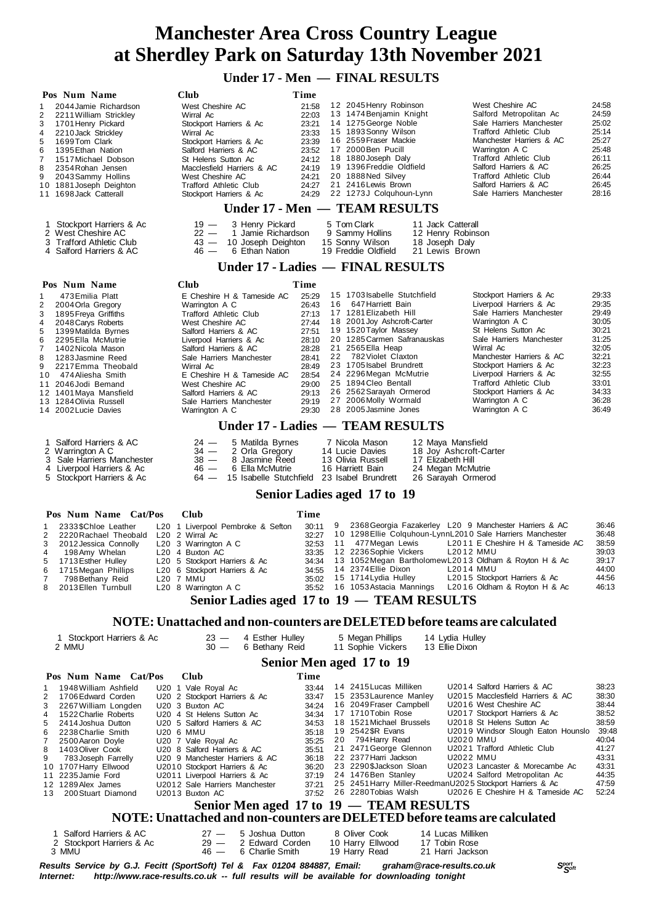## **Under 17 - Men — FINAL RESULTS**

| Pos Num Name                                           | Club                                                                      | Time                                                              |                                             |                                                                                            |                |
|--------------------------------------------------------|---------------------------------------------------------------------------|-------------------------------------------------------------------|---------------------------------------------|--------------------------------------------------------------------------------------------|----------------|
| 2044 Jamie Richardson<br>1                             | West Cheshire AC                                                          | 12 2045 Henry Robinson<br>21:58                                   |                                             | West Cheshire AC                                                                           | 24.58          |
| $\overline{c}$<br>2211 William Strickley               | Wirral Ac                                                                 | 13 1474 Benjamin Knight<br>22:03                                  |                                             | Salford Metropolitan Ac                                                                    | 24:59<br>25:02 |
| 3<br>1701 Henry Pickard<br>4<br>2210 Jack Strickley    | Stockport Harriers & Ac<br>Wirral Ac                                      | 14 1275 George Noble<br>23:21<br>15 1893 Sonny Wilson<br>23:33    |                                             | Sale Harriers Manchester<br>Trafford Athletic Club                                         | 25:14          |
| 5<br>1699Tom Clark                                     | Stockport Harriers & Ac                                                   | 16 2559 Fraser Mackie<br>23:39                                    |                                             | Manchester Harriers & AC                                                                   | 25:27          |
| 1395 Ethan Nation<br>6                                 | Salford Harriers & AC                                                     | 17 2000 Ben Pucill<br>23:52                                       |                                             | Warrington A C                                                                             | 25:48          |
| 7<br>1517 Michael Dobson<br>8                          | St Helens Sutton Ac<br>Macclesfield Harriers & AC                         | 18 1880 Joseph Daly<br>24:12<br>19 1396 Freddie Oldfield<br>24:19 |                                             | Trafford Athletic Club<br>Salford Harriers & AC                                            | 26:11<br>26:25 |
| 2354 Rohan Jensen<br>9<br>2043 Sammy Hollins           | West Cheshire AC                                                          | 20 1888 Ned Silvey<br>24:21                                       |                                             | Trafford Athletic Club                                                                     | 26:44          |
| 10 1881 Joseph Deighton                                | Trafford Athletic Club                                                    | 21 2416 Lewis Brown<br>24:27                                      |                                             | Salford Harriers & AC                                                                      | 26:45          |
| 11 1698 Jack Catterall                                 | Stockport Harriers & Ac                                                   | 22 1273J Colquhoun-Lynn<br>24:29                                  |                                             | Sale Harriers Manchester                                                                   | 28:16          |
|                                                        |                                                                           | Under 17 - Men — TEAM RESULTS                                     |                                             |                                                                                            |                |
| 1 Stockport Harriers & Ac                              | $19 -$<br>3 Henry Pickard                                                 | 5 Tom Clark                                                       | 11 Jack Catterall                           |                                                                                            |                |
| 2 West Cheshire AC                                     | $22 -$<br>1 Jamie Richardson                                              | 9 Sammy Hollins                                                   | 12 Henry Robinson                           |                                                                                            |                |
| 3 Trafford Athletic Club<br>4 Salford Harriers & AC    | 10 Joseph Deighton<br>$43 -$<br>$46 -$<br>6 Ethan Nation                  | 15 Sonny Wilson<br>19 Freddie Oldfield                            | 18 Joseph Daly<br>21 Lewis Brown            |                                                                                            |                |
|                                                        |                                                                           |                                                                   |                                             |                                                                                            |                |
|                                                        |                                                                           | Under 17 - Ladies — FINAL RESULTS                                 |                                             |                                                                                            |                |
| Pos Num Name                                           | Club                                                                      | Time<br>15 1703 Isabelle Stutchfield                              |                                             | Stockport Harriers & Ac                                                                    | 29:33          |
| 473 Emilia Platt<br>-1<br>2<br>2004 Orla Gregory       | E Cheshire H & Tameside AC<br>Warrington A C                              | 25:29<br>16<br>647 Harriett Bain<br>26:43                         |                                             | Liverpool Harriers & Ac                                                                    | 29:35          |
| 3<br>1895 Freya Griffiths                              | Trafford Athletic Club                                                    | 17 1281 Elizabeth Hill<br>27:13                                   |                                             | Sale Harriers Manchester                                                                   | 29:49          |
| 4<br>2048 Carys Roberts                                | West Cheshire AC                                                          | 18 2001 Joy Ashcroft-Carter<br>27:44<br>19 1520 Taylor Massey     |                                             | Warrington A C                                                                             | 30:05          |
| 5<br>1399 Matilda Byrnes<br>6<br>2295 Ella McMutrie    | Salford Harriers & AC<br>Liverpool Harriers & Ac                          | 27:51<br>28:10                                                    | 20 1285 Carmen Safranauskas                 | St Helens Sutton Ac<br>Sale Harriers Manchester                                            | 30:21<br>31:25 |
| 7<br>1402 Nicola Mason                                 | Salford Harriers & AC                                                     | 21 2565 Ella Heap<br>28:28                                        |                                             | Wirral Ac                                                                                  | 32:05          |
| 8<br>1283 Jasmine Reed                                 | Sale Harriers Manchester                                                  | 22 782 Violet Claxton<br>28:41<br>23 1705 Isabel Brundrett        |                                             | Manchester Harriers & AC<br>Stockport Harriers & Ac                                        | 32:21<br>32:23 |
| 9<br>2217 Emma Theobald<br>10<br>474 Aliesha Smith     | Wirral Ac<br>E Cheshire H & Tameside AC                                   | 28:49<br>24 2296 Megan McMutrie<br>28:54                          |                                             | Liverpool Harriers & Ac                                                                    | 32:55          |
| 11 2046 Jodi Bemand                                    | West Cheshire AC                                                          | 25 1894 Cleo Bentall<br>29:00                                     |                                             | Trafford Athletic Club                                                                     | 33:01          |
| 12 1401 Maya Mansfield                                 | Salford Harriers & AC                                                     | 26 2562 Sarayah Ormerod<br>29:13                                  |                                             | Stockport Harriers & Ac                                                                    | 34:33<br>36:28 |
| 13 1284 Olivia Russell<br>14 2002 Lucie Davies         | Sale Harriers Manchester<br>Warrington A C                                | 27 2006 Molly Wormald<br>29:19<br>28 2005 Jasmine Jones<br>29:30  |                                             | Warrington A C<br>Warrington A C                                                           | 36:49          |
|                                                        |                                                                           |                                                                   |                                             |                                                                                            |                |
|                                                        |                                                                           | Under 17 - Ladies — TEAM RESULTS                                  |                                             |                                                                                            |                |
| Salford Harriers & AC<br>1                             | 5 Matilda Byrnes<br>$24 -$                                                | 7 Nicola Mason                                                    | 12 Maya Mansfield                           |                                                                                            |                |
| 2<br>Warrington A C<br>3 Sale Harriers Manchester      | 34 —<br>2 Orla Gregory<br>$38 -$<br>8 Jasmine Reed                        | 14 Lucie Davies<br>13 Olivia Russell                              | 18 Joy Ashcroft-Carter<br>17 Elizabeth Hill |                                                                                            |                |
| 4 Liverpool Harriers & Ac                              | $46 -$<br>6 Ella McMutrie                                                 | 16 Harriett Bain                                                  | 24 Megan McMutrie                           |                                                                                            |                |
| 5 Stockport Harriers & Ac                              | $64 -$                                                                    | 15 Isabelle Stutchfield 23 Isabel Brundrett                       | 26 Sarayah Ormerod                          |                                                                                            |                |
|                                                        |                                                                           | <b>Senior Ladies aged 17 to 19</b>                                |                                             |                                                                                            |                |
| Pos Num Name Cat/Pos                                   | Club                                                                      | Time                                                              |                                             |                                                                                            |                |
| 2333\$Chloe Leather<br>1                               | L20 1 Liverpool Pembroke & Sefton                                         | 9<br>30:11                                                        |                                             | 2368 Georgia Fazakerley L20 9 Manchester Harriers & AC                                     | 36:46          |
| 2<br>2220 Rachael Theobald                             | L20 2 Wirral Ac                                                           | 32:27                                                             |                                             | 10 1298 Ellie Colquhoun-LynnL2010 Sale Harriers Manchester                                 | 36:48          |
| 3<br>2012 Jessica Connolly                             | L20 3 Warrington A C                                                      | 32:53<br>11                                                       | 477 Megan Lewis                             | L2011 E Cheshire H & Tameside AC                                                           | 38:59          |
| 4<br>198 Amy Whelan<br>5<br>1713 Esther Hulley         | L20 4 Buxton AC<br>L20 5 Stockport Harriers & Ac                          | 12 2236 Sophie Vickers<br>33:35<br>34:34                          |                                             | L2012 MMU<br>13 1052 Megan Bartholomew L2013 Oldham & Royton H & Ac                        | 39:03<br>39:17 |
| 6<br>1715 Megan Phillips                               | L <sub>20</sub> 6 Stockport Harriers & Ac                                 | 14 2374 Ellie Dixon<br>34:55                                      |                                             | L2014 MMU                                                                                  | 44:00          |
| 7<br>798 Bethany Reid                                  | L20 7 MMU                                                                 | 15 1714 Lydia Hulley<br>35:02                                     |                                             | L2015 Stockport Harriers & Ac                                                              | 44:56<br>46:13 |
| 2013 Ellen Turnbull<br>8                               | L20 8 Warrington A C                                                      |                                                                   |                                             | 35:52 16 1053 Astacia Mannings L2016 Oldham & Royton H & Ac                                |                |
|                                                        | Senior Ladies aged 17 to 19 - TEAM RESULTS                                |                                                                   |                                             |                                                                                            |                |
|                                                        | NOTE: Unattached and non-counters are DELETED before teams are calculated |                                                                   |                                             |                                                                                            |                |
| 1 Stockport Harriers & Ac                              |                                                                           |                                                                   |                                             |                                                                                            |                |
|                                                        | $23 -$<br>4 Esther Hulley                                                 | 5 Megan Phillips                                                  | 14 Lydia Hulley                             |                                                                                            |                |
| 2 MMU                                                  | $30 -$<br>6 Bethany Reid                                                  | 11 Sophie Vickers                                                 | 13 Ellie Dixon                              |                                                                                            |                |
|                                                        |                                                                           | Senior Men aged 17 to 19                                          |                                             |                                                                                            |                |
| Pos Num Name Cat/Pos                                   | Club                                                                      | Time                                                              |                                             |                                                                                            |                |
| 1948 William Ashfield<br>1                             | U20 1 Vale Royal Ac                                                       | 14 2415 Lucas Milliken<br>33:44                                   |                                             | U2014 Salford Harriers & AC                                                                | 38:23          |
| 2<br>1706 Edward Corden                                | U20 2 Stockport Harriers & Ac                                             | 15 2353 Laurence Manley<br>33:47                                  |                                             | U2015 Macclesfield Harriers & AC                                                           | 38:30          |
| 3<br>2267 William Longden<br>4<br>1522 Charlie Roberts | U20 3 Buxton AC<br>U20 4 St Helens Sutton Ac                              | 16 2049 Fraser Campbell<br>34:24<br>17 1710 Tobin Rose<br>34:34   |                                             | U2016 West Cheshire AC<br>U2017 Stockport Harriers & Ac                                    | 38:44<br>38:52 |
| 5<br>2414 Joshua Dutton                                | U20 5 Salford Harriers & AC                                               | 18 1521 Michael Brussels<br>34:53                                 |                                             | U2018 St Helens Sutton Ac                                                                  | 38:59          |
| 6<br>2238 Charlie Smith                                | U20 6 MMU                                                                 | 19 2542 \$R Evans<br>35:18                                        |                                             | U2019 Windsor Slough Eaton Hounslo                                                         | 39:48          |
| 7<br>2500 Aaron Doyle                                  | U20 7 Vale Royal Ac                                                       | 794 Harry Read<br>35:25<br>20                                     |                                             | U2020 MMU                                                                                  | 40:04          |
| 8<br>1403 Oliver Cook<br>9<br>783 Joseph Farrelly      | U20 8 Salford Harriers & AC<br>U20 9 Manchester Harriers & AC             | 21 2471 George Glennon<br>35:51<br>22 2377 Harri Jackson<br>36:18 |                                             | U2021 Trafford Athletic Club<br>U2022 MMU                                                  | 41:27<br>43:31 |
| 10 1707 Harry Ellwood                                  | U2010 Stockport Harriers & Ac                                             | 23 2290\$Jackson Sloan<br>36:20                                   |                                             | U2023 Lancaster & Morecambe Ac                                                             | 43:31          |
| 2235 Jamie Ford<br>11<br>12 1289 Alex James            | U2011 Liverpool Harriers & Ac                                             | 24 1476 Ben Stanley<br>37:19<br>37:21                             |                                             | U2024 Salford Metropolitan Ac<br>25 2451 Harry Miller-ReedmanU2025 Stockport Harriers & Ac | 44:35<br>47:59 |
| 200 Stuart Diamond<br>13                               | U2012 Sale Harriers Manchester<br>U2013 Buxton AC                         | 26 2280 Tobias Walsh<br>37:52                                     |                                             | U2026 E Cheshire H & Tameside AC                                                           | 52:24          |
|                                                        |                                                                           | Senior Men aged 17 to 19 - TEAM RESULTS                           |                                             |                                                                                            |                |
|                                                        | NOTE: Unattached and non-counters are DELETED before teams are calculated |                                                                   |                                             |                                                                                            |                |
| Salford Harriers & AC<br>1                             | $27 -$<br>5 Joshua Dutton                                                 | 8 Oliver Cook                                                     | 14 Lucas Milliken                           |                                                                                            |                |
| 2 Stockport Harriers & Ac<br>3 MMU                     | $29 -$<br>2 Edward Corden<br>$46 -$<br>6 Charlie Smith                    | 10 Harry Ellwood<br>19 Harry Read                                 | 17 Tobin Rose<br>21 Harri Jackson           |                                                                                            |                |

*<sup>S</sup>port Results Service by G.J. Fecitt (SportSoft) Tel & Fax 01204 884887, Email: graham@race-results.co.uk <sup>S</sup>oft* http://www.race-results.co.uk -- full results will be available for downloading tonight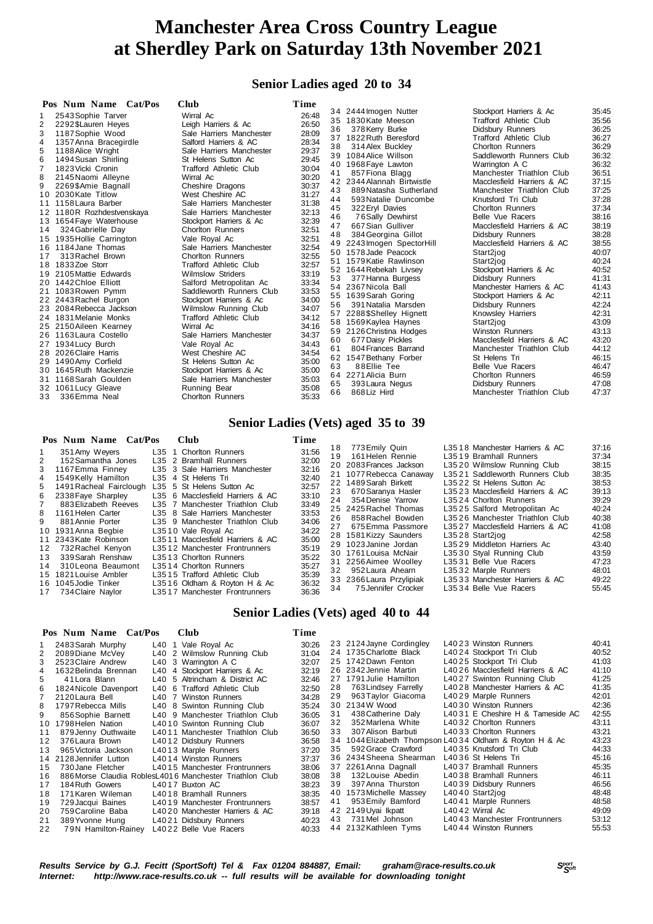### **Senior Ladies aged 20 to 34**

| 34 2444 Imogen Nutter<br>Stockport Harriers & Ac<br>35:45<br>2543 Sophie Tarver<br>Wirral Ac<br>26:48<br>1<br>35 1830 Kate Meeson<br><b>Trafford Athletic Club</b><br>35.56<br>2<br>26:50<br>2292\$Lauren Heyes<br>Leigh Harriers & Ac<br>36:25<br>378 Kerry Burke<br>36<br>Didsbury Runners<br>3<br>1187 Sophie Wood<br>Sale Harriers Manchester<br>28:09<br>36:27<br>37 1822 Ruth Beresford<br>Trafford Athletic Club<br>1357 Anna Bracegirdle<br>Salford Harriers & AC<br>28:34<br>4<br>36:29<br>38<br>314 Alex Buckley<br><b>Chorlton Runners</b><br>5<br>29:37<br>1188 Alice Wright<br>Sale Harriers Manchester<br>36:32<br>Saddleworth Runners Club<br>39 1084 Alice Willson<br>6<br>St Helens Sutton Ac<br>29:45<br>1494 Susan Shirling<br>36:32<br>40 1968 Faye Lawton<br>Warrington A C<br>30:04<br>7<br>1823 Vicki Cronin<br><b>Trafford Athletic Club</b><br>36:51<br>41<br>857 Fiona Blagg<br>Manchester Triathlon Club<br>8<br>30:20<br>2145 Naomi Alleyne<br>Wirral Ac<br>37:15<br>Macclesfield Harriers & AC<br>42 2344 Alannah Birtwistle<br>9<br>30:37<br>2269\$Amie Bagnall<br>Cheshire Dragons<br>37:25<br>43<br>Manchester Triathlon Club<br>889 Natasha Sutherland<br>31:27<br>2030 Kate Titlow<br>West Cheshire AC<br>10<br>37:28<br>44<br>593 Natalie Duncombe<br>Knutsford Tri Club<br>31:38<br>11 1158 Laura Barber<br>Sale Harriers Manchester<br>37:34<br>45<br>322 Eryl Davies<br><b>Chorlton Runners</b><br>32:13<br>12 1180R Rozhdestvenskaya<br>Sale Harriers Manchester<br>38:16<br>46<br>76Sally Dewhirst<br>Belle Vue Racers<br>32:39<br>13 1654 Faye Waterhouse<br>Stockport Harriers & Ac<br>38:19<br>47<br>667 Sian Gulliver<br>Macclesfield Harriers & AC<br>32:51<br>324 Gabrielle Day<br><b>Chorlton Runners</b><br>14<br>38:28<br>48<br>384 Georgina Gillot<br>Didsbury Runners<br>32:51<br>15 1935 Hollie Carrington<br>Vale Royal Ac<br>38:55<br>49 2243 Imogen SpectorHill<br>Macclesfield Harriers & AC<br>32:54<br>16 1184 Jane Thomas<br>Sale Harriers Manchester<br>40:07<br>50 1578 Jade Peacock<br>Start2jog<br>32:55<br>313 Rachel Brown<br>17<br><b>Chorlton Runners</b><br>40:24<br>51 1579 Katie Rawlinson<br>Start2jog<br>32:57<br>18 1833Zoe Storr<br>Trafford Athletic Club<br>40:52<br>52 1644 Rebekah Livsey<br>Stockport Harriers & Ac<br>33:19<br>19 2105 Mattie Edwards<br><b>Wilmslow Striders</b><br>41:31<br>377 Hanna Burgess<br>Didsbury Runners<br>53<br>33:34<br>20 1442 Chloe Elliott<br>Salford Metropolitan Ac<br>41:43<br>54 2367 Nicola Ball<br>Manchester Harriers & AC<br>33:53<br>21 1083 Rowen Pymm<br>Saddleworth Runners Club<br>42:11<br>55 1639 Sarah Goring<br>Stockport Harriers & Ac<br>34:00<br>22 2443 Rachel Burgon<br>Stockport Harriers & Ac<br>42:24<br>56<br>391 Natalia Marsden<br>Didsbury Runners<br>34:07<br>23 2084 Rebecca Jackson<br><b>Wilmslow Running Club</b><br>42:31<br>57 2288 \$Shelley Hignett<br>Knowsley Harriers<br>34:12<br>24 1831 Melanie Monks<br><b>Trafford Athletic Club</b><br>43:09<br>Start2jog<br>58 1569 Kaylea Haynes<br>34:16<br>25 2150 Aileen Kearney<br>Wirral Ac<br>43:13<br>59 2126 Christina Hodges<br>Winston Runners<br>26 1163 Laura Costello<br>Sale Harriers Manchester<br>34:37<br>43:20<br>677 Daisy Pickles<br>Macclesfield Harriers & AC<br>60<br>27 1934 Lucy Burch<br>Vale Royal Ac<br>34:43<br>44:12<br>804 Frances Barrand<br>61<br>Manchester Triathlon Club<br>34:54<br>28 2026 Claire Harris<br>West Cheshire AC<br>46:15<br>62 1547 Bethany Forber<br>St Helens Tri<br>29 1490 Amy Corfield<br>St Helens Sutton Ac<br>35:00<br>46:47<br>63<br>88Ellie Tee<br><b>Belle Vue Racers</b><br>30 1645 Ruth Mackenzie<br>35:00<br>Stockport Harriers & Ac<br>46:59<br>64 2271 Alicia Burn<br><b>Chorlton Runners</b><br>31 1168 Sarah Goulden<br>35:03<br>Sale Harriers Manchester<br>47:08<br>393 Laura Negus<br>Didsbury Runners<br>65<br>32 1061 Lucy Gleave<br>Running Bear<br>35:08<br>47:37<br>66<br>868 Liz Hird<br>Manchester Triathlon Club<br>35:33<br>336 Emma Neal<br><b>Chorlton Runners</b><br>33<br>Senior Ladies (Vets) aged 35 to 39<br>Pos Num Name Cat/Pos<br><b>Club</b><br>Time<br>773 Emily Quin<br>L3518 Manchester Harriers & AC<br>37:16<br>18<br>L35 1 Chorlton Runners<br>31:56<br>351 Amy Weyers<br>1<br>19<br>37:34<br>161 Helen Rennie<br>L3519 Bramhall Runners<br>32:00<br>2<br>152 Samantha Jones<br>L35 2 Bramhall Runners<br>38:15<br>20 2083 Frances Jackson<br>L3520 Wilmslow Running Club<br>3<br>L35 3 Sale Harriers Manchester<br>32:16<br>1167 Emma Finney<br>38:35<br>21 1077 Rebecca Canaway<br>L3521 Saddleworth Runners Club<br>L35 4 St Helens Tri<br>32:40<br>1549Kelly Hamilton<br>4<br>38:53<br>22 1489 Sarah Birkett<br>L3522 St Helens Sutton Ac<br>32:57<br>5<br>1491 Racheal Fairclough L35 5 St Helens Sutton Ac<br>39:13<br>670 Saranya Hasler<br>L3523 Macclesfield Harriers & AC<br>23<br>6<br>2338 Faye Sharpley<br>L35 6 Macclesfield Harriers & AC<br>33:10<br>39:29<br>354 Denise Yarrow<br>L3524 Chorlton Runners<br>24<br>$\overline{7}$<br>883 Elizabeth Reeves<br>25 2425 Rachel Thomas | Pos Num Name Cat/Pos<br>Club    | Time  |  |                               |       |
|-------------------------------------------------------------------------------------------------------------------------------------------------------------------------------------------------------------------------------------------------------------------------------------------------------------------------------------------------------------------------------------------------------------------------------------------------------------------------------------------------------------------------------------------------------------------------------------------------------------------------------------------------------------------------------------------------------------------------------------------------------------------------------------------------------------------------------------------------------------------------------------------------------------------------------------------------------------------------------------------------------------------------------------------------------------------------------------------------------------------------------------------------------------------------------------------------------------------------------------------------------------------------------------------------------------------------------------------------------------------------------------------------------------------------------------------------------------------------------------------------------------------------------------------------------------------------------------------------------------------------------------------------------------------------------------------------------------------------------------------------------------------------------------------------------------------------------------------------------------------------------------------------------------------------------------------------------------------------------------------------------------------------------------------------------------------------------------------------------------------------------------------------------------------------------------------------------------------------------------------------------------------------------------------------------------------------------------------------------------------------------------------------------------------------------------------------------------------------------------------------------------------------------------------------------------------------------------------------------------------------------------------------------------------------------------------------------------------------------------------------------------------------------------------------------------------------------------------------------------------------------------------------------------------------------------------------------------------------------------------------------------------------------------------------------------------------------------------------------------------------------------------------------------------------------------------------------------------------------------------------------------------------------------------------------------------------------------------------------------------------------------------------------------------------------------------------------------------------------------------------------------------------------------------------------------------------------------------------------------------------------------------------------------------------------------------------------------------------------------------------------------------------------------------------------------------------------------------------------------------------------------------------------------------------------------------------------------------------------------------------------------------------------------------------------------------------------------------------------------------------------------------------------------------------------------------------------------------------------------------------------------------------------------------------------------------------------------------------------------------------------------------------------------------------------------------------------------------------------------------------------------------------------------------------------------------------------------------------------------------------------------------------------------------------------------------------------------------------------------------------------------------------------------------------------------------------------------------------------------------------------------------------------------------------------------------------------------------------------------------------------------------------------------------------------------------------------------------------------|---------------------------------|-------|--|-------------------------------|-------|
|                                                                                                                                                                                                                                                                                                                                                                                                                                                                                                                                                                                                                                                                                                                                                                                                                                                                                                                                                                                                                                                                                                                                                                                                                                                                                                                                                                                                                                                                                                                                                                                                                                                                                                                                                                                                                                                                                                                                                                                                                                                                                                                                                                                                                                                                                                                                                                                                                                                                                                                                                                                                                                                                                                                                                                                                                                                                                                                                                                                                                                                                                                                                                                                                                                                                                                                                                                                                                                                                                                                                                                                                                                                                                                                                                                                                                                                                                                                                                                                                                                                                                                                                                                                                                                                                                                                                                                                                                                                                                                                                                                                                                                                                                                                                                                                                                                                                                                                                                                                                                                                                                                       |                                 |       |  |                               |       |
|                                                                                                                                                                                                                                                                                                                                                                                                                                                                                                                                                                                                                                                                                                                                                                                                                                                                                                                                                                                                                                                                                                                                                                                                                                                                                                                                                                                                                                                                                                                                                                                                                                                                                                                                                                                                                                                                                                                                                                                                                                                                                                                                                                                                                                                                                                                                                                                                                                                                                                                                                                                                                                                                                                                                                                                                                                                                                                                                                                                                                                                                                                                                                                                                                                                                                                                                                                                                                                                                                                                                                                                                                                                                                                                                                                                                                                                                                                                                                                                                                                                                                                                                                                                                                                                                                                                                                                                                                                                                                                                                                                                                                                                                                                                                                                                                                                                                                                                                                                                                                                                                                                       |                                 |       |  |                               |       |
|                                                                                                                                                                                                                                                                                                                                                                                                                                                                                                                                                                                                                                                                                                                                                                                                                                                                                                                                                                                                                                                                                                                                                                                                                                                                                                                                                                                                                                                                                                                                                                                                                                                                                                                                                                                                                                                                                                                                                                                                                                                                                                                                                                                                                                                                                                                                                                                                                                                                                                                                                                                                                                                                                                                                                                                                                                                                                                                                                                                                                                                                                                                                                                                                                                                                                                                                                                                                                                                                                                                                                                                                                                                                                                                                                                                                                                                                                                                                                                                                                                                                                                                                                                                                                                                                                                                                                                                                                                                                                                                                                                                                                                                                                                                                                                                                                                                                                                                                                                                                                                                                                                       |                                 |       |  |                               |       |
|                                                                                                                                                                                                                                                                                                                                                                                                                                                                                                                                                                                                                                                                                                                                                                                                                                                                                                                                                                                                                                                                                                                                                                                                                                                                                                                                                                                                                                                                                                                                                                                                                                                                                                                                                                                                                                                                                                                                                                                                                                                                                                                                                                                                                                                                                                                                                                                                                                                                                                                                                                                                                                                                                                                                                                                                                                                                                                                                                                                                                                                                                                                                                                                                                                                                                                                                                                                                                                                                                                                                                                                                                                                                                                                                                                                                                                                                                                                                                                                                                                                                                                                                                                                                                                                                                                                                                                                                                                                                                                                                                                                                                                                                                                                                                                                                                                                                                                                                                                                                                                                                                                       |                                 |       |  |                               |       |
|                                                                                                                                                                                                                                                                                                                                                                                                                                                                                                                                                                                                                                                                                                                                                                                                                                                                                                                                                                                                                                                                                                                                                                                                                                                                                                                                                                                                                                                                                                                                                                                                                                                                                                                                                                                                                                                                                                                                                                                                                                                                                                                                                                                                                                                                                                                                                                                                                                                                                                                                                                                                                                                                                                                                                                                                                                                                                                                                                                                                                                                                                                                                                                                                                                                                                                                                                                                                                                                                                                                                                                                                                                                                                                                                                                                                                                                                                                                                                                                                                                                                                                                                                                                                                                                                                                                                                                                                                                                                                                                                                                                                                                                                                                                                                                                                                                                                                                                                                                                                                                                                                                       |                                 |       |  |                               |       |
|                                                                                                                                                                                                                                                                                                                                                                                                                                                                                                                                                                                                                                                                                                                                                                                                                                                                                                                                                                                                                                                                                                                                                                                                                                                                                                                                                                                                                                                                                                                                                                                                                                                                                                                                                                                                                                                                                                                                                                                                                                                                                                                                                                                                                                                                                                                                                                                                                                                                                                                                                                                                                                                                                                                                                                                                                                                                                                                                                                                                                                                                                                                                                                                                                                                                                                                                                                                                                                                                                                                                                                                                                                                                                                                                                                                                                                                                                                                                                                                                                                                                                                                                                                                                                                                                                                                                                                                                                                                                                                                                                                                                                                                                                                                                                                                                                                                                                                                                                                                                                                                                                                       |                                 |       |  |                               |       |
|                                                                                                                                                                                                                                                                                                                                                                                                                                                                                                                                                                                                                                                                                                                                                                                                                                                                                                                                                                                                                                                                                                                                                                                                                                                                                                                                                                                                                                                                                                                                                                                                                                                                                                                                                                                                                                                                                                                                                                                                                                                                                                                                                                                                                                                                                                                                                                                                                                                                                                                                                                                                                                                                                                                                                                                                                                                                                                                                                                                                                                                                                                                                                                                                                                                                                                                                                                                                                                                                                                                                                                                                                                                                                                                                                                                                                                                                                                                                                                                                                                                                                                                                                                                                                                                                                                                                                                                                                                                                                                                                                                                                                                                                                                                                                                                                                                                                                                                                                                                                                                                                                                       |                                 |       |  |                               |       |
|                                                                                                                                                                                                                                                                                                                                                                                                                                                                                                                                                                                                                                                                                                                                                                                                                                                                                                                                                                                                                                                                                                                                                                                                                                                                                                                                                                                                                                                                                                                                                                                                                                                                                                                                                                                                                                                                                                                                                                                                                                                                                                                                                                                                                                                                                                                                                                                                                                                                                                                                                                                                                                                                                                                                                                                                                                                                                                                                                                                                                                                                                                                                                                                                                                                                                                                                                                                                                                                                                                                                                                                                                                                                                                                                                                                                                                                                                                                                                                                                                                                                                                                                                                                                                                                                                                                                                                                                                                                                                                                                                                                                                                                                                                                                                                                                                                                                                                                                                                                                                                                                                                       |                                 |       |  |                               |       |
|                                                                                                                                                                                                                                                                                                                                                                                                                                                                                                                                                                                                                                                                                                                                                                                                                                                                                                                                                                                                                                                                                                                                                                                                                                                                                                                                                                                                                                                                                                                                                                                                                                                                                                                                                                                                                                                                                                                                                                                                                                                                                                                                                                                                                                                                                                                                                                                                                                                                                                                                                                                                                                                                                                                                                                                                                                                                                                                                                                                                                                                                                                                                                                                                                                                                                                                                                                                                                                                                                                                                                                                                                                                                                                                                                                                                                                                                                                                                                                                                                                                                                                                                                                                                                                                                                                                                                                                                                                                                                                                                                                                                                                                                                                                                                                                                                                                                                                                                                                                                                                                                                                       |                                 |       |  |                               |       |
|                                                                                                                                                                                                                                                                                                                                                                                                                                                                                                                                                                                                                                                                                                                                                                                                                                                                                                                                                                                                                                                                                                                                                                                                                                                                                                                                                                                                                                                                                                                                                                                                                                                                                                                                                                                                                                                                                                                                                                                                                                                                                                                                                                                                                                                                                                                                                                                                                                                                                                                                                                                                                                                                                                                                                                                                                                                                                                                                                                                                                                                                                                                                                                                                                                                                                                                                                                                                                                                                                                                                                                                                                                                                                                                                                                                                                                                                                                                                                                                                                                                                                                                                                                                                                                                                                                                                                                                                                                                                                                                                                                                                                                                                                                                                                                                                                                                                                                                                                                                                                                                                                                       |                                 |       |  |                               |       |
|                                                                                                                                                                                                                                                                                                                                                                                                                                                                                                                                                                                                                                                                                                                                                                                                                                                                                                                                                                                                                                                                                                                                                                                                                                                                                                                                                                                                                                                                                                                                                                                                                                                                                                                                                                                                                                                                                                                                                                                                                                                                                                                                                                                                                                                                                                                                                                                                                                                                                                                                                                                                                                                                                                                                                                                                                                                                                                                                                                                                                                                                                                                                                                                                                                                                                                                                                                                                                                                                                                                                                                                                                                                                                                                                                                                                                                                                                                                                                                                                                                                                                                                                                                                                                                                                                                                                                                                                                                                                                                                                                                                                                                                                                                                                                                                                                                                                                                                                                                                                                                                                                                       |                                 |       |  |                               |       |
|                                                                                                                                                                                                                                                                                                                                                                                                                                                                                                                                                                                                                                                                                                                                                                                                                                                                                                                                                                                                                                                                                                                                                                                                                                                                                                                                                                                                                                                                                                                                                                                                                                                                                                                                                                                                                                                                                                                                                                                                                                                                                                                                                                                                                                                                                                                                                                                                                                                                                                                                                                                                                                                                                                                                                                                                                                                                                                                                                                                                                                                                                                                                                                                                                                                                                                                                                                                                                                                                                                                                                                                                                                                                                                                                                                                                                                                                                                                                                                                                                                                                                                                                                                                                                                                                                                                                                                                                                                                                                                                                                                                                                                                                                                                                                                                                                                                                                                                                                                                                                                                                                                       |                                 |       |  |                               |       |
|                                                                                                                                                                                                                                                                                                                                                                                                                                                                                                                                                                                                                                                                                                                                                                                                                                                                                                                                                                                                                                                                                                                                                                                                                                                                                                                                                                                                                                                                                                                                                                                                                                                                                                                                                                                                                                                                                                                                                                                                                                                                                                                                                                                                                                                                                                                                                                                                                                                                                                                                                                                                                                                                                                                                                                                                                                                                                                                                                                                                                                                                                                                                                                                                                                                                                                                                                                                                                                                                                                                                                                                                                                                                                                                                                                                                                                                                                                                                                                                                                                                                                                                                                                                                                                                                                                                                                                                                                                                                                                                                                                                                                                                                                                                                                                                                                                                                                                                                                                                                                                                                                                       |                                 |       |  |                               |       |
|                                                                                                                                                                                                                                                                                                                                                                                                                                                                                                                                                                                                                                                                                                                                                                                                                                                                                                                                                                                                                                                                                                                                                                                                                                                                                                                                                                                                                                                                                                                                                                                                                                                                                                                                                                                                                                                                                                                                                                                                                                                                                                                                                                                                                                                                                                                                                                                                                                                                                                                                                                                                                                                                                                                                                                                                                                                                                                                                                                                                                                                                                                                                                                                                                                                                                                                                                                                                                                                                                                                                                                                                                                                                                                                                                                                                                                                                                                                                                                                                                                                                                                                                                                                                                                                                                                                                                                                                                                                                                                                                                                                                                                                                                                                                                                                                                                                                                                                                                                                                                                                                                                       |                                 |       |  |                               |       |
|                                                                                                                                                                                                                                                                                                                                                                                                                                                                                                                                                                                                                                                                                                                                                                                                                                                                                                                                                                                                                                                                                                                                                                                                                                                                                                                                                                                                                                                                                                                                                                                                                                                                                                                                                                                                                                                                                                                                                                                                                                                                                                                                                                                                                                                                                                                                                                                                                                                                                                                                                                                                                                                                                                                                                                                                                                                                                                                                                                                                                                                                                                                                                                                                                                                                                                                                                                                                                                                                                                                                                                                                                                                                                                                                                                                                                                                                                                                                                                                                                                                                                                                                                                                                                                                                                                                                                                                                                                                                                                                                                                                                                                                                                                                                                                                                                                                                                                                                                                                                                                                                                                       |                                 |       |  |                               |       |
|                                                                                                                                                                                                                                                                                                                                                                                                                                                                                                                                                                                                                                                                                                                                                                                                                                                                                                                                                                                                                                                                                                                                                                                                                                                                                                                                                                                                                                                                                                                                                                                                                                                                                                                                                                                                                                                                                                                                                                                                                                                                                                                                                                                                                                                                                                                                                                                                                                                                                                                                                                                                                                                                                                                                                                                                                                                                                                                                                                                                                                                                                                                                                                                                                                                                                                                                                                                                                                                                                                                                                                                                                                                                                                                                                                                                                                                                                                                                                                                                                                                                                                                                                                                                                                                                                                                                                                                                                                                                                                                                                                                                                                                                                                                                                                                                                                                                                                                                                                                                                                                                                                       |                                 |       |  |                               |       |
|                                                                                                                                                                                                                                                                                                                                                                                                                                                                                                                                                                                                                                                                                                                                                                                                                                                                                                                                                                                                                                                                                                                                                                                                                                                                                                                                                                                                                                                                                                                                                                                                                                                                                                                                                                                                                                                                                                                                                                                                                                                                                                                                                                                                                                                                                                                                                                                                                                                                                                                                                                                                                                                                                                                                                                                                                                                                                                                                                                                                                                                                                                                                                                                                                                                                                                                                                                                                                                                                                                                                                                                                                                                                                                                                                                                                                                                                                                                                                                                                                                                                                                                                                                                                                                                                                                                                                                                                                                                                                                                                                                                                                                                                                                                                                                                                                                                                                                                                                                                                                                                                                                       |                                 |       |  |                               |       |
|                                                                                                                                                                                                                                                                                                                                                                                                                                                                                                                                                                                                                                                                                                                                                                                                                                                                                                                                                                                                                                                                                                                                                                                                                                                                                                                                                                                                                                                                                                                                                                                                                                                                                                                                                                                                                                                                                                                                                                                                                                                                                                                                                                                                                                                                                                                                                                                                                                                                                                                                                                                                                                                                                                                                                                                                                                                                                                                                                                                                                                                                                                                                                                                                                                                                                                                                                                                                                                                                                                                                                                                                                                                                                                                                                                                                                                                                                                                                                                                                                                                                                                                                                                                                                                                                                                                                                                                                                                                                                                                                                                                                                                                                                                                                                                                                                                                                                                                                                                                                                                                                                                       |                                 |       |  |                               |       |
|                                                                                                                                                                                                                                                                                                                                                                                                                                                                                                                                                                                                                                                                                                                                                                                                                                                                                                                                                                                                                                                                                                                                                                                                                                                                                                                                                                                                                                                                                                                                                                                                                                                                                                                                                                                                                                                                                                                                                                                                                                                                                                                                                                                                                                                                                                                                                                                                                                                                                                                                                                                                                                                                                                                                                                                                                                                                                                                                                                                                                                                                                                                                                                                                                                                                                                                                                                                                                                                                                                                                                                                                                                                                                                                                                                                                                                                                                                                                                                                                                                                                                                                                                                                                                                                                                                                                                                                                                                                                                                                                                                                                                                                                                                                                                                                                                                                                                                                                                                                                                                                                                                       |                                 |       |  |                               |       |
|                                                                                                                                                                                                                                                                                                                                                                                                                                                                                                                                                                                                                                                                                                                                                                                                                                                                                                                                                                                                                                                                                                                                                                                                                                                                                                                                                                                                                                                                                                                                                                                                                                                                                                                                                                                                                                                                                                                                                                                                                                                                                                                                                                                                                                                                                                                                                                                                                                                                                                                                                                                                                                                                                                                                                                                                                                                                                                                                                                                                                                                                                                                                                                                                                                                                                                                                                                                                                                                                                                                                                                                                                                                                                                                                                                                                                                                                                                                                                                                                                                                                                                                                                                                                                                                                                                                                                                                                                                                                                                                                                                                                                                                                                                                                                                                                                                                                                                                                                                                                                                                                                                       |                                 |       |  |                               |       |
|                                                                                                                                                                                                                                                                                                                                                                                                                                                                                                                                                                                                                                                                                                                                                                                                                                                                                                                                                                                                                                                                                                                                                                                                                                                                                                                                                                                                                                                                                                                                                                                                                                                                                                                                                                                                                                                                                                                                                                                                                                                                                                                                                                                                                                                                                                                                                                                                                                                                                                                                                                                                                                                                                                                                                                                                                                                                                                                                                                                                                                                                                                                                                                                                                                                                                                                                                                                                                                                                                                                                                                                                                                                                                                                                                                                                                                                                                                                                                                                                                                                                                                                                                                                                                                                                                                                                                                                                                                                                                                                                                                                                                                                                                                                                                                                                                                                                                                                                                                                                                                                                                                       |                                 |       |  |                               |       |
|                                                                                                                                                                                                                                                                                                                                                                                                                                                                                                                                                                                                                                                                                                                                                                                                                                                                                                                                                                                                                                                                                                                                                                                                                                                                                                                                                                                                                                                                                                                                                                                                                                                                                                                                                                                                                                                                                                                                                                                                                                                                                                                                                                                                                                                                                                                                                                                                                                                                                                                                                                                                                                                                                                                                                                                                                                                                                                                                                                                                                                                                                                                                                                                                                                                                                                                                                                                                                                                                                                                                                                                                                                                                                                                                                                                                                                                                                                                                                                                                                                                                                                                                                                                                                                                                                                                                                                                                                                                                                                                                                                                                                                                                                                                                                                                                                                                                                                                                                                                                                                                                                                       |                                 |       |  |                               |       |
|                                                                                                                                                                                                                                                                                                                                                                                                                                                                                                                                                                                                                                                                                                                                                                                                                                                                                                                                                                                                                                                                                                                                                                                                                                                                                                                                                                                                                                                                                                                                                                                                                                                                                                                                                                                                                                                                                                                                                                                                                                                                                                                                                                                                                                                                                                                                                                                                                                                                                                                                                                                                                                                                                                                                                                                                                                                                                                                                                                                                                                                                                                                                                                                                                                                                                                                                                                                                                                                                                                                                                                                                                                                                                                                                                                                                                                                                                                                                                                                                                                                                                                                                                                                                                                                                                                                                                                                                                                                                                                                                                                                                                                                                                                                                                                                                                                                                                                                                                                                                                                                                                                       |                                 |       |  |                               |       |
|                                                                                                                                                                                                                                                                                                                                                                                                                                                                                                                                                                                                                                                                                                                                                                                                                                                                                                                                                                                                                                                                                                                                                                                                                                                                                                                                                                                                                                                                                                                                                                                                                                                                                                                                                                                                                                                                                                                                                                                                                                                                                                                                                                                                                                                                                                                                                                                                                                                                                                                                                                                                                                                                                                                                                                                                                                                                                                                                                                                                                                                                                                                                                                                                                                                                                                                                                                                                                                                                                                                                                                                                                                                                                                                                                                                                                                                                                                                                                                                                                                                                                                                                                                                                                                                                                                                                                                                                                                                                                                                                                                                                                                                                                                                                                                                                                                                                                                                                                                                                                                                                                                       |                                 |       |  |                               |       |
|                                                                                                                                                                                                                                                                                                                                                                                                                                                                                                                                                                                                                                                                                                                                                                                                                                                                                                                                                                                                                                                                                                                                                                                                                                                                                                                                                                                                                                                                                                                                                                                                                                                                                                                                                                                                                                                                                                                                                                                                                                                                                                                                                                                                                                                                                                                                                                                                                                                                                                                                                                                                                                                                                                                                                                                                                                                                                                                                                                                                                                                                                                                                                                                                                                                                                                                                                                                                                                                                                                                                                                                                                                                                                                                                                                                                                                                                                                                                                                                                                                                                                                                                                                                                                                                                                                                                                                                                                                                                                                                                                                                                                                                                                                                                                                                                                                                                                                                                                                                                                                                                                                       |                                 |       |  |                               |       |
|                                                                                                                                                                                                                                                                                                                                                                                                                                                                                                                                                                                                                                                                                                                                                                                                                                                                                                                                                                                                                                                                                                                                                                                                                                                                                                                                                                                                                                                                                                                                                                                                                                                                                                                                                                                                                                                                                                                                                                                                                                                                                                                                                                                                                                                                                                                                                                                                                                                                                                                                                                                                                                                                                                                                                                                                                                                                                                                                                                                                                                                                                                                                                                                                                                                                                                                                                                                                                                                                                                                                                                                                                                                                                                                                                                                                                                                                                                                                                                                                                                                                                                                                                                                                                                                                                                                                                                                                                                                                                                                                                                                                                                                                                                                                                                                                                                                                                                                                                                                                                                                                                                       |                                 |       |  |                               |       |
|                                                                                                                                                                                                                                                                                                                                                                                                                                                                                                                                                                                                                                                                                                                                                                                                                                                                                                                                                                                                                                                                                                                                                                                                                                                                                                                                                                                                                                                                                                                                                                                                                                                                                                                                                                                                                                                                                                                                                                                                                                                                                                                                                                                                                                                                                                                                                                                                                                                                                                                                                                                                                                                                                                                                                                                                                                                                                                                                                                                                                                                                                                                                                                                                                                                                                                                                                                                                                                                                                                                                                                                                                                                                                                                                                                                                                                                                                                                                                                                                                                                                                                                                                                                                                                                                                                                                                                                                                                                                                                                                                                                                                                                                                                                                                                                                                                                                                                                                                                                                                                                                                                       |                                 |       |  |                               |       |
|                                                                                                                                                                                                                                                                                                                                                                                                                                                                                                                                                                                                                                                                                                                                                                                                                                                                                                                                                                                                                                                                                                                                                                                                                                                                                                                                                                                                                                                                                                                                                                                                                                                                                                                                                                                                                                                                                                                                                                                                                                                                                                                                                                                                                                                                                                                                                                                                                                                                                                                                                                                                                                                                                                                                                                                                                                                                                                                                                                                                                                                                                                                                                                                                                                                                                                                                                                                                                                                                                                                                                                                                                                                                                                                                                                                                                                                                                                                                                                                                                                                                                                                                                                                                                                                                                                                                                                                                                                                                                                                                                                                                                                                                                                                                                                                                                                                                                                                                                                                                                                                                                                       |                                 |       |  |                               |       |
|                                                                                                                                                                                                                                                                                                                                                                                                                                                                                                                                                                                                                                                                                                                                                                                                                                                                                                                                                                                                                                                                                                                                                                                                                                                                                                                                                                                                                                                                                                                                                                                                                                                                                                                                                                                                                                                                                                                                                                                                                                                                                                                                                                                                                                                                                                                                                                                                                                                                                                                                                                                                                                                                                                                                                                                                                                                                                                                                                                                                                                                                                                                                                                                                                                                                                                                                                                                                                                                                                                                                                                                                                                                                                                                                                                                                                                                                                                                                                                                                                                                                                                                                                                                                                                                                                                                                                                                                                                                                                                                                                                                                                                                                                                                                                                                                                                                                                                                                                                                                                                                                                                       |                                 |       |  |                               |       |
|                                                                                                                                                                                                                                                                                                                                                                                                                                                                                                                                                                                                                                                                                                                                                                                                                                                                                                                                                                                                                                                                                                                                                                                                                                                                                                                                                                                                                                                                                                                                                                                                                                                                                                                                                                                                                                                                                                                                                                                                                                                                                                                                                                                                                                                                                                                                                                                                                                                                                                                                                                                                                                                                                                                                                                                                                                                                                                                                                                                                                                                                                                                                                                                                                                                                                                                                                                                                                                                                                                                                                                                                                                                                                                                                                                                                                                                                                                                                                                                                                                                                                                                                                                                                                                                                                                                                                                                                                                                                                                                                                                                                                                                                                                                                                                                                                                                                                                                                                                                                                                                                                                       |                                 |       |  |                               |       |
|                                                                                                                                                                                                                                                                                                                                                                                                                                                                                                                                                                                                                                                                                                                                                                                                                                                                                                                                                                                                                                                                                                                                                                                                                                                                                                                                                                                                                                                                                                                                                                                                                                                                                                                                                                                                                                                                                                                                                                                                                                                                                                                                                                                                                                                                                                                                                                                                                                                                                                                                                                                                                                                                                                                                                                                                                                                                                                                                                                                                                                                                                                                                                                                                                                                                                                                                                                                                                                                                                                                                                                                                                                                                                                                                                                                                                                                                                                                                                                                                                                                                                                                                                                                                                                                                                                                                                                                                                                                                                                                                                                                                                                                                                                                                                                                                                                                                                                                                                                                                                                                                                                       |                                 |       |  |                               |       |
|                                                                                                                                                                                                                                                                                                                                                                                                                                                                                                                                                                                                                                                                                                                                                                                                                                                                                                                                                                                                                                                                                                                                                                                                                                                                                                                                                                                                                                                                                                                                                                                                                                                                                                                                                                                                                                                                                                                                                                                                                                                                                                                                                                                                                                                                                                                                                                                                                                                                                                                                                                                                                                                                                                                                                                                                                                                                                                                                                                                                                                                                                                                                                                                                                                                                                                                                                                                                                                                                                                                                                                                                                                                                                                                                                                                                                                                                                                                                                                                                                                                                                                                                                                                                                                                                                                                                                                                                                                                                                                                                                                                                                                                                                                                                                                                                                                                                                                                                                                                                                                                                                                       |                                 |       |  |                               |       |
|                                                                                                                                                                                                                                                                                                                                                                                                                                                                                                                                                                                                                                                                                                                                                                                                                                                                                                                                                                                                                                                                                                                                                                                                                                                                                                                                                                                                                                                                                                                                                                                                                                                                                                                                                                                                                                                                                                                                                                                                                                                                                                                                                                                                                                                                                                                                                                                                                                                                                                                                                                                                                                                                                                                                                                                                                                                                                                                                                                                                                                                                                                                                                                                                                                                                                                                                                                                                                                                                                                                                                                                                                                                                                                                                                                                                                                                                                                                                                                                                                                                                                                                                                                                                                                                                                                                                                                                                                                                                                                                                                                                                                                                                                                                                                                                                                                                                                                                                                                                                                                                                                                       |                                 |       |  |                               |       |
|                                                                                                                                                                                                                                                                                                                                                                                                                                                                                                                                                                                                                                                                                                                                                                                                                                                                                                                                                                                                                                                                                                                                                                                                                                                                                                                                                                                                                                                                                                                                                                                                                                                                                                                                                                                                                                                                                                                                                                                                                                                                                                                                                                                                                                                                                                                                                                                                                                                                                                                                                                                                                                                                                                                                                                                                                                                                                                                                                                                                                                                                                                                                                                                                                                                                                                                                                                                                                                                                                                                                                                                                                                                                                                                                                                                                                                                                                                                                                                                                                                                                                                                                                                                                                                                                                                                                                                                                                                                                                                                                                                                                                                                                                                                                                                                                                                                                                                                                                                                                                                                                                                       |                                 |       |  |                               |       |
|                                                                                                                                                                                                                                                                                                                                                                                                                                                                                                                                                                                                                                                                                                                                                                                                                                                                                                                                                                                                                                                                                                                                                                                                                                                                                                                                                                                                                                                                                                                                                                                                                                                                                                                                                                                                                                                                                                                                                                                                                                                                                                                                                                                                                                                                                                                                                                                                                                                                                                                                                                                                                                                                                                                                                                                                                                                                                                                                                                                                                                                                                                                                                                                                                                                                                                                                                                                                                                                                                                                                                                                                                                                                                                                                                                                                                                                                                                                                                                                                                                                                                                                                                                                                                                                                                                                                                                                                                                                                                                                                                                                                                                                                                                                                                                                                                                                                                                                                                                                                                                                                                                       |                                 |       |  |                               |       |
|                                                                                                                                                                                                                                                                                                                                                                                                                                                                                                                                                                                                                                                                                                                                                                                                                                                                                                                                                                                                                                                                                                                                                                                                                                                                                                                                                                                                                                                                                                                                                                                                                                                                                                                                                                                                                                                                                                                                                                                                                                                                                                                                                                                                                                                                                                                                                                                                                                                                                                                                                                                                                                                                                                                                                                                                                                                                                                                                                                                                                                                                                                                                                                                                                                                                                                                                                                                                                                                                                                                                                                                                                                                                                                                                                                                                                                                                                                                                                                                                                                                                                                                                                                                                                                                                                                                                                                                                                                                                                                                                                                                                                                                                                                                                                                                                                                                                                                                                                                                                                                                                                                       |                                 |       |  |                               |       |
|                                                                                                                                                                                                                                                                                                                                                                                                                                                                                                                                                                                                                                                                                                                                                                                                                                                                                                                                                                                                                                                                                                                                                                                                                                                                                                                                                                                                                                                                                                                                                                                                                                                                                                                                                                                                                                                                                                                                                                                                                                                                                                                                                                                                                                                                                                                                                                                                                                                                                                                                                                                                                                                                                                                                                                                                                                                                                                                                                                                                                                                                                                                                                                                                                                                                                                                                                                                                                                                                                                                                                                                                                                                                                                                                                                                                                                                                                                                                                                                                                                                                                                                                                                                                                                                                                                                                                                                                                                                                                                                                                                                                                                                                                                                                                                                                                                                                                                                                                                                                                                                                                                       |                                 |       |  |                               |       |
|                                                                                                                                                                                                                                                                                                                                                                                                                                                                                                                                                                                                                                                                                                                                                                                                                                                                                                                                                                                                                                                                                                                                                                                                                                                                                                                                                                                                                                                                                                                                                                                                                                                                                                                                                                                                                                                                                                                                                                                                                                                                                                                                                                                                                                                                                                                                                                                                                                                                                                                                                                                                                                                                                                                                                                                                                                                                                                                                                                                                                                                                                                                                                                                                                                                                                                                                                                                                                                                                                                                                                                                                                                                                                                                                                                                                                                                                                                                                                                                                                                                                                                                                                                                                                                                                                                                                                                                                                                                                                                                                                                                                                                                                                                                                                                                                                                                                                                                                                                                                                                                                                                       |                                 |       |  |                               |       |
|                                                                                                                                                                                                                                                                                                                                                                                                                                                                                                                                                                                                                                                                                                                                                                                                                                                                                                                                                                                                                                                                                                                                                                                                                                                                                                                                                                                                                                                                                                                                                                                                                                                                                                                                                                                                                                                                                                                                                                                                                                                                                                                                                                                                                                                                                                                                                                                                                                                                                                                                                                                                                                                                                                                                                                                                                                                                                                                                                                                                                                                                                                                                                                                                                                                                                                                                                                                                                                                                                                                                                                                                                                                                                                                                                                                                                                                                                                                                                                                                                                                                                                                                                                                                                                                                                                                                                                                                                                                                                                                                                                                                                                                                                                                                                                                                                                                                                                                                                                                                                                                                                                       |                                 |       |  |                               |       |
|                                                                                                                                                                                                                                                                                                                                                                                                                                                                                                                                                                                                                                                                                                                                                                                                                                                                                                                                                                                                                                                                                                                                                                                                                                                                                                                                                                                                                                                                                                                                                                                                                                                                                                                                                                                                                                                                                                                                                                                                                                                                                                                                                                                                                                                                                                                                                                                                                                                                                                                                                                                                                                                                                                                                                                                                                                                                                                                                                                                                                                                                                                                                                                                                                                                                                                                                                                                                                                                                                                                                                                                                                                                                                                                                                                                                                                                                                                                                                                                                                                                                                                                                                                                                                                                                                                                                                                                                                                                                                                                                                                                                                                                                                                                                                                                                                                                                                                                                                                                                                                                                                                       |                                 |       |  |                               |       |
|                                                                                                                                                                                                                                                                                                                                                                                                                                                                                                                                                                                                                                                                                                                                                                                                                                                                                                                                                                                                                                                                                                                                                                                                                                                                                                                                                                                                                                                                                                                                                                                                                                                                                                                                                                                                                                                                                                                                                                                                                                                                                                                                                                                                                                                                                                                                                                                                                                                                                                                                                                                                                                                                                                                                                                                                                                                                                                                                                                                                                                                                                                                                                                                                                                                                                                                                                                                                                                                                                                                                                                                                                                                                                                                                                                                                                                                                                                                                                                                                                                                                                                                                                                                                                                                                                                                                                                                                                                                                                                                                                                                                                                                                                                                                                                                                                                                                                                                                                                                                                                                                                                       |                                 |       |  |                               |       |
|                                                                                                                                                                                                                                                                                                                                                                                                                                                                                                                                                                                                                                                                                                                                                                                                                                                                                                                                                                                                                                                                                                                                                                                                                                                                                                                                                                                                                                                                                                                                                                                                                                                                                                                                                                                                                                                                                                                                                                                                                                                                                                                                                                                                                                                                                                                                                                                                                                                                                                                                                                                                                                                                                                                                                                                                                                                                                                                                                                                                                                                                                                                                                                                                                                                                                                                                                                                                                                                                                                                                                                                                                                                                                                                                                                                                                                                                                                                                                                                                                                                                                                                                                                                                                                                                                                                                                                                                                                                                                                                                                                                                                                                                                                                                                                                                                                                                                                                                                                                                                                                                                                       |                                 |       |  |                               |       |
|                                                                                                                                                                                                                                                                                                                                                                                                                                                                                                                                                                                                                                                                                                                                                                                                                                                                                                                                                                                                                                                                                                                                                                                                                                                                                                                                                                                                                                                                                                                                                                                                                                                                                                                                                                                                                                                                                                                                                                                                                                                                                                                                                                                                                                                                                                                                                                                                                                                                                                                                                                                                                                                                                                                                                                                                                                                                                                                                                                                                                                                                                                                                                                                                                                                                                                                                                                                                                                                                                                                                                                                                                                                                                                                                                                                                                                                                                                                                                                                                                                                                                                                                                                                                                                                                                                                                                                                                                                                                                                                                                                                                                                                                                                                                                                                                                                                                                                                                                                                                                                                                                                       | L35 7 Manchester Triathlon Club | 33:49 |  | 13525 Salford Metropolitan Ac | 40.24 |

| 6 2338 Faye Sharpley  | L35 6 Macclesfield Harriers & AC | 33:10 | د ∠ | <b>brudalariya Hasibi</b> | LSSZS MACCLESIERU HAITIERS & AC  | <b>JY.IJ</b> |
|-----------------------|----------------------------------|-------|-----|---------------------------|----------------------------------|--------------|
| 883 Elizabeth Reeves  | L35 7 Manchester Triathlon Club  | 33:49 |     | 24 354 Denise Yarrow      | L3524 Chorlton Runners           | 39:29        |
| 8 1161 Helen Carter   | L35 8 Sale Harriers Manchester   | 33:53 |     | 25 2425 Rachel Thomas     | L3525 Salford Metropolitan Ac    | 40:24        |
| 9 881 Annie Porter    | L35 9 Manchester Triathlon Club  | 34:06 | 26  | 858 Rachel Bowden         | L3526 Manchester Triathlon Club  | 40:38        |
|                       |                                  |       |     | 675 Emma Passmore         | L3527 Macclesfield Harriers & AC | 41:08        |
| 10 1931 Anna Begbie   | L3510 Vale Royal Ac              | 34:22 |     | 28 1581 Kizzy Saunders    | L3528 Start2jog                  | 42:58        |
| 11 2343 Kate Robinson | L3511 Macclesfield Harriers & AC | 35:00 |     | 29 1023 Janine Jordan     | L3529 Middleton Harriers Ac      | 43:40        |
| 12 732 Rachel Kenyon  | L3512 Manchester Frontrunners    | 35:19 |     |                           |                                  |              |
| 13 339 Sarah Renshaw  | L3513 Chorlton Runners           | 35:22 |     | 30 1761 Louisa McNair     | L3530 Styal Running Club         | 43.59        |
| 14 310 Leona Beaumont | L3514 Chorlton Runners           | 35:27 |     | 31 2256 Aimee Woolley     | L3531 Belle Vue Racers           | 47:23        |
| 15 1821 Louise Ambler | L3515 Trafford Athletic Club     | 35:39 |     | 32 952 Laura Ahearn       | L3532 Marple Runners             | 48:01        |
|                       |                                  |       |     | 33 2366 Laura Przylipiak  | L3533 Manchester Harriers & AC   | 49:22        |
| 16 1045 Jodie Tinker  | L3516 Oldham & Royton H & Ac     | 36:32 | 34  | 75Jennifer Crocker        | L3534 Belle Vue Racers           | 55:45        |
| 17 734 Claire Navlor  | L3517 Manchester Frontrunners    | 36:36 |     |                           |                                  |              |

## **Senior Ladies (Vets) aged 40 to 44**

|    | Pos Num Name Cat/Pos    | <b>Club</b>                                             | Time  |    |                                                          |                                  |       |
|----|-------------------------|---------------------------------------------------------|-------|----|----------------------------------------------------------|----------------------------------|-------|
|    | 2483 Sarah Murphy       | L40 1 Vale Royal Ac                                     | 30:26 |    | 23 2124 Jayne Cordingley                                 | L4023 Winston Runners            | 40:41 |
| 2  | 2089 Diane McVey        | L40 2 Wilmslow Running Club                             | 31:04 |    | 24 1735 Charlotte Black                                  | L4024 Stockport Tri Club         | 40:52 |
| 3  | 2523 Claire Andrew      | L40 3 Warrington A C                                    | 32:07 |    | 25 1742 Dawn Fenton                                      | L4025 Stockport Tri Club         | 41:03 |
| 4  | 1632 Belinda Brennan    | L40 4 Stockport Harriers & Ac                           | 32:19 |    | 26 2342 Jennie Martin                                    | L4026 Macclesfield Harriers & AC | 41:10 |
| 5  | 41 Lora Blann           | L40 5 Altrincham & District AC                          | 32:46 |    | 27 1791 Julie Hamilton                                   | L4027 Swinton Running Club       | 41:25 |
| 6  | 1824 Nicole Davenport   | L40 6 Trafford Athletic Club                            | 32:50 | 28 | 763 Lindsey Farrelly                                     | L4028 Manchester Harriers & AC   | 41:35 |
|    | 2120 Laura Bell         | L40 7 Winston Runners                                   | 34:28 | 29 | 963 Taylor Giacoma                                       | L4029 Marple Runners             | 42:01 |
| 8  | 1797 Rebecca Mills      | L40 8 Swinton Running Club                              | 35:24 |    | 30 2134W Wood                                            | L4030 Winston Runners            | 42:36 |
| 9  | 856 Sophie Barnett      | L40 9 Manchester Triathlon Club                         | 36:05 | 31 | 438 Catherine Daly                                       | L4031 E Cheshire H & Tameside AC | 42:55 |
|    | 10 1798 Helen Nation    | L4010 Swinton Running Club                              | 36:07 | 32 | 352 Marlena White                                        | L4032 Chorlton Runners           | 43:11 |
| 11 | 879 Jenny Outhwaite     | L4011 Manchester Triathlon Club                         | 36:50 | 33 | 307 Alison Barbuti                                       | L4033 Chorlton Runners           | 43:21 |
| 12 | 376 Laura Brown         | L4012 Didsbury Runners                                  | 36:58 |    | 34 1044 Elizabeth Thompson L40 34 Oldham & Royton H & Ac |                                  | 43:23 |
| 13 | 965 Victoria Jackson    | L4013 Marple Runners                                    | 37:20 | 35 | 592 Grace Crawford                                       | L4035 Knutsford Tri Club         | 44:33 |
|    | 14 2128 Jennifer Lutton | L4014 Winston Runners                                   | 37:37 |    | 36 2434 Sheena Shearman                                  | L4036 St Helens Tri              | 45:16 |
| 15 | 730 Jane Fletcher       | L4015 Manchester Frontrunners                           | 38:06 |    | 37 2261 Anna Dagnall                                     | L4037 Bramhall Runners           | 45:35 |
| 16 |                         | 886 Morse Claudia RoblesL4016 Manchester Triathlon Club | 38:08 | 38 | 132 Louise Abedin                                        | L4038 Bramhall Runners           | 46:11 |
| 17 | 184 Ruth Gowers         | L4017 Buxton AC                                         | 38:23 | 39 | 397 Anna Thurston                                        | L4039 Didsbury Runners           | 46.56 |
| 18 | 171 Karen Wileman       | L4018 Bramhall Runners                                  | 38:35 |    | 40 1573 Michelle Massey                                  | L4040 Start2jog                  | 48:48 |
| 19 | 729 Jacqui Baines       | L4019 Manchester Frontrunners                           | 38:57 | 41 | 953 Emily Bamford                                        | L4041 Marple Runners             | 48:58 |
| 20 | 759 Caroline Baba       | L4020 Manchester Harriers & AC                          | 39:18 |    | 42 2149 Uyai Ikpatt                                      | L4042 Wirral Ac                  | 49:09 |
| 21 | 389 Yvonne Hung         | L4021 Didsbury Runners                                  | 40:23 | 43 | 731 Mel Johnson                                          | L4043 Manchester Frontrunners    | 53:12 |
| 22 | 79N Hamilton-Rainey     | L4022 Belle Vue Racers                                  | 40:33 |    | 44 2132 Kathleen Tyms                                    | L4044 Winston Runners            | 55.53 |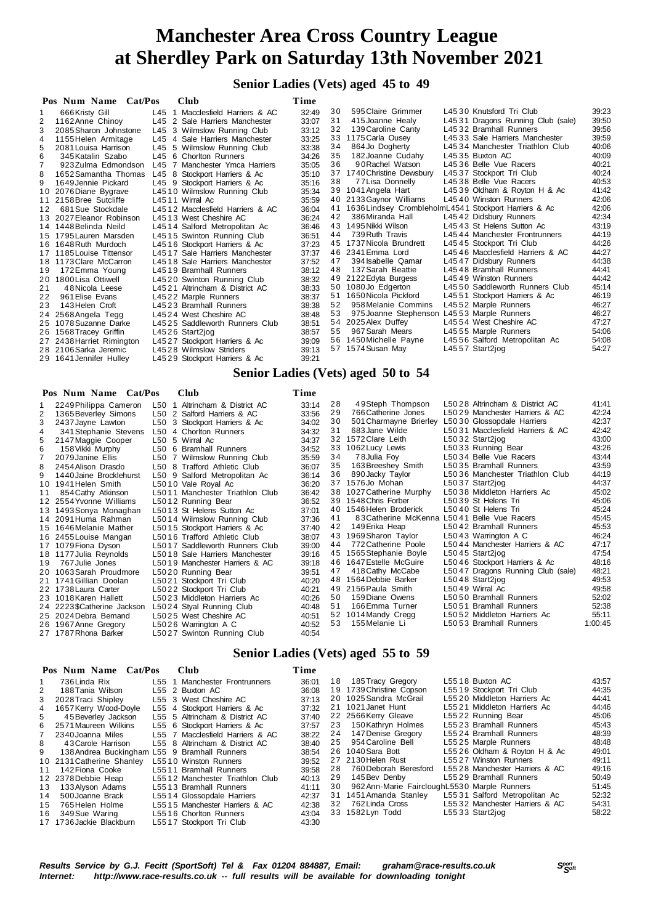**Senior Ladies (Vets) aged 45 to 49**

|    | Pos Num Name Cat/Pos      |         | <b>Club</b>                      | Time  |    |                                                           |                                   |       |
|----|---------------------------|---------|----------------------------------|-------|----|-----------------------------------------------------------|-----------------------------------|-------|
|    | 666 Kristy Gill           | $L45$ 1 | Macclesfield Harriers & AC       | 32:49 | 30 | 595 Claire Grimmer                                        | L4530 Knutsford Tri Club          | 39:23 |
| 2  | 1162 Anne Chinoy          |         | L45 2 Sale Harriers Manchester   | 33:07 | 31 | 415 Joanne Healy                                          | L4531 Dragons Running Club (sale) | 39.50 |
| 3  | 2085 Sharon Johnstone     |         | L45 3 Wilmslow Running Club      | 33:12 | 32 | 139 Caroline Canty                                        | L4532 Bramhall Runners            | 39:56 |
| 4  | 1155 Helen Armitage       |         | L45 4 Sale Harriers Manchester   | 33:25 |    | 33 1175 Carla Ousey                                       | L4533 Sale Harriers Manchester    | 39.59 |
| 5  | 2081 Louisa Harrison      |         | L45 5 Wilmslow Running Club      | 33:38 | 34 | 864 Jo Dogherty                                           | L4534 Manchester Triathlon Club   | 40:06 |
| 6  | 345 Katalin Szabo         |         | L45 6 Chorlton Runners           | 34:26 | 35 | 182 Joanne Cudahy                                         | L4535 Buxton AC                   | 40:09 |
|    | 923 Zulma Edmondson       |         | L45 7 Manchester Ymca Harriers   | 35:05 | 36 | 90 Rachel Watson                                          | L4536 Belle Vue Racers            | 40:21 |
| 8  | 1652 Samantha Thomas      |         | L45 8 Stockport Harriers & Ac    | 35:10 |    | 37 1740 Christine Dewsbury                                | L45 37 Stockport Tri Club         | 40:24 |
| 9  | 1649 Jennie Pickard       |         | L45 9 Stockport Harriers & Ac    | 35:16 | 38 | 77 Lisa Donnelly                                          | L4538 Belle Vue Racers            | 40.53 |
|    | 10 2076 Diane Bygrave     |         | L4510 Wilmslow Running Club      | 35:34 |    | 39 1041 Angela Hart                                       | L4539 Oldham & Royton H & Ac      | 41:42 |
|    | 11 2158 Bree Sutcliffe    |         | L4511 Wirral Ac                  | 35:59 |    | 40 2133 Gaynor Williams                                   | L4540 Winston Runners             | 42:06 |
| 12 | 681 Sue Stockdale         |         | L4512 Macclesfield Harriers & AC | 36:04 |    | 41 1636 Lindsey Crombleholm L4541 Stockport Harriers & Ac |                                   | 42:06 |
|    | 13 2027 Eleanor Robinson  |         | L4513 West Cheshire AC           | 36:24 | 42 | 386 Miranda Hall                                          | L4542 Didsbury Runners            | 42:34 |
|    | 14 1448 Belinda Neild     |         | L4514 Salford Metropolitan Ac    | 36:46 |    | 43 1495 Nikki Wilson                                      | L4543 St Helens Sutton Ac         | 43:19 |
|    | 15 1795 Lauren Marsden    |         | L4515 Swinton Running Club       | 36:51 | 44 | 739 Ruth Travis                                           | L4544 Manchester Frontrunners     | 44:19 |
|    | 16 1648 Ruth Murdoch      |         | L4516 Stockport Harriers & Ac    | 37:23 |    | 45 1737 Nicola Brundrett                                  | L4545 Stockport Tri Club          | 44:26 |
| 17 | 1185 Louise Tittensor     |         | L4517 Sale Harriers Manchester   | 37:37 |    | 46 2341 Emma Lord                                         | L4546 Macclesfield Harriers & AC  | 44:27 |
|    | 18 1173 Clare McCarron    |         | L4518 Sale Harriers Manchester   | 37:52 | 47 | 394 Isabelle Qamar                                        | L45 47 Didsbury Runners           | 44:38 |
| 19 | 172 Emma Young            |         | L4519 Bramhall Runners           | 38:12 | 48 | 137 Sarah Beattie                                         | L4548 Bramhall Runners            | 44:41 |
|    | 20 1800 Lisa Ottiwell     |         | L4520 Swinton Running Club       | 38:32 |    | 49 2122 Edyta Burgess                                     | L4549 Winston Runners             | 44:42 |
| 21 | 48 Nicola Leese           |         | L4521 Altrincham & District AC   | 38:33 |    | 50 1080Jo Edgerton                                        | L4550 Saddleworth Runners Club    | 45:14 |
| 22 | 961 Elise Evans           |         | L4522 Marple Runners             | 38:37 | 51 | 1650 Nicola Pickford                                      | L4551 Stockport Harriers & Ac     | 46:19 |
| 23 | 143 Helen Croft           |         | L4523 Bramhall Runners           | 38:38 | 52 | 958 Melanie Commins                                       | L4552 Marple Runners              | 46:27 |
|    | 24 2568 Angela Tegg       |         | L4524 West Cheshire AC           | 38:48 | 53 | 975 Joanne Stephenson L4553 Marple Runners                |                                   | 46:27 |
|    | 25 1078 Suzanne Darke     |         | L4525 Saddleworth Runners Club   | 38:51 |    | 54 2025 Alex Duffey                                       | L4554 West Cheshire AC            | 47:27 |
|    | 26 1568 Tracey Griffin    |         | $L4526$ Start2jog                | 38:57 | 55 | 967 Sarah Mears                                           | L4555 Marple Runners              | 54:06 |
|    | 27 2438 Harriet Rimington |         | L4527 Stockport Harriers & Ac    | 39:09 |    | 56 1450 Michelle Payne                                    | L4556 Salford Metropolitan Ac     | 54:08 |
|    | 28 2106 Sarka Jeremic     |         | L4528 Wilmslow Striders          | 39:13 |    | 57 1574 Susan May                                         | L4557 Start2jog                   | 54:27 |
|    | 29 1641 Jennifer Hulley   |         | L4529 Stockport Harriers & Ac    | 39:21 |    |                                                           |                                   |       |

## **Senior Ladies (Vets) aged 50 to 54**

| Pos Num Name Cat/Pos | <b>Club</b> | Time |
|----------------------|-------------|------|
|                      |             |      |

|                | 2249 Philippa Cameron       | L50 1 Altrincham & District AC  | 33:14 | 28 | 49Steph Thompson         | L5028 Altrincham & District AC    | 41:41   |
|----------------|-----------------------------|---------------------------------|-------|----|--------------------------|-----------------------------------|---------|
| 2              | 1365 Beverley Simons        | L50 2 Salford Harriers & AC     | 33:56 | 29 | 766 Catherine Jones      | L5029 Manchester Harriers & AC    | 42:24   |
| 3              | 2437 Jayne Lawton           | L50 3 Stockport Harriers & Ac   | 34:02 | 30 | 501 Charmayne Brierley   | L5030 Glossopdale Harriers        | 42:37   |
| 4              | 341 Stephanie Stevens       | L50 4 Chorlton Runners          | 34:32 | 31 | 683 Jane Wilde           | L5031 Macclesfield Harriers & AC  | 42:42   |
| 5              | 2147 Maggie Cooper          | L50 5 Wirral Ac                 | 34:37 | 32 | 1572 Clare Leith         | L5032 Start2jog                   | 43:00   |
| 6              | 158 Vikki Murphy            | L50 6 Bramhall Runners          | 34:52 |    | 33 1062 Lucy Lewis       | L5033 Running Bear                | 43:26   |
| $\overline{7}$ | 2079 Janine Ellis           | L50 7 Wilmslow Running Club     | 35:59 | 34 | 78 Julia Foy             | L5034 Belle Vue Racers            | 43:44   |
| 8              | 2454 Alison Drasdo          | L50 8 Trafford Athletic Club    | 36:07 | 35 | 163 Breeshey Smith       | L5035 Bramhall Runners            | 43.59   |
| 9              | 1440 Jaine Brocklehurst     | L50 9 Salford Metropolitan Ac   | 36:14 | 36 | 890 Jacky Taylor         | L5036 Manchester Triathlon Club   | 44:19   |
|                | 10 1941 Helen Smith         | L5010 Vale Royal Ac             | 36:20 | 37 | 1576Jo Mohan             | L5037 Start2jog                   | 44:37   |
| 11             | 854 Cathy Atkinson          | L5011 Manchester Triathlon Club | 36:42 |    | 38 1027 Catherine Murphy | L5038 Middleton Harriers Ac       | 45:02   |
|                | 12 2554 Yvonne Williams     | L5012 Running Bear              | 36:52 | 39 | 1548 Chris Forber        | L5039 St Helens Tri               | 45:06   |
|                | 13 1493 Sonya Monaghan      | L5013 St Helens Sutton Ac       | 37:01 | 40 | 1546 Helen Broderick     | L5040 St Helens Tri               | 45:24   |
|                | 14 2091 Huma Rahman         | L5014 Wilmslow Running Club     | 37:36 | 41 | 83 Catherine McKenna     | L5041 Belle Vue Racers            | 45:45   |
|                | 15 1646 Melanie Mather      | L5015 Stockport Harriers & Ac   | 37:40 | 42 | 149 Erika Heap           | L5042 Bramhall Runners            | 45:53   |
|                | 16 2455 Louise Mangan       | L5016 Trafford Athletic Club    | 38:07 | 43 | 1969 Sharon Taylor       | L5043 Warrington A C              | 46:24   |
|                | 17 1079 Fiona Dyson         | L5017 Saddleworth Runners Club  | 39:00 | 44 | 772 Catherine Poole      | L5044 Manchester Harriers & AC    | 47:17   |
|                | 18 1177 Julia Reynolds      | L5018 Sale Harriers Manchester  | 39:16 | 45 | 1565 Stephanie Boyle     | L5045 Start2jog                   | 47:54   |
| 19             | 767 Julie Jones             | L5019 Manchester Harriers & AC  | 39:18 | 46 | 1647 Estelle McGuire     | L5046 Stockport Harriers & Ac     | 48:16   |
|                | 20 1063 Sarah Proudmore     | L5020 Running Bear              | 39:51 | 47 | 418 Cathy McCabe         | L5047 Dragons Running Club (sale) | 48:21   |
|                | 21 1741 Gillian Doolan      | L5021 Stockport Tri Club        | 40:20 | 48 | 1564 Debbie Barker       | L5048 Start2jog                   | 49.53   |
|                | 22 1738 Laura Carter        | L5022 Stockport Tri Club        | 40:21 |    | 49 2156 Paula Smith      | L5049 Wirral Ac                   | 49.58   |
|                | 23 1018 Karen Hallett       | L5023 Middleton Harriers Ac     | 40:26 | 50 | 159 Diane Owens          | L5050 Bramhall Runners            | 52:02   |
|                | 24 2223 \$Catherine Jackson | L5024 Styal Running Club        | 40:48 | 51 | 166 Emma Turner          | L5051 Bramhall Runners            | 52:38   |
|                | 25 2024 Debra Bemand        | L5025 West Cheshire AC          | 40:51 |    | 52 1014 Mandy Cregg      | L5052 Middleton Harriers Ac       | 55:11   |
|                | 26 1967 Anne Gregory        | L5026 Warrington A C            | 40:52 | 53 | 155 Melanie Li           | L5053 Bramhall Runners            | 1:00:45 |
|                | 27 1787 Rhona Barker        | L5027 Swinton Running Club      | 40:54 |    |                          |                                   |         |

### **Senior Ladies (Vets) aged 55 to 59**

|    | Pos Num Name Cat/Pos                         | Club                             | Time  |    |                                                  |                                |       |
|----|----------------------------------------------|----------------------------------|-------|----|--------------------------------------------------|--------------------------------|-------|
|    | 736 Linda Rix                                | L55 1 Manchester Frontrunners    | 36:01 |    | 18 185 Tracy Gregory                             | L5518 Buxton AC                | 43:57 |
| 2  | 188 Tania Wilson                             | L55 2 Buxton AC                  | 36:08 |    | 19 1739 Christine Copson                         | L5519 Stockport Tri Club       | 44:35 |
|    | 3 2028 Traci Shipley                         | L55 3 West Cheshire AC           | 37:13 |    | 20 1025 Sandra McGrail                           | L5520 Middleton Harriers Ac    | 44:41 |
|    | 4 1657 Kerry Wood-Doyle                      | L55 4 Stockport Harriers & Ac    | 37:32 |    | 21 1021 Janet Hunt                               | L5521 Middleton Harriers Ac    | 44:46 |
| 5  | 45 Beverlev Jackson                          | L55 5 Altrincham & District AC   | 37:40 |    | 22 2566 Kerry Gleave                             | L5522 Running Bear             | 45.06 |
|    | 6 2571 Maureen Wilkins                       | L55 6 Stockport Harriers & Ac    | 37:57 |    | 23 150 Kathryn Holmes                            | L5523 Bramhall Runners         | 45.43 |
|    | 7 2340 Joanna Miles                          | L55 7 Macclesfield Harriers & AC | 38:22 |    | 24 147 Denise Gregory                            | L5524 Bramhall Runners         | 48:39 |
| 8  | 43 Carole Harrison                           | L55 8 Altrincham & District AC   | 38:40 |    | 25 954 Caroline Bell                             | L5525 Marple Runners           | 48:48 |
| 9  | 138 Andrea Buckingham L55 9 Bramhall Runners |                                  | 38:54 |    | 26 1040 Sara Bott                                | L5526 Oldham & Royton H & Ac   | 49.01 |
|    | 10 2131 Catherine Shanley                    | L5510 Winston Runners            | 39:52 |    | 27 2130 Helen Rust                               | L5527 Winston Runners          | 49:11 |
| 11 | 142 Fiona Cooke                              | L5511 Bramhall Runners           | 39:58 | 28 | 760 Deborah Beresford                            | L5528 Manchester Harriers & AC | 49:16 |
|    | 12 2378 Debbie Heap                          | L5512 Manchester Triathlon Club  | 40:13 |    | 29 145 Bev Denby                                 | L5529 Bramhall Runners         | 50:49 |
|    | 13 133 Alyson Adams                          | L5513 Bramhall Runners           | 41:11 |    | 30 962 Ann-Marie Fairclough L5530 Marple Runners |                                | 51:45 |
| 14 | 500 Joanne Brack                             | L5514 Glossopdale Harriers       | 42:37 |    | 31 1451 Amanda Stanley                           | L5531 Salford Metropolitan Ac  | 52:32 |
|    | 15 765 Helen Holme                           | L5515 Manchester Harriers & AC   | 42:38 |    | 32 762 Linda Cross                               | L5532 Manchester Harriers & AC | 54:31 |
|    | 16 349 Sue Waring                            | L5516 Chorlton Runners           | 43:04 |    | 33 1582 Lyn Todd                                 | L5533 Start2jog                | 58:22 |
|    | 17 1736 Jackie Blackburn                     | L5517 Stockport Tri Club         | 43:30 |    |                                                  |                                |       |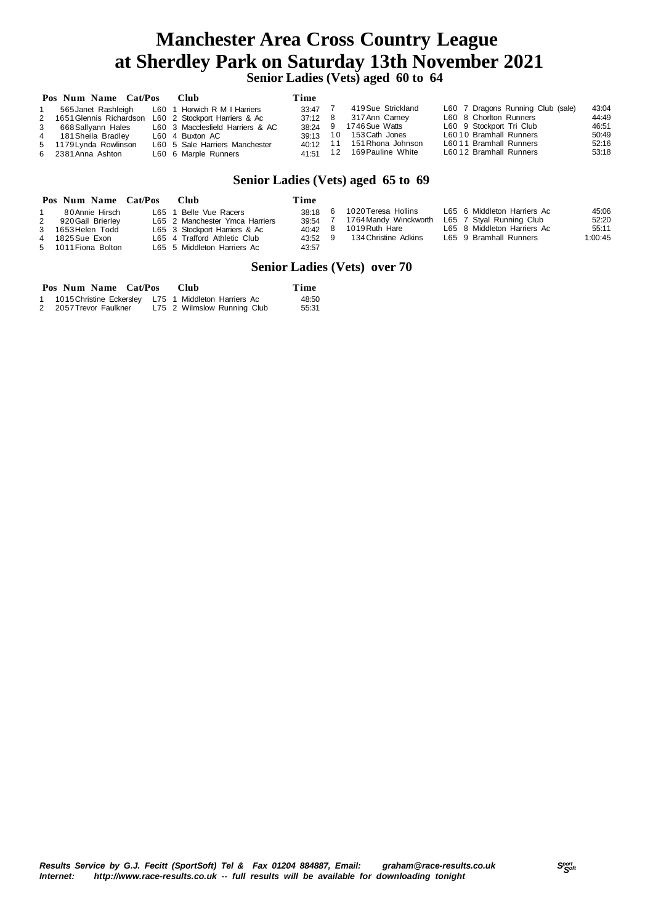**Senior Ladies (Vets) aged 60 to 64**

|             | Pos Num Name Cat/Pos      | — Club                           | Time      |                            |                                   |       |
|-------------|---------------------------|----------------------------------|-----------|----------------------------|-----------------------------------|-------|
|             | 565 Janet Rashleigh       | L60 1 Horwich R M I Harriers     | 33:47 7   | 419 Sue Strickland         | L60 7 Dragons Running Club (sale) | 43:04 |
|             | 2 1651 Glennis Richardson | L60 2 Stockport Harriers & Ac    | 37:12 8   | 317 Ann Carney             | L60 8 Chorlton Runners            | 44:49 |
| $3^{\circ}$ | 668 Sallyann Hales        | L60 3 Macclesfield Harriers & AC | $38.24$ 9 | 1746 Sue Watts             | L60 9 Stockport Tri Club          | 46:51 |
|             | 4 181 Sheila Bradley      | L60 4 Buxton AC                  | 39:13 10  | 153 Cath Jones             | L6010 Bramhall Runners            | 50:49 |
|             | 5 1179 Lynda Rowlinson    | L60 5 Sale Harriers Manchester   |           | 40:12 11 151 Rhona Johnson | L6011 Bramhall Runners            | 52:16 |
|             | 6 2381 Anna Ashton        | L60 6 Marple Runners             | 41.51 12  | 169 Pauline White          | L6012 Bramhall Runners            | 53:18 |

### **Senior Ladies (Vets) aged 65 to 69**

|              | Pos Num Name Cat/Pos                                                                                | - Club                                                                                                                                                   | Time                                            |                                                                                        |                                                                                                                  |                                    |
|--------------|-----------------------------------------------------------------------------------------------------|----------------------------------------------------------------------------------------------------------------------------------------------------------|-------------------------------------------------|----------------------------------------------------------------------------------------|------------------------------------------------------------------------------------------------------------------|------------------------------------|
| $\mathbf{2}$ | 80 Annie Hirsch<br>920 Gail Brierley<br>3 1653 Helen Todd<br>4 1825 Sue Exon<br>5 1011 Fiona Bolton | L65 1 Belle Vue Racers<br>L65 2 Manchester Ymca Harriers<br>L65 3 Stockport Harriers & Ac<br>L65 4 Trafford Athletic Club<br>L65 5 Middleton Harriers Ac | 38:18<br>39:54<br>40:42 8<br>$43:52$ 9<br>43:57 | 1020 Teresa Hollins<br>1764 Mandy Winckworth<br>1019 Ruth Hare<br>134 Christine Adkins | L65 6 Middleton Harriers Ac<br>L65 7 Styal Running Club<br>L65 8 Middleton Harriers Ac<br>L65 9 Bramhall Runners | 45.06<br>52:20<br>55:11<br>1:00:45 |
|              |                                                                                                     |                                                                                                                                                          |                                                 |                                                                                        |                                                                                                                  |                                    |

### **Senior Ladies (Vets) over 70**

| Pos Num Name Cat/Pos                                   | -Club                       | Time  |
|--------------------------------------------------------|-----------------------------|-------|
| 1 1015 Christine Eckersley L75 1 Middleton Harriers Ac |                             | 48:50 |
| 2 2057 Trevor Faulkner                                 | L75 2 Wilmslow Running Club | 55:31 |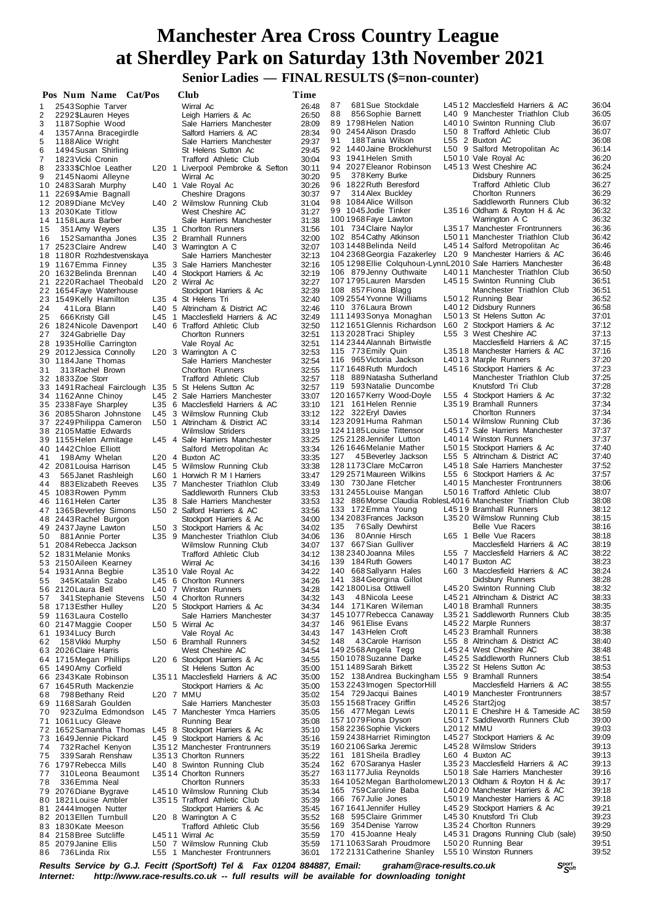# **Manchester Area Cross Country League at Sherdley Park on Saturday 13th November 2021 Senior Ladies — FINAL RESULTS (\$=non-counter)**

 **Pos Num Name Cat/Pos Club Time** 1 2543 Sophie Tarver Wirral Ac 26:48<br>2 2292 \$Lauren Heyes Leigh Harriers & Ac 26:50 2 2292\$Lauren Heyes Leigh Harriers & Ac 26:50 Sale Harriers Manchester 28:09<br>Salford Harriers & AC 28:34 4 1357 Anna Bracegirdle Salford Harriers & AC 28:34<br>5 1188 Alice Wright Sale Harriers Manchester 29:37 5 1188 Alice Wright Sale Harriers Manchester 29:37<br>6 1494 Susan Shirling St Helens Sutton Ac 29:45 6 1494Susan Shirling St Helens Sutton Ac 29:45 7 1823Vicki Cronin Trafford Athletic Club 30:04 Liverpool Pembroke & Sefton 30:11<br>Wirral Ac 30:20 9 2333\$Chloe Leather L20 1 Liverpool Pembroke & Sefton 30:11<br>9 2145Naomi Alleyne Wirral Ac 30:20<br>10 2483Sarah Murphy L40 1 Vale Royal Ac 30:26 2483 Sarah Murphy L40 1 Vale Royal Ac 30:26<br>2269 \$Amie Bagnall Cheshire Dragons 30:37 11 2269\$Amie Bagnall Cheshire Dragons 30:37<br>12 2089Diane McVey L40 2 Wilmslow Running Club 31:04 12 2089Diane McVey L40 2 Wilmslow Running Club 31:04<br>13 2030Kate Titlow West Cheshire AC 31:27 1 3 2030 Kate Titlow West Cheshire AC 31:27<br>14 1158 Laura Barber Sale Harriers Manchester 31:38 Sale Harriers Manchester<br>1 35 1 Chorlton Runners 1 5 351Amy Weyers L35 1 Chorlton Runners 31:56 1 6 152Samantha Jones L35 2 Bramhall Runners 32:00 17 2523 Claire Andrew L40 3 Warrington A C 32:07<br>18 1180 R Rozhdestvenskaya Sale Harriers Manchester 32:13 18 1180R Rozhdestvenskaya Sale Harriers Manchester 32:13<br>19 1167Emma Finney L35 3 Sale Harriers Manchester 32:16 19 1167Emma Finney L35 3 Sale Harriers Manchester 32:16<br>20 1632 Belinda Brennan L40 4 Stockport Harriers & Ac 32:19 2 0 1632Belinda Brennan L40 4 Stockport Harriers & Ac 32:19 2220 Rachael Theobald L20 2 Wirral Ac 3220 Rachael Theobald L20 2 Wirral Ac 2 2 1654Faye Waterhouse Stockport Harriers & Ac 32:39 23 1549Kelly Hamilton L35 4 St Helens Tri 32:40<br>24 11 Lora Blann L40 5 Altrincham & District AC 32:46 2 4 4 1Lora Blann L40 5 Altrincham & District AC 32:46 2 5 666Kristy Gill L45 1 Macclesfield Harriers & AC 32:49 2 6 1824Nicole Davenport L40 6 Trafford Athletic Club 32:50 27 324 Gabrielle Day Chorlton Runners 32:51<br>28 1935 Hollie Carrington Vale Royal Ac 32:51 28 1935 Hollie Carrington Vale Royal Ac 32:51<br>29 2012 Jessica Connolly L20 3 Warrington A C 32:53<br>30 1184 Jane Thomas Sale Harriers Manchester 32:54 2 9 2012Jessica Connolly L20 3 Warrington A C 32:53 3 0 1184Jane Thomas Sale Harriers Manchester 32:54 3 1 313Rachel Brown Chorlton Runners 32:55 3 2 1833Zoe Storr Trafford Athletic Club 32:57 1491 Racheal Fairclough L35 5 St Helens Sutton Ac 32:57<br>1162 Anne Chinoy L45 2 Sale Harriers Manchester 33:07 34 1162 Anne Chinoy L45 2 Sale Harriers Manchester 33:07<br>35 2338 Fave Sharpley L35 6 Macclesfield Harriers & AC 33:10 3 5 2338Faye Sharpley L35 6 Macclesfield Harriers & AC 33:10 3 6 2085Sharon Johnstone L45 3 Wilmslow Running Club 33:12 3 7 2249Philippa Cameron L50 1 Altrincham & District AC 33:14 3 8 2105Mattie Edwards Wilmslow Striders 33:19 3 9 1155Helen Armitage L45 4 Sale Harriers Manchester 33:25 442Chloe Elliott Christian Salford Metropolitan Ac 33:34<br>198Amy Whelan L20 4 Buxton AC 33:35 4 1 198Amy Whelan L20 4 Buxton AC 33:35 4 2 2081Louisa Harrison L45 5 Wilmslow Running Club 33:38 43 565Janet Rashleigh L60 1 Horwich R M I Harriers 33:47<br>44 883 Elizabeth Reeves L35 7 Manchester Triathlon Club 33:49 4 4 883Elizabeth Reeves L35 7 Manchester Triathlon Club 33:49 45 1083 Rowen Pymm Saddleworth Runners Club 33:53<br>46 1161 Helen Carter L35 8 Sale Harriers Manchester 33:53 4 6 1161Helen Carter L35 8 Sale Harriers Manchester 33:53 1365 Beverley Simons<br>2443 Rachel Burgon 48 2443 Rachel Burgon Stockport Harriers & Ac 34:00<br>49 2437 Javne Lawton 150 3 Stockport Harriers & Ac 34:02 4 9 2437Jayne Lawton L50 3 Stockport Harriers & Ac 34:02 5 0 881Annie Porter L35 9 Manchester Triathlon Club 34:06 51 2084 Rebecca Jackson 2009 Wilmslow Running Club 34:07<br>52 1831 Melanie Monks Trafford Athletic Club 34:12 5 2 1831Melanie Monks Trafford Athletic Club 34:12 5 3 2150Aileen Kearney Wirral Ac 34:16 54 1931 Anna Begbie <sup>1</sup> L3510 Vale Royal Ac 34:22<br>55 345 Katalin Szabo 1 L45 6 Chorlton Runners 34:26 6 Chorlton Runners 5 6 2120Laura Bell L40 7 Winston Runners 34:28 5 7 341Stephanie Stevens L50 4 Chorlton Runners 34:32 5 8 1713Esther Hulley L20 5 Stockport Harriers & Ac 34:34 5 9 1163Laura Costello Sale Harriers Manchester 34:37 6 0 2147Maggie Cooper L50 5 Wirral Ac 34:37 61 1934 Lucy Burch Vale Royal Ac 34:43<br>62 158 Vikki Murphy L50 6 Bramhall Runners 34:52 6 2 158Vikki Murphy L50 6 Bramhall Runners 34:52 63 2026 Claire Harris 2008 2026 Cheshire AC 34:54<br>64 1715 Megan Phillips 2008 2026 Cheshire AC 34:55 6 4 1715Megan Phillips L20 6 Stockport Harriers & Ac 34:55 65 1490 Amy Corfield **State State State State State State State State State State State State State State State**<br>66 2343 Kate Robinson L3511 Macclesfield Harriers & AC 35:00 6 6 2343Kate Robinson L35 1 1 Macclesfield Harriers & AC 35:00 67 1645 Ruth Mackenzie Stockport Harriers & Ac 35:00<br>68 798 Bethany Reid L20 7 MMU 68 798Bethany Reid L20 7 MMU<br>69 1168Sarah Goulden Sale Harriers Manchester 35:03 7 0 923Zulma Edmondson L45 7 Manchester Ymca Harriers 35:05 71 1061 Lucy Gleave **Running Bear** 35:08<br>72 1652 Samantha Thomas L45 8 Stockport Harriers & Ac 35:10 7 2 1652Samantha Thomas L45 8 Stockport Harriers & Ac 35:10 7 3 1649Jennie Pickard L45 9 Stockport Harriers & Ac 35:16 L35 1 2 Manchester Frontrunners 7 5 339Sarah Renshaw L35 1 3 Chorlton Runners 35:22 7 6 1797Rebecca Mills L40 8 Swinton Running Club 35:24 7 7 310Leona Beaumont L35 1 4 Chorlton Runners 35:27 7 8 336Emma Neal Chorlton Runners 35:33 79 2076 Diane Bygrave L45 10 Wilmslow Running Club 35:34<br>1991 80 1821 Louise Ambler L35 15 Trafford Athletic Club 35:39 80 1821 Louise Ambler L35 15 Trafford Athletic Club 35:39<br>81 2444 Imogen Nutter Stockport Harriers & Ac 35:45 2444Imogen Nutter<br>2013 Ellen Turnbull L20 8 82 2013 Ellen Turnbull L20 8 Warrington A C 35:52<br>83 1830 Kate Meeson Trafford Athletic Club 35:56 83 1830Kate Meeson Trafford Athletic Club 35:56<br>84 2158Bree Sutcliffe 14511 Wirral Ac 35:59 84 2158Bree Sutcliffe L45 11 Wirral Ac 35:59<br>85 2079 Janine Ellis L50 7 Wilmslow Running Club 35:59 85 2079Janine Ellis L50 7 Wilmslow Running Club 35:59<br>86 736Linda Rix L55 1 Manchester Frontrunners 36:01 L55 1 Manchester Frontrunners 87 681 Sue Stockdale L45 12 Macclesfield Harriers & AC 36:04<br>88 856 Sophie Barnett L40 9 Manchester Triathlon Club 36:05 8 8 856Sophie Barnett L40 9 Manchester Triathlon Club 36:05 L40 10 Swinton Running Club 9 0 2454Alison Drasdo L50 8 Trafford Athletic Club 36:07 91 188Tania Wilson L55 2 Buxton AC 36:08<br>92 1440 Jaine Brockleburst L50 9 Salford Metropolitan Ac 36:14 L50 9 Salford Metropolitan Ac 93 1941 Helen Smith L50 10 Vale Royal Ac 36:20<br>94 2027 Eleanor Robinson L45 13 West Cheshire AC 36:24 9 4 2027 Eleanor Robinson L45 1 3 West Cheshire AC 36:24<br>9 3 378 Kerry Burke Bidsbury Runners 36:25 9 5 378Kerry Burke Didsbury Runners 36:25 9 6 1822Ruth Beresford Trafford Athletic Club 36:27 97 314 Alex Buckley Chorlton Runners 36:29<br>98 1084 Alice Willson Saddleworth Runners Club 36:32 Saddleworth Runners Club 9 91045Jodie Tinker L35 16 Oldham & Royton H & Ac 36:32<br>100 1968 Faye Lawton Marrington A C 36:32 100 1968 Faye Lawton Marrington A C 36:32<br>101 734 Claire Naylor 1.35 17 Manchester Frontrunners 36:36 101 734Claire Naylor L35 1 7 Manchester Frontrunners 36:36 102 854Cathy Atkinson L50 1 1 Manchester Triathlon Club 36:42 103 1448Belinda Neild L45 1 4 Salford Metropolitan Ac 36:46 L20 9 Manchester Harriers & AC 105 1298Ellie Colquhoun-LynnL201 0 Sale Harriers Manchester 36:48 106 879Jenny Outhwaite L40 1 1 Manchester Triathlon Club 36:50 107 1795 Lauren Marsden L45 15 Swinton Running Club 36:51<br>108 857 Fiona Blagg Manchester Triathlon Club 36:51 1658 Manchester Triathlon Club 36:51<br>16:52 L5012 Running Bear 36:52 109 2554Yvonne Williams L50 1 2 Running Bear 36:52 110 376 Laura Brown L40 12 Didsbury Runners 36:58<br>111 1493 Sonya Monaghan L50 13 St Helens Sutton Ac 37:01 L50 13 St Helens Sutton Ac 112 1651Glennis Richardson L60 2 Stockport Harriers & Ac 37:12 113 2028 Traci Shipley L55 3 West Cheshire AC 37:13<br>114 2344 Alannah Birtwistle Macclesfield Harriers & AC 37:15 114 2344 Alannah Birtwistle Macclesfield Harriers & AC 37:15<br>115 773 Emily Quin L35 18 Manchester Harriers & AC 37:16 115 18 Manchester Harriers & AC 37:16<br>140 13 Marple Runners 37:20 116 965 Victoria Jackson L40 13 Marple Runners 37:20<br>117 1648 Ruth Murdoch L45 16 Stockport Harriers & Ac 37:23 117 1648 Ruth Murdoch L45 16 Stockport Harriers & Ac 37:23<br>118 889 Natasha Sutherland Manchester Triathlon Club 37:25 11889 Natasha Sutherland Manchester Triathlon Club<br>11893 Natalie Duncombe Knutsford Tri Club 119 593Natalie Duncombe Knutsford Tri Club 37:28 120 1657Kerry Wood-Doyle L55 4 Stockport Harriers & Ac 37:32 121 161Helen Rennie L35 1 9 Bramhall Runners 37:34 122 322 Eryl Davies Chorlton Runners 37:34<br>123 2091 Huma Rahman L50 14 Wilmslow Running Club 37:36 123 2091 Huma Rahman L50 14 Wilmslow Running Club 37:36<br>124 1185 Louise Tittensor L45 17 Sale Harriers Manchester 37:37 124 1185 Louise Tittensor L45 17 Sale Harriers Manchester 37:37<br>125 2128 Jennifer Lutton L40 14 Winston Runners 37:37 125 21 28 Jennifer Lutton L40 14 Winston Runners 37:37<br>126 1646 Melanie Mather L50 15 Stockport Harriers & Ac 37:40 126 Melanie Mather L50 15 Stockport Harriers & Ac 37:40<br>15 Severley Jackson L55 5 Altrincham & District AC 37:40 127 4 5Beverley Jackson L55 5 Altrincham & District AC 37:40 128 1173 Clare McCarron L45 18 Sale Harriers Manchester 37:52<br>129 25 71 Maureen Wilkins L55 6 Stockport Harriers & Ac 37:57 129 2571Maureen Wilkins L55 6 Stockport Harriers & Ac 37:57 130 730 Jane Fletcher L40 15 Manchester Frontrunners 38:06<br>131 2455 Louise Mangan L50 16 Trafford Athletic Club 38:07 131 150 16 Trafford Athletic Club 38:07<br>Atl 4016 Manchester Triathlon Club 38:08 132 886Morse Claudia RoblesL401 6 Manchester Triathlon Club 38:08 133 172Emma Young L45 19 Bramhall Runners 38:12<br>133 172Emma Young L45 19 Bramhall Runners 38:12<br>134 2083 Frances Jackson L35 20 Wilmslow Running Club 38:15 134 2083Frances Jackson L35 2 0 Wilmslow Running Club 38:15 135 76 Sally Dewhirst Belle Vue Racers 38:16<br>136 80 Annie Hirsch L65 1 Belle Vue Racers 38:18 136 80 Annie Hirsch L65 1 Belle Vue Racers 38:18<br>137 667 Sian Gulliver Macclesfield Harriers & AC 38:19 137 667Sian Gulliver Macclesfield Harriers & AC 38:19 12 Macclesfield Harriers & AC 38:22<br>17 Buxton AC 139 184Ruth Gowers L40 17 Buxton AC 1.4 1.6 2.23<br>140 668 Sallyann Hales L60 3 Macclesfield Harriers & AC 38:24 140 668Sallyann Hales L60 3 Macclesfield Harriers & AC 38:24 141 384Georgina Gillot Didsbury Runners 38:28 142 1800 Lisa Ottiwell L45 20 Swinton Running Club 38:32<br>143 18 Alicola Leese L45 21 Altrincham & District AC 38:33 143 4 8Nicola Leese L45 2 1 Altrincham & District AC 38:33 L40 18 Bramhall Runners 145 1077 Rebecca Canaway L35 21 Saddleworth Runners Club 38:35<br>146 961 Flise Evans L145 22 Marrile Runners 38:37 146 961Elise Evans L45 2 2 Marple Runners 38:37 147 143 Helen Croft L45 23 Bramhall Runners 38:38<br>148 143 Carole Harrison L55 8 Altrincham & District AC 38:40 148 4 3Carole Harrison L55 8 Altrincham & District AC 38:40 149 2568 Angela Tegg L45 24 West Cheshire AC 38:48<br>150 1078 Suzanne Darke L45 25 Saddleworth Runners Club 38:51 150 1078 Suzanne Darke L45 25 Saddleworth Runners Club 38:51<br>151 1489 Sarah Birkett L35 22 St Helens Sutton Ac 38:53 151 1489 L3522 St Helens Sutton Ac 38:53<br>155 9 Bramhall Runners 38:54 152 138 Andrea Buckingham L55 9 Bramhall Runners 38:54<br>153 2243 Impagen Spector Hill Macclesfield Harriers & AC 38:55 153 2243Imogen SpectorHill Macclesfield Harriers & AC 38:55 140 19 Manchester Frontrunners 38:57<br>145 26 Start2jog 38:57 155 1568 Tracey Griffin L45 26 Start 2jog<br>156 477 Megan Lewis L20 11 E Cheshire H & Tameside AC 38:59 156 477Megan Lewis L20 1 1 E Cheshire H & Tameside AC 38:59 150 17 Saddleworth Runners Club 39:00<br>120 12 MMU 158 2236 Sophie Vickers L20 12 MMU<br>159 2438 Harriet Rimington L45 27 Stockport Harriers & Ac 39:09 159 2438 Harriet Rimington L45 27 Stockport Harriers & Ac 39:09<br>160 2106 Sarka Jeremic L45 28 Wilmslow Striders 39:13 160 160 210 210 210 210 211 245 28 Wilmslow Striders 39:13<br>160 4 Buxton AC 39:13 161 181Sheila Bradley L60 4 Buxton AC 39:13 162 670 Saranya Hasler 1952 3 Macclesfield Harriers & AC 39:13<br>163 1177 Julia Reynolds 1950 18 Sale Harriers Manchester 39:16 163 1177Julia Reynolds L50 1 8 Sale Harriers Manchester 39:16 164 1052 Megan Bartholomew L20 13 Oldham & Royton H & Ac 39:17<br>165 759 Caroline Baba L40 20 Manchester Harriers & AC 39:18<br>166 767 Julie Jones L50 19 Manchester Harriers & AC 39:18 165 759 Caroline Baba L40 20 Manchester Harriers & AC 39:18<br>166 767 Julie Jones L50 19 Manchester Harriers & AC 39:18 166 767 Julie Jones L50 19 Manchester Harriers & AC 39:18<br>167 1641 Jennifer Hulley L45 29 Stockport Harriers & Ac 39:21 167 1641 Jennifer Hulley L45 29 Stockport Harriers & Ac 39:21<br>168 595 Claire Grimmer L45 30 Knutsford Tri Club 39:23 168 595 Claire Grimmer L45 30 Knutsford Tri Club 39.23<br>169 354 Denise Yarrow L35 24 Chorlton Runners 39.29 169 354 Denise Yarrow L35 24 Chorlton Runners 39:29<br>170 415 Joanne Healy L45 31 Dragons Running Club (sale) 39:50 L45 31 Dragons Running Club (sale) 39:50<br>L50 20 Running Bear 39:51 171 1063 Sarah Proudmore L50 20 Running Bear 39:51 (1995)<br>172 2131 Catherine Shanley L55 10 Winston Runners 39:51 172 2131 Catherine Shanley

*<sup>S</sup>port Results Service by G.J. Fecitt (SportSoft) Tel & Fax 01204 884887, Email: graham@race-results.co.uk <sup>S</sup>oft Internet: http://www.race-results.co.uk -- full results will be available for downloading tonight*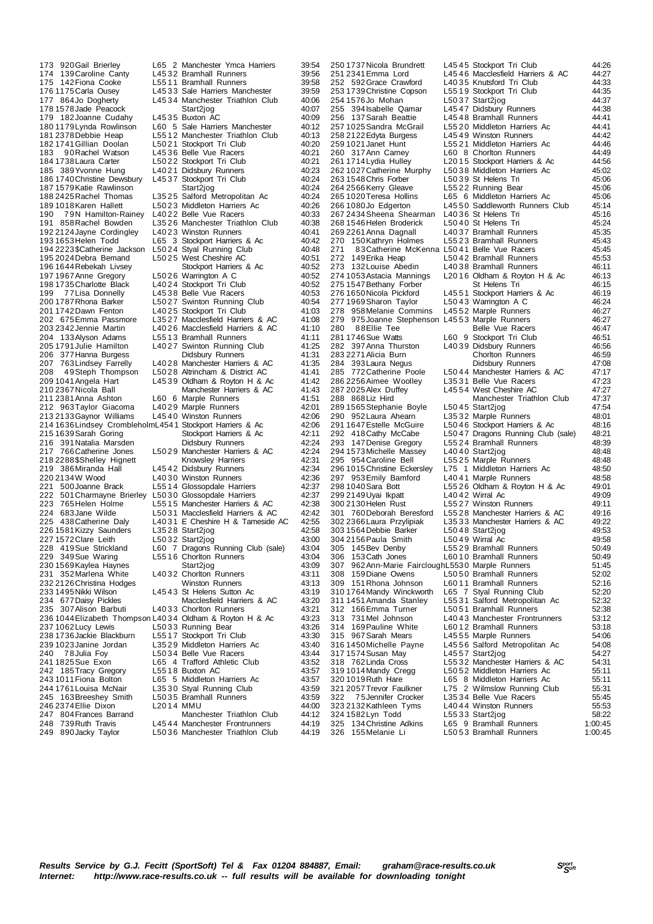248 739Ruth Travis L45 4 4 Manchester Frontrunners 44:19 1.50.3.6 Manchester Triathlon Club

173 920Gail Brierley L65 2 Manchester Ymca Harriers 39:54 174 139 Caroline Canty L45 32 Bramhall Runners 39:56<br>175 142 Fiona Cooke L55 11 Bramhall Runners 39:58 175 142 Fiona Cooke L55 11 Bramhall Runners 39:58<br>176 1175 Carla Ousev L45 33 Sale Harriers Manchester 39:59 176 1175 Carla Ousey L45 33 Sale Harriers Manchester 39:59<br>177 864 Jo Docherty L45 34 Manchester Triathlon Club 40:06 177 864Jo Dogherty L45 34 Manchester Triathlon Club<br>178 1578 Jade Peacock Start2ion 178 1578Jade Peacock Start2jog 40:07 179 182 Joanne Cudahy L45 35 Buxton AC 40:09<br>180 1179 Lynda Rowlinson L60 5 Sale Harriers Manchester 40:12 180 1179 Lynda Rowlinson L60 5 Sale Harriers Manchester 40:12<br>180 1179 Lynda Rowlinson L60 5 Sale Harriers Manchester 40:12 181 2378 Debbie Heap L55 12 Manchester Triathlon Club 40:13<br>182 1741 Gillian Doolan L50 21 Stockport Tri Club 40:20 182 1741 Gillian Doolan L50 21 Stockport Tri Club 40:20<br>183 190 Rachel Watson L45 36 Belle Vue Racers 40:21 183 9 0 Rachel Watson L45 3 6 Belle Vue Racers 40:21<br>184 173 8 Laura Carter L50 22 Stockport Tri Club 184 1738Laura Carter L50 2 2 Stockport Tri Club 40:21 185 389Yvonne Hung L40 2 1 Didsbury Runners 40:23 186 1740 Christine Dewsbury L45 37 Stockport Tri Club 40:24<br>187 1579 Katie Rawlinson Start2jog 40:24 187 1579Katie Rawlinson Start2jog 40:24 188 2425Rachel Thomas L35 2 5 Salford Metropolitan Ac 40:24 189 1018 Karen Hallett L50 23 Middleton Harriers Ac 40:26<br>190 79 N Hamilton-Rainev L40 22 Belle Vue Racers 40:33 190 79N Hamilton-Rainey L4022 Belle Vue Racers 40:33<br>191 858 Rachel Bowden L3526 Manchester Triathlon Club 40:38 1912 Bowden Later Triathlon Club 40:38<br>1913 L4023 Winston Runners 40:41 192 2124 Jayne Cordingley L40 23 Winston Runners 40:41<br>193 1653 Helen Todd L65 3 Stockport Harriers & Ac 40:42 193 1653 Helen Todd L65 3 Stockport Harriers & Ac 40:42<br>194 2223 Scatherine Jackson L50 24 Stval Running Club 40:48 194 2223 SCatherine Jackson L50 24 Styal Running Club 40:48<br>195 2024 Debra Bemand L50 25 West Cheshire AC 40:51 195 2024Debra Bemand L50 2 5 West Cheshire AC 40:51 196 1644Rebekah Livsey Stockport Harriers & Ac 40:52 190 1944 November 1970<br>197 1967 Anne Gregory 1 L50 2 6 Warrington A C 40:52<br>198 1735 Charlotte Black 140 24 Stockport Tri Club 40:52 198 1735 Charlotte Black L40 24 Stockport Tri Club 40:52<br>199 17 Lisa Donnelly L45 38 Belle Vue Racers 40:53 199 77 Lisa Donnelly L45 38 Belle Vue Racers 40:53<br>2001 2017 2001 1787 Rhona Barker L50 27 Swinton Running Club 200 1787 Rhona Barker L50 27 Swinton Running Club 40:54<br>
201 1742 Dawn Fenton L40 25 Stockport Tri Club 41:03 201 1742 Dawn Fenton L40 25 Stockport Tri Club 41:03<br>202 675 Emma Passmore L35 27 Macclesfield Harriers & AC 41:08 202 675Emma Passmore L3527 Macclesfield Harriers & AC 41:08<br>203 2342 Jennie Martin L4026 Macclesfield Harriers & AC 41:10 204 133Alyson Adams L55 13 Bramhall Runners 41:11<br>205 1791 Julie Hamilton L4027 Swinton Running Club 41:25 205 1791Julie Hamilton L40 2 7 Swinton Running Club 41:25 206 377 Hanna Burgess Didsbury Runners 41:31<br>207 763 Lindsey Farrelly L40 28 Manchester Harriers & AC 41:35 207 763 Lindsey Farrelly L40 28 Manchester Harriers & AC 41:35<br>208 49 Steph Thompson L50 28 Altrincham & District AC 41:41 208 4 9Steph Thompson L50 2 8 Altrincham & District AC 41:41 209 1041 Angela Hart L45 39 Oldham & Royton H & Ac 41:42<br>210 2367 Nicola Ball Manchester Harriers & AC 41:43 210 2367 Nicola Ball Manchester Harriers & AC<br>211 2381 Anna Ashton 160 6 Marnie Runners 211 2381Anna Ashton L60 6 Marple Runners 41:51 212 963Taylor Giacoma 220 963Taylor Giacoma 21029 Marple Runners 42:01<br>213 2133Gaynor Williams 21540 Winston Runners 42:06 2135 2134 2135 2134 2135 2145 42:06<br>mL454 1 Stockport Harriers & Ac 42:06 214 1636 Lindsey CrombleholmL454 1 Stockport Harriers & Ac 42:06<br>215 1639 Sarah Goring Stockport Harriers & Ac 42:11 215 1639Sarah Goring Stockport Harriers & Ac 42:11 216 391Natalia Marsden Didsbury Runners 42:24 222 15029 Manchester Harriers & AC 42:24<br>Knowslev Harriers 42:31 218 2288 \$Shelley Hignett Knowsley Harriers 42:31<br>219 386 Miranda Hall L4542 Didsbury Runners 42:34 218 2288 \$Shelley Hignett The Mowsley Harriers (1992)<br>219 386 Miranda Hall L45 4 2 Didsbury Runners 42:34<br>220 2134 W Wood L40 30 Winston Runners 42:36 220 2134 W Vood L40 30 Winston Runners 42:36<br>221 500 Joanne Brack L5514 Glossopdale Harriers 42:37 221 500Joanne Brack L55 14 Glossopdale Harriers 42:37<br>222 501 Charmayne Brierley L50 30 Glossopdale Harriers 42:37 222 501 Charmayne Brierley L50 30 Glossopdale Harriers 42:37<br>223 765 Helen Holme L551 5 Manchester Harriers & AC 42:38 223 765 Helen Holme L55 15 Manchester Harriers & AC 42:38<br>224 683 Jane Wilde L50 31 Macclesfield Harriers & AC 42:42 224 683 Jane Wilde L50 31 Macclesfield Harriers & AC 42:42<br>225 438 Catherine Dalv L40 31 E Cheshire H & Tameside AC 42:55 226 438 E Cheshire H & Tameside AC 42:55<br>L3528 Start2jog 42:58 226 1581Kizzy Saunders L35 2 8 Start2jog 42:58 227 1572Clare Leith L50 3 2 Start2jog 43:00 228 419Sue Strickland L60 7 Dragons Running Club (sale) 43:04 229 349 Sue Waring L55 16 Chorton Runners 13:04<br>230 1569 Kaylea Haynes Start2jog 43:09 230 1569Kaylea Haynes Start2jog 43:09 231 352Marlena White L40 3 2 Chorlton Runners 43:11 232 2126 Christina Hodges<br>232 2126 Christina Hodges Winston Runners 43:13<br>233 1495 Nikki Wilson L45 43 St Helens Sutton Ac 43:19 233 1495 Nikki Wilson  $\overline{234}$  677 Daisy Pickles L45 43 St Helens Sutton Ac 43:19 234 677 Daisy Pickles Macclesfield Harriers & AC 43:20<br>235 307 Alison Barbuti L40 33 Chorlton Runners 43:21 240 33 Chorlton Runners 43:21<br>23:21 L40 34 Oldham & Rovton H & Ac 43:23 236 1044 Elizabeth Thompson L40 34 Oldham & Royton H & Ac 43:23<br>237 1062 Lucy Lewis L50 33 Running Bear 43:26 237 1062 Lucy Lewis L50 33 Running Bear 43:26<br>238 1736 Jackie Blackburn L55 17 Stockport Tri Club 43:30 238 1736Jackie Blackburn L55 1 7 Stockport Tri Club 43:30 239 1023 Janine Jordan L35 29 Middleton Harriers Ac 43:40<br>240 78 Julia Foy L50 34 Belle Vue Racers 43:44 240 78Julia Foy L50 34 Belle Vue Racers 43:44<br>241 1825 Sue Exon L65 4 Trafford Athletic Club 43:52 241 1825Sue Exon L65 4 Trafford Athletic Club 43:52 242 185Tracy Gregory L55 1 8 Buxton AC 43:57 243 1011Fiona Bolton L65 5 Middleton Harriers Ac 43:57 244 1761 Louisa McNair L35 30 Styal Running Club 43:59<br>245 163 Breeshev Smith L50 35 Bramhall Runners 43:59 245 163 Breeshey Smith L50 35 Bramhall Runners 43:59<br>246 2374 Ellie Dixon L20 14 MMU 44:00 246 2374 Ellie Dixon Carrier L20 14 MMU<br>247 804 Frances Barrand Manchester Triathlon Club 44:12 247 804Frances Barrand Manchester Triathlon Club 44:12

287 2025 Alex Duffey L45 54 West Cheshire AC<br>288 868 Lize Hird Manchester Triath 325 134 Christine Adkins<br>326 155 Melanie Li

250 1737 Nicola Brundrett L45 45 Stockport Tri Club 44:26<br>251 2341 Emma Lord L45 4 6 Macclesfield Harriers & AC 44:27 251 2341 Emma Lord L45 4 6 Macclesfield Harriers & AC 44:27<br>252 592 Grace Crawford L40 35 Knutsford Tri Club 44:33 240 1552 14533 L40 35 Knutsford Tri Club 44:33 253 1739 Christine Copson L55 19 Stockport Tri Club 44:35<br>254 1576 Io Mohan 150 37 Start2ion 44:37 254 1576Jo Mohan - 2007 - 254 1576Jo Mohan - 2554 1576Jo Mohan - 2564 1576Jo Mohan - 2564 1576Jo Mohan - 2555<br>255 394 Isabelle Qamar - 254 7 Didsbury Runners - 254 14:38 255 394Isabelle Qamar L45 4 7 Didsbury Runners 44:38 256 137Sarah Beattie L45 4 8 Bramhall Runners 44:41 257 1025 Sandra McGrail L55 20 Middleton Harriers Ac 44:41<br>258 2122 Edyta Burgess L45 49 Winston Runners 44:42 258 2122Edyta Burgess L45 4 9 Winston Runners 44:42 259 1021Janet Hunt L55 2 1 Middleton Harriers Ac 44:46 260 317Ann Carney L60 8 Chorlton Runners 44:49<br>261 1714 Lydia Hulley L2015 Stockport Harriers & Ac 44:56<br>262 1027 Catherine Murphy L50 38 Middleton Harriers Ac 45:02 261 1714Lydia Hulley L20 1 5 Stockport Harriers & Ac 44:56 262 1027Catherine Murphy L50 3 8 Middleton Harriers Ac 45:02 263 1548Chris Forber L50 3 9 St Helens Tri 45:06 264 2566Kerry Gleave L55 2 2 Running Bear 45:06 265 1020Teresa Hollins L65 6 Middleton Harriers Ac 45:06 2650 Saddleworth Runners Club<br>26:16 1080 L4036 St Helens Tri 45:16<br>245:24 15:24 L5040 St Helens Tri 267 2434 Sheena Shearman L40 36 St Helens Tri 45:16<br>268 1546 Helen Broderick 150 40 St Helens Tri 45:24 268 1546 Helen Broderick L50 40 St Helens Tri 45:24<br>268 1546 Helen Broderick L50 40 St Helens Tri 45:24<br>269 2261 Anna Dagnall L40 37 Bramhall Runners 45:35 269 2261 Anna Dagnall L40 37 Bramhall Runners 1992<br>269 2261 Anna Dagnall L40 37 Bramhall Runners 45:35<br>270 150 Kathryn Holmes L55 23 Bramhall Runners 45:43 270 150 Kathryn Holmes L55 23 Bramhall Runners 45:43<br>271 83 Catherine McKenna L50 41 Belle Vue Racers 45:45 271 8 3Catherine McKenna L50 41 Belle Vue Racers 45:45<br>272 149 Erika Heap 150 42 Bramhall Runners 45:53 L50 42 Bramhall Runners 45:53<br>L40 38 Bramhall Runners 46:11 273 132 Louise Abedin L40 38 Bramhall Runners 46:11<br>273 132 Louise Abedin L40 38 Bramhall Runners 46:11<br>274 1053 Astacia Mannings L20 16 Oldham & Royton H & Ac 46:13 L2016 Oldham & Royton H & Ac 46:13<br>246:15 St Helens Tri 46:15 275 1547 Bethany Forber St Helens Tri 37.5<br>275 1547 Bethany Forber St Helens Tri 46:15<br>276 1650 Nicola Pickford L45 51 Stockport Harriers & Ac 46:19 276 1651 166 166 166 166 166 166.19<br>16.19 1650 1650 166.19 166.24 16:24 277 1969 Sharon Taylor L50 43 Warrington A C 46:24<br>278 958 Melanie Commins L45 52 Marple Runners 46:27 278 958 Melanie Commins L45 52 Marple Runners 46:27<br>279 975 Joanne Stephenson L45 53 Marple Runners 46:27 279 975Joanne Stephenson L45 53 Marple Runners 46:27<br>280 88 Filie Tee Belle Vue Racers 46:47 280 88 Ellie Tee **Belle Vue Racers** 46:47 281 1746Sue Watts L60 9 Stockport Tri Club 46:51 282 397Anna Thurston L40 3 9 Didsbury Runners 46:56 283 2271Alicia Burn Chorlton Runners 46:59 284 393Laura Negus Didsbury Runners 47:08<br>285 772Catherine Poole L5044 Manchester Harriers & AC 47:17 285 772 Catherine Poole L50 44 Manchester Harriers & AC 47:17<br>286 2256 Aimee Woolley L35 31 Belle Vue Racers 47:23 286 2256 Aimee Woolley L35 31 Belle Vue Racers 47:23<br>287 2025 Alex Duffey L45 54 West Cheshire AC 47:27 28 Manchester Triathlon Club 47:37<br>47:54 47:54 289 1565 Stephanie Boyle L50 45 Start2jog 47:54<br>290 952 Laura Ahearn L35 32 Marple Runners 48:01 290 952Laura Ahearn L35 32 Marple Runners 48:01<br>291 1647 Estelle McGuire L50 46 Stockport Harriers & Ac 48:16 291 1647 Estelle McGuire L50 4 6 Stockport Harriers & Ac 48:16<br>292 418 Cathy McCabe L50 47 Dragons Running Club (sale) 48:21<br>293 147 Denise Gregory L55 24 Bramhall Runners 48:39 292 418 Cathy McCabe L50 47 Dragons Running Club (sale) 48:21 293 147 Denise Gregory L55 24 Bramhall Runners 48:39 294 1573 Michelle Massey L40 40 Start2jog 48:48<br>295 954 Caroline Bell 15525 Marple Runners 48:48 295 954 Caroline Bell L55 25 Marple Runners 48:48<br>296 1015 Christine Eckersley L75 1 Middleton Harriers Ac 48:50 296 1015 Christine Eckersley L75 1 Middleton Harriers Ac 48:50<br>297 953 Emily Bamford L40 41 Marple Runners 48:58 297 953 Emily Bamford L40 41 Marple Runners 48:58<br>298 1040 Sara Bott L55 26 Oldham & Royton H & Ac 49:01 298 26 Oldham & Royton H & Ac 49:01<br>19:01 L4042 Wirral Ac 49:09 299 2149 Uyai Ikpatt L40 42 Wirral Ac 1999 2149 Uyai Ikpatt L49:09<br>300 2130 Helen Rust L55 27 Winston Runners 49:11 300 2130 Helen Rust L55 27 Winston Runners 49:11<br>301 760 Deborah Beresford L55 28 Manchester Harriers & AC 49:16 301 760 Deborah Beresford L55 28 Manchester Harriers & AC 49:16<br>302 2366 Laura Przylipiak L35 33 Manchester Harriers & AC 49:22 303 1564Debbie Barker L50 4 8 Start2jog 49:53 304 2156 Paula Smith L50 49 Wirral Ac 49:58<br>305 145 Bev Denby L55 29 Bramhall Runners 60:49 305 145Bev Denby L55 2 9 Bramhall Runners 50:49 306 153Cath Jones L60 10 Bramhall Runners 50:49<br>307 962Ann-Marie Fairclough 5530 Marple Runners 51:45 307 962Ann-Marie FaircloughL553 0 Marple Runners 51:45 308 159Diane Owens L50 5 0 Bramhall Runners 52:02 309 151Rhona Johnson L60 1 1 Bramhall Runners 52:16 310 1764Mandy Winckworth L65 7 Styal Running Club 52:20 311 1451 Amanda Stanley L55 31 Salford Metropolitan Ac 52:32<br>312 166 Emma Turner L50 51 Bramhall Runners 52:38 312 166 Emma Turner L50 51 Bramhall Runners 52:38<br>313 731 Mel Johnson L40 43 Manchester Frontrunners 53:12 313 731 Mel Johnson L40 43 Manchester Frontrunners 53:12<br>314 169 Pauline White L60 12 Bramball Runners 53:18 314 169 Pauline White L60 12 Bramhall Runners 53:18<br>315 967 Sarah Mears 14555 Marnie Runners 54:06 315 967Sarah Mears L45 5 5 Marple Runners 54:06 216 03 marple Tenness<br>
L45 56 Salford Metropolitan Ac 54:08<br>
L45 57 Start2jog 54:27 317 1574 Susan May L45 57 Start2jog 54:27<br>318 762 Linda Cross L55 32 Manchester Harriers & AC 54:31 L55 3 2 Manchester Harriers & AC 54:31<br>L50 5 2 Middleton Harriers Ac 55:11 150 52 Middleton Harriers Ac 55:11<br>165 8 Middleton Harriers Ac 55:11 319 1014 Mandy Cregg L50 52 Middleton Harriers Ac 55:11<br>320 1019 Ruth Hare L65 8 Middleton Harriers Ac 55:11<br>321 2057 Trevor Faulkner L75 2 Wilmslow Running Club 55:31 321 2057Trevor Faulkner L75 2 Wilmslow Running Club 55:31 322 75Jennifer Crocker L35 34 Belle Vue Racers 55:45<br>323 2132 Kathleen Tyms L40 44 Winston Runners 55:53 323 2132Kathleen Tyms L40 4 4 Winston Runners 55:53 324 1582Lyn Todd L55 3 3 Start2jog 58:22 325 134Christine Adkins L65 9 Bramhall Runners 1:00:45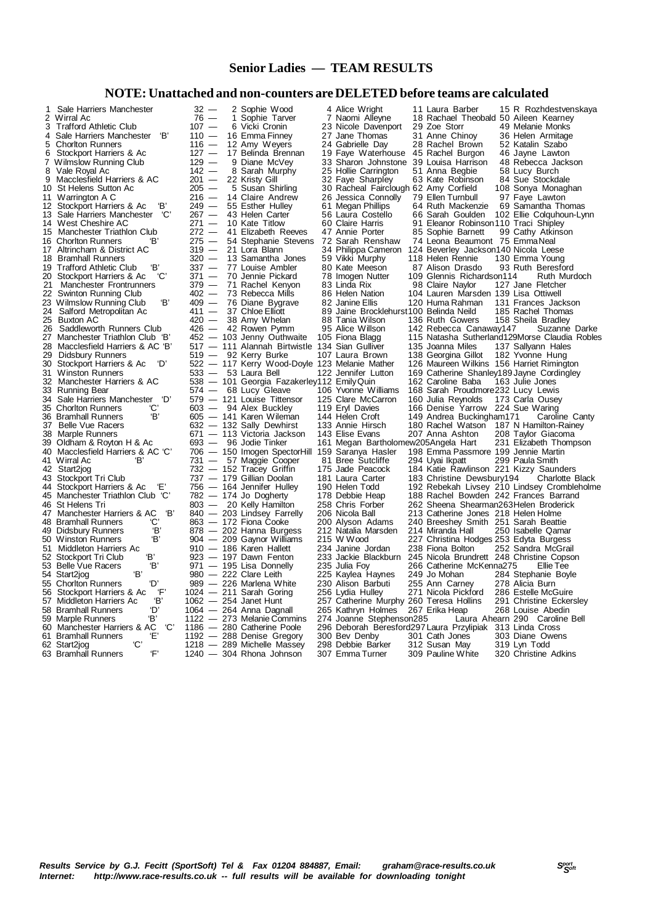### **Senior Ladies — TEAM RESULTS**

### **NOTE: Unattached and non-counters are DELETED before teams are calculated**

| 1               | Sale Harriers Manchester                                                          | $\begin{array}{r} 32 \\ 76 \\ 107 \\ 110 \\ 116 \\ 127 \\ 120 \end{array}$ |              | 2 Sophie Wood                                                                                                                                                                                                                                 |
|-----------------|-----------------------------------------------------------------------------------|----------------------------------------------------------------------------|--------------|-----------------------------------------------------------------------------------------------------------------------------------------------------------------------------------------------------------------------------------------------|
| $\frac{2}{3}$   | Wirral Ac                                                                         |                                                                            | $\mathbf{1}$ | Sophie Tarver                                                                                                                                                                                                                                 |
|                 | <b>Trafford Athletic Club</b>                                                     |                                                                            |              | 6 Vicki Cronin                                                                                                                                                                                                                                |
| 4               | ΈВ'<br>Sale Harriers Manchester                                                   |                                                                            |              | 16 Emma Finney                                                                                                                                                                                                                                |
| 5               | <b>Choriton Runners</b>                                                           |                                                                            |              | 12 Amy Weyers                                                                                                                                                                                                                                 |
| 6               | Stockport Harriers & Ac                                                           |                                                                            |              | 17 Belinda Brennar                                                                                                                                                                                                                            |
| 7<br>8          | <b>Wilmslow Running Club</b>                                                      |                                                                            |              |                                                                                                                                                                                                                                               |
|                 | Vale Royal Ac                                                                     |                                                                            |              |                                                                                                                                                                                                                                               |
| 9               | Macclesfield Harriers & AC                                                        |                                                                            |              |                                                                                                                                                                                                                                               |
| 10              | St Helens Sutton Ac                                                               |                                                                            |              |                                                                                                                                                                                                                                               |
| 11              | Warrington A C                                                                    |                                                                            |              |                                                                                                                                                                                                                                               |
|                 | 'B'<br>12 Stockport Harriers & Ac                                                 |                                                                            |              |                                                                                                                                                                                                                                               |
| 13              | 'C'<br>Sale Harriers Manchester                                                   |                                                                            |              |                                                                                                                                                                                                                                               |
| 14              | West Cheshire AC                                                                  |                                                                            |              |                                                                                                                                                                                                                                               |
| 15              | Manchester Triathlon Club                                                         |                                                                            |              |                                                                                                                                                                                                                                               |
| 16              | <b>Chorlton Runners</b><br>ΈВ'                                                    |                                                                            |              |                                                                                                                                                                                                                                               |
| 17              | Altrincham & District AC                                                          |                                                                            |              |                                                                                                                                                                                                                                               |
| 18              | <b>Bramhall Runners</b>                                                           |                                                                            |              |                                                                                                                                                                                                                                               |
| 19              | <b>Trafford Athletic Club</b><br>'B'                                              |                                                                            |              |                                                                                                                                                                                                                                               |
| 20              | 'C'<br>Stockport Harriers & Ac                                                    |                                                                            |              |                                                                                                                                                                                                                                               |
| $\overline{21}$ | Manchester Frontrunners                                                           |                                                                            |              |                                                                                                                                                                                                                                               |
| 22              | Swinton Running Club                                                              |                                                                            |              |                                                                                                                                                                                                                                               |
| 23<br>24        | Wilmslow Running Club<br>Έ,                                                       |                                                                            |              |                                                                                                                                                                                                                                               |
|                 | Salford Metropolitan Ac                                                           |                                                                            |              |                                                                                                                                                                                                                                               |
| 25              | <b>Buxton AC</b>                                                                  |                                                                            |              |                                                                                                                                                                                                                                               |
| 26              | Saddleworth Runners Club                                                          |                                                                            |              |                                                                                                                                                                                                                                               |
| 27              | Manchester Triathlon Club 'B'                                                     |                                                                            |              |                                                                                                                                                                                                                                               |
| 28              | Macclesfield Harriers & AC 'B'                                                    |                                                                            |              | 127 $-$ 12 Amily Weyers<br>127 $-$ 12 Amily Weyers<br>129 $-$ 9 Diane McVey<br>142 $-$ 8 Sarah Murphy<br>201 $-$ 8 Susan Shirling<br>216 $-$ 14 Claire Andrew<br>249 $-$ 55 Susan Shirling<br>249 $-$ 55 Esther Hulley<br>267 $-$ 43 Helen Ca |
| 29              | <b>Didsbury Runners</b>                                                           |                                                                            |              |                                                                                                                                                                                                                                               |
| 30              | 'D'<br>Stockport Harriers & Ac                                                    |                                                                            |              | 522 - 117 Kerry Wood-Do                                                                                                                                                                                                                       |
| 31              | <b>Winston Runners</b>                                                            |                                                                            |              |                                                                                                                                                                                                                                               |
| 32              | Manchester Harriers & AC                                                          |                                                                            |              | $622 - 53$ Laura Bell<br>$533 - 53$ Laura Bell<br>$574 - 68$ Lucy Gleave<br>$579 - 121$ Louise Tittensor<br>$603 - 94$ Alex Buckley<br>$444$ Karen Wileman                                                                                    |
|                 | 33 Running Bear                                                                   |                                                                            |              |                                                                                                                                                                                                                                               |
| 34              | Sale Harriers Manchester 'D'<br>'C'                                               |                                                                            |              |                                                                                                                                                                                                                                               |
|                 | 35 Chorlton Runners<br>'B'                                                        |                                                                            |              | $603 - 94$ Alex Buckley<br>$605 - 141$ Karen Wileman<br>$632 - 132$ Sally Dewhirst<br>$671 - 113$ Victoria Jackson                                                                                                                            |
|                 | 36 Bramhall Runners                                                               |                                                                            |              |                                                                                                                                                                                                                                               |
| 37<br>38        | <b>Belle Vue Racers</b>                                                           |                                                                            |              |                                                                                                                                                                                                                                               |
|                 | Marple Runners<br>39 Oldham & Royton H & Ac                                       |                                                                            |              | $693 - 96$ Jodie Tinker<br>$706 - 150$ Imogen Spector<br>$731 - 57$ Maggie Cooper<br>$732 - 152$ Tracey Griffin<br>$737 - 179$ Gillian Doolan<br>$756 - 164$ Jennifer Hulley<br>$782 - 174$ Jo Dogherty<br>$902 - 124$ Jo Lighty Hamilton     |
|                 | 40 Macclesfield Harriers & AC 'C'                                                 |                                                                            |              |                                                                                                                                                                                                                                               |
| 41              | Wirral Ac<br>'B'                                                                  |                                                                            |              |                                                                                                                                                                                                                                               |
| 42              | Start2jog                                                                         |                                                                            |              |                                                                                                                                                                                                                                               |
|                 | 43 Stockport Tri Club                                                             |                                                                            |              |                                                                                                                                                                                                                                               |
|                 | 44 Stockport Harriers & Ac                                                        |                                                                            |              |                                                                                                                                                                                                                                               |
|                 | 45 Manchester Triathlon Club 'C'                                                  |                                                                            |              |                                                                                                                                                                                                                                               |
|                 |                                                                                   |                                                                            |              | $1803 - 20$ Kelly Hamilton<br>$840 - 203$ Lindsey Farrelly<br>$863 - 172$ Fiona Cooke<br>$878 - 202$ Hanna Burgess<br>$910 - 186$ Karen Hallett<br>$629 - 209$ Gaynor Williams<br>$910 - 186$ Karen Hallett<br>$623 - 197$ Dawn Fenton        |
|                 | 46 St Helens In<br>47 Manchester Harriers & AC<br>17 Decembell Runners (C)<br>'В' |                                                                            |              |                                                                                                                                                                                                                                               |
|                 |                                                                                   |                                                                            |              |                                                                                                                                                                                                                                               |
|                 | 'B'<br>49 Didsbury Runners                                                        |                                                                            |              |                                                                                                                                                                                                                                               |
|                 | 'B'<br>50 Winston Runners                                                         |                                                                            |              |                                                                                                                                                                                                                                               |
| 51              | Middleton Harriers Ac                                                             |                                                                            |              |                                                                                                                                                                                                                                               |
|                 | 'B'<br>52 Stockport Tri Club                                                      |                                                                            |              |                                                                                                                                                                                                                                               |
|                 | Έ,<br>53 Belle Vue Racers                                                         |                                                                            |              | $923 - 197$ Dawn Fenton<br>$971 - 195$ Lisa Donnelly<br>$980 - 222$ Clare Leith                                                                                                                                                               |
|                 | Έ,<br>54 Start2jog                                                                |                                                                            |              |                                                                                                                                                                                                                                               |
|                 | 55 Chorlton Runners<br>'D'                                                        |                                                                            |              |                                                                                                                                                                                                                                               |
| 56              | 'F'<br>Stockport Harriers & Ac                                                    |                                                                            |              |                                                                                                                                                                                                                                               |
|                 | $^{\prime} \text{B}$<br>57 Middleton Harriers Ac                                  |                                                                            |              |                                                                                                                                                                                                                                               |
|                 | 'D'<br>58 Bramhall Runners                                                        |                                                                            |              | $989 - 226$ $226$ $1024 - 211$ $524$ $1062 - 254$ $1064 - 264$ Anna Dagnall<br>$1122 - 273$ Median Commitm<br>$122 - 273$ Median Commitment<br>$126$ $126$ $126$ $126$ $126$ $126$ $126$ $127$ $128$ $128$ $129$ $129$ $129$ $120$ $120$      |
|                 | 59 Marple Runners<br>'В'                                                          |                                                                            |              |                                                                                                                                                                                                                                               |
|                 | .C<br>60 Manchester Harriers & AC                                                 |                                                                            |              |                                                                                                                                                                                                                                               |
|                 | Έ,<br>61 Bramhall Runners                                                         |                                                                            |              |                                                                                                                                                                                                                                               |
|                 | 'С'<br>62 Start2jog                                                               |                                                                            |              | 1186 - 280 Catherine Poole<br>1192 - 288 Denise Gregory<br>1218 - 289 Michelle Massey                                                                                                                                                         |
|                 | 'F'<br>63 Bramhall Runners                                                        |                                                                            |              | 1240 - 304 Rhona Johnson                                                                                                                                                                                                                      |

11 National Marrington Andrew 26 Jessica Connolly 79 Ellen Turnbull<br>249 — 55 Esther Hulley 61 Megan Phillips 64 Ruth Mackenzie 24 Salford Metropolitan Active 89 Jaine Brocklehurst100 Belinda Neild<br>420 — 38 Amy Whelan 88 Tania Wilson 136 Ruth Gowers 49 Bizabell Runners Court Runners 212 Natalia Marsden 202 Hanna Burgess 212 Natalia M<br>904 — 209 Gaynor Williams 215 W Wood 510 — 186 Karen Hallett 234 Janine Jordan<br>1923 — 197 Dawn Fenton 233 Jackie Blackburn 1218 — 289 Michelle Massey 298 Debbie Barker 312 Susan May 1240 — 304 Rhona Johnson 307 Emma Turner 309 Pauline White

 1 Sale Harriers Manchester 32 — 2 Sophie Wood 4 Alice Wright 11 Laura Barber 15 R Rozhdestvenskaya 2 Wirral Ac 76 — 1 Sophie Tarver 7 Naomi Alleyne 18 Rachael Theobald 50 Aileen Kearney 3 Trafford Athletic Club 107 — 6 Vicki Cronin 23 Nicole Davenport 29 Zoe Storr 49 Melanie Monks 32 - 2 Sophie Wood 4 Alice Wright 11 Laura Barber 15 R Rozhdestven<br>
76 - 1 Sophie Tarver 7 Naomi Alleyne 18 Rachael Theobald 50 Aileen Kearney<br>
107 - 16 Emma Finney 27 Jane Thomas 31 Anne Chinoy 36 Helen Armitage<br>
110 - 12 5 Chorlton Runners 116 — 12 Amy Weyers 24 Gabrielle Day 28 Rachel Brown 52 Katalin Szabo 127 — 17 Belinda Brennan 19 Faye Waterhouse 45 Rachel Burgon 46 Jayne Lawton<br>129 — 9 Diane McVey 33 Sharon Johnstone 39 Louisa Harrison 48 Rebecca Jackson<br>142 — 8 Sarah Murphy 25 Hollie Carrington 51 Anna Begbie 58 Lucy Bu 7 Wilmslow Running Club 129 — 9 Diane McVey 33 Sharon Johnstone 39 Louisa Harrison 48 Rebecca Jackson 8 Vale Royal Ac 142 — 8 Sarah Murphy 25 Hollie Carrington 51 Anna Begbie 58 Lucy Burch 9 Maccles Macclesfield Harriers Christopher State Harriers (1990)<br>1992 — 22 Kristy Gill 32 Faye Sharpley 63 Kate Robinson 84 Sue Stockdale<br>1995 — 5 Susan Shirling 30 Racheal Fairclough 62 Amy Corfield 108 Sonya Monaghan 205 — 5 Susan Shirling 30 Racheal Fairclough 62 Amy Corfield 108 Sonya Monaghand 216 — 14 Claire Andrew 26 Jessica Connolly 79 Ellen Turnbull 97 Faye Lawton 1249 - 55 Esther Hulley 61 Megan Phillips 64 Ruth Mackenzie 69 Samantha Thomas<br>1267 - 43 Helen Carter 56 Laura Costello 66 Sarah Goulden 102 Ellie Colquhoun-Ly<br>1271 - 10 Kate Titlow 60 Claire Harris 91 Eleanor Robinson 110 267 — 43 Helen Carter  $\begin{array}{r} 56$  Laura Costello 66 Sarah Goulden 102 Ellie Colquhoun-Lynn<br>271 — 10 Kate Titlow 60 Claire Harris 91 Eleanor Robinson 110 Traci Shipley 14 16 West Cheshire Court Court Council Cheshire Cheshire Actor Cheshire 271 — 10 Kate Titlow 60 Claire Harris 91 Eleanor Robinson 110 Traci Shipley<br>272 — 41 Elizabeth Reeves 47 Annie Porter 85 Sophie Barnett 99 Cathy Atki 272 — 41 Elizabeth Reeves 47 Annie Porter 85 Sophie Barnett 99 Cathy Atkinson<br>275 — 54 Stephanie Stevens 72 Sarah Renshaw 74 Leona Beaumont 75 EmmaNeal<br>319 — 21 Lora Blann 34 Philippa Cameron 124 Beverley Jackson 140 Nicol 16 Chorles Chorles The Chorles Chorles Chorles Chorles 275 — 54 Stephanie Stevens 72 Sarah Renshaw 74 Leona Beaumont 75 Emma Neal<br>319 — 21 Lora Blann 34 Philippa Cameron 124 Beverley Jackson 140 Nicola Lee 17 Altrincham States Action 34 Philippa Cameron 124 Beverley Jackson140 Nicola Leese<br>17 Altrincham 34 Philippa Cameron 124 Beverley Jackson140 Nicola Leese<br>18 Altrincham 35 Samantha Jones 59 Vikki Murphy 118 Helen Rennie 1 18 Bramhall Runners 320 — 13 Samantha Jones 59 Vikki Murphy 118 Helen Rennie 130 Emma Young<br>18 Art 18 Samantha Jones 59 Vikki Murphy 118 Helen Rennie 130 Emma Young<br>18 Art 109 Glennis Richardson114 Ruth Murr 19 Trafford Athletic Club 'B' 337 — 77 Louise Ambler 80 Kate Meeson 87 Alison Drasdo 93 Ruth Beresford 20 Stockport Harriers & Ac 'C' 371 — 70 Jennie Pickard 78 Imogen Nutter 109 Glennis Richardson114 Ruth Murdoch 21 Manchester Frontrunners 379 — 71 Rachel Kenyon 83 Linda Rix 98 Claire Naylor 127 Jane Fletcher 22 - 73 Rebecca Mills 86 Helen Nation 104 Lauren Marsden 139 Lisa Ottiwell<br>209 - 76 Diane Bygrave 82 Janine Ellis 120 Huma Rahman 131 Frances Jackson 23 And 'Since Bygrave 1982 Construction Club 'By The Theory 120 Huma Rahman 131 Frances Jackson<br>130 — 76 Diane Bygrave 182 Janine Ellis 120 Huma Rahman 131 Frances Jackson<br>11 — 37 Chloe Elliott 189 Jaine Brocklehurst 100 B 22 - 38 Amy Whelan 88 Tania Wilson 136 Ruth Gowers 158 Sheila Bradley<br>26 - 42 Rowen Pymm 95 Alice Willson 142 Rebecca Canaway147 Suzanne Darke 26 Saddleworth Runners Club 426 — 42 Rowen Pymm 95 Alice Willson 142 Rebecca Canaway147 Suzanne Darke 27 Manchester Triathlon Club 'B' 452 — 103 Jenny Outhwaite 105 Fiona Blagg 115 Natasha Sutherland129Morse Claudia Robles 28 Macclesfield Harriers & AC 'B' 517 — 111 Alannah Birtwistle 134 Sian Gulliver 135 Joanna Miles 137 Sallyann Hales 29 Didsbury Runners 519 — 92 Kerry Burke 107 Laura Brown 138 Georgina Gillot 182 Yvonne Hung 522 — 117 Kerry Wood-Doyle 123 Melanie Mather 126 Maureen Wilkins 156 Harriet Rimington<br>533 — 53 Laura Bell 122 Jennifer Lutton 169 Catherine Shanley189 Jayne Cordingley<br>538 — 101 Georgia Fazakerley112 Emily Quin 162 Carol 31 Winston Runners 533 — 53 Laura Bell 122 Jennifer Lutton 169 Catherine Shanley189 Jayne Cordingley 32 Manchester Harriers & AC 538 — 101 Georgia Fazakerley112 Emily Quin 162 Caroline Baba 163 Julie Jones 33 Alleg 106 Lucy Gleave 106 Yvonne Williams 168 Sarah Proudmore 103 Lucy Lewis<br>579 — 121 Louise Tittensor 125 Clare McCarron 160 Julia Reynolds 173 Carla Ouse<br>603 — 94 Alex Buckley 119 Eryl Davies 166 Denise Yarrow 224 Su 34 Sale Harriers Manchester 'D' 579 — 121 Louise Tittensor 125 Clare McCarron 160 Julia Reynolds 173 Carla Ousey<br>35 Chorlton Runners 'C' 603 — 94 Alex Buckley 119 Eryl Davies 166 Denise Yarrow 224 Sue Waring<br>36 Bramhall Ru 37 Belle Vue Racers 632 — 132 Sally Dewhirst 133 Annie Hirsch 180 Rachel Watson 187 N Hamilton-Rainey 38 March 208 Taylor Giacoma<br>38 March 208 Taylor Giacoma<br>38 March 208 Taylor Giacoma<br>38 March 207 Anna Ashton 208 Taylor Giacoma 39 Oldham & Royton H & Ac 693 — 96 Jodie Tinker 161 Megan Bartholomew205Angela Hart 231 Elizabeth Thompson 40 Macclesfield Harriers & AC 'C' 706 — 150 Imogen SpectorHill 159 Saranya Hasler 198 Emma Passmore 199 Jennie Martin 41 Wirral Ac 'B' 731 — 57 Maggie Cooper 81 Bree Sutcliffe 294 Uyai Ikpatt 299 Paula Smith 421 — 152 Tracey Cooper 121 Blue Subminer 184 Katie Rawlinson 221 Kizzy Saunders<br>1732 — 152 Tracey Griffin 175 Jade Peacock 184 Katie Rawlinson 221 Kizzy Saunders<br>183 Christine Developlan 181 Laura Carter 183 Christine Dew 43 Stockport Tri Club 737 - 179 Gillian Doolan 181 Laura Carter 183 Christine Dewsbury194 Charlotte Black<br>44 Stockport Harriers & Ac 'E' 756 - 164 Jennifer Hulley 190 Helen Todd 192 Rebekah Livsey 210 Lindsey Crombleholme<br> 46 St Helly Hamilton 258 Chris Forber 262 Sheena Shearman263 Helen Broderick<br>
460 - 203 Lindsey Farrelly 206 Nicola Ball 213 Catherine Jones 218 Helen Holme 440 — 203 Lindsey Farrelly 206 Nicola Ball 213 Catherine Jones 218 Helen Holme<br>863 — 172 Fiona Cooke 200 Alyson Adams 240 Breeshey Smith 251 Sarah Beattio 48 Bramhall Runners 240 Breeshey Smith 251 Sarah Beattie<br>212 Natalia Marsden 214 Miranda Hall 250 Isabelle Qamar 50 Winston Runners 'B' 904 — 209 Gaynor Williams 215 W Wood 227 Christina Hodges 253 Edyta Burgess 523 — 197 Dawn Fenton 233 Jackie Blackburn 245 Nicola Brundrett 248 Christine Copson<br>1971 — 195 Lisa Donnelly 235 Julia Foy 266 Catherine McKenna275 Ellie Tee<br>1980 — 222 Clare Leith 225 Kaylea Haynes 249 Jo Mohan 284 Steph 53 Belle Vue Racers 'B' 971 — 195 Lisa Donnelly 235 Julia Foy 266 Catherine McKenna275 Ellie Tee 54 Start2jog 'B' 980 — 222 Clare Leith 225 Kaylea Haynes 249 Jo Mohan 284 Stephanie Boyle 55 Chorles Chorles Chorles Chorners International Christmas Chorles 226 Marlena White 230 Alison Barbuti 255 Ann Carney 278 Alicia Burn<br>1024 — 211 Sarah Goring 256 Lydia Hulley 271 Nicola Pickford 286 Estelle McGuire 56 Stockport Harriers & Ac 'F' 1024 — 211 Sarah Goring 256 Lydia Hulley 271 Nicola Pickford 286 Estelle McGuire<br>57 Middleton Harriers Ac 'B' 1062 — 254 Janet Hunt 257 Catherine Murphy 260 Teresa Hollins 291 Christine Ecker 58 Bramhall Runners "D' 1064 — 264 Anna Dagnall 265 Kathryn Holmes 267 Erika Heap 268 Louise Abedin<br>59 Marple Runners "B' 1122 — 273 Melanie Commins 274 Joanne Stephenson 285 Laura Ahearn 290 Caroline Bell<br>60 Manchester Ha 1192 — 288 Denise Gregory 300 Bev Denby 301 Cath Jones 303 Diane Owens<br>1218 — 289 Michelle Massey 298 Debbie Barker 312 Susan May 319 Lyn Todd<br>1240 — 304 Rhona Johnson 307 Emma Turner 309 Pauline White 320 Christine Adkins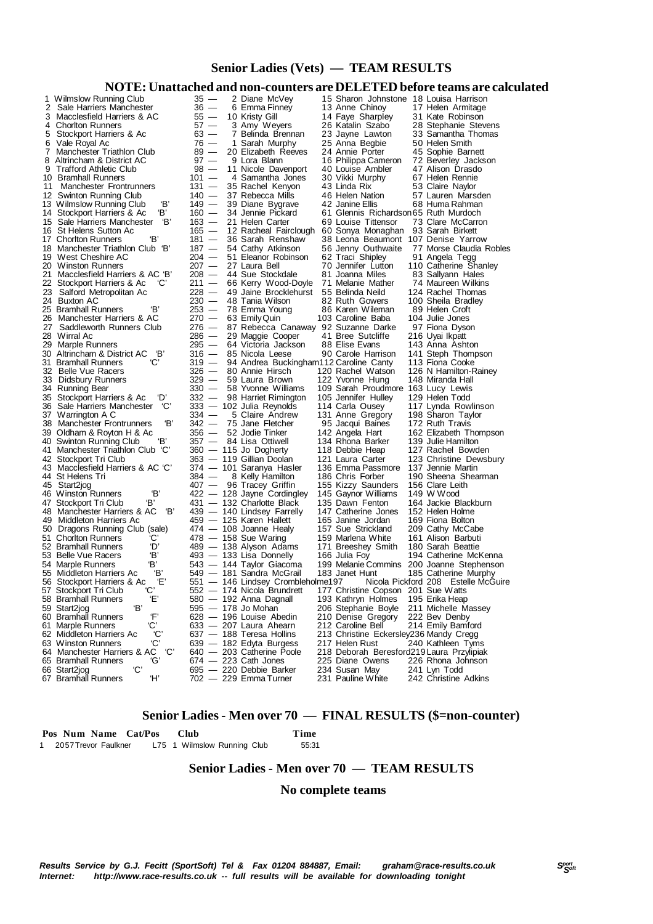## **Senior Ladies (Vets) — TEAM RESULTS**

### **NOTE: Unattached and non-counters are DELETED before teams are calculated**

|        | 1 Wilmslow Running Club<br>2 Sale Harriers Manchester<br>3 Macclesfield Harriers & AC | $35 -$<br>$36 -$<br>$55-$ | 2 Diane McVey<br>6 Emma Finney<br>10 Kristy Gill      | 15 Sharon Johnstone 18 Louisa Harrison<br>13 Anne Chinoy<br>14 Faye Sharpley | 17 Helen Armitage<br>31 Kate Robinson                             |
|--------|---------------------------------------------------------------------------------------|---------------------------|-------------------------------------------------------|------------------------------------------------------------------------------|-------------------------------------------------------------------|
|        | 4 Choriton Runners                                                                    | $57 -$                    | 3 Amy Weyers                                          | 26 Katalin Szabo                                                             | 28 Stephanie Stevens                                              |
| 5<br>6 | Stockport Harriers & Ac<br>Vale Royal Ac                                              | $63 -$<br>76 —            | 7 Belinda Brennan<br>1 Sarah Murphy                   | 23 Jayne Lawton                                                              | 33 Samantha Thomas<br>50 Helen Smith                              |
|        | 7 Manchester Triathlon Club                                                           | $89 -$                    | 20 Elizabeth Reeves                                   | 25 Anna Begbie<br>24 Annie Porter                                            | 45 Sophie Barnett                                                 |
|        | 8 Altrincham & District AC                                                            | $97 -$                    | 9 Lora Blann                                          | 16 Philippa Cameron                                                          | 72 Beverley Jackson                                               |
|        | 9 Trafford Athletic Club                                                              | $98 -$                    | 11 Nicole Davenport                                   | 40 Louise Ambler                                                             | 47 Alison Drasdo                                                  |
| 11     | 10 Bramhall Runners<br>Manchester Frontrunners                                        | $101 -$<br>$131 -$        | 4 Samantha Jones<br>35 Rachel Kenyon                  | 30 Vikki Murphy<br>43 Linda Rix                                              | 67 Helen Rennie<br>53 Claire Naylor                               |
|        | 12 Swinton Running Club                                                               | $140 -$                   | 37 Rebecca Mills                                      | 46 Helen Nation                                                              | 57 Lauren Marsden                                                 |
|        | ΈВ'<br>13 Wilmslow Running Club                                                       | $149 -$                   | 39 Diane Bygrave                                      | 42 Janine Ellis                                                              | 68 Huma Rahman                                                    |
|        | Έ.<br>14 Stockport Harriers & Ac<br>15 Sale Harriers Manchester<br>'В'                | $160 -$<br>$163 -$        | 34 Jennie Pickard<br>21 Helen Carter                  | 61 Glennis Richardson 65 Ruth Murdoch<br>69 Louise Tittensor                 | 73 Clare McCarron                                                 |
|        | 16 St Helens Sutton Ac                                                                | $165 -$                   | 12 Racheal Fairclough 60 Sonya Monaghan               |                                                                              | 93 Sarah Birkett                                                  |
|        | 17 Chorlton Runners<br>ΈΒ,                                                            | $181 -$                   | 36 Sarah Renshaw                                      | 38 Leona Beaumont 107 Denise Yarrow                                          |                                                                   |
|        | 18 Manchester Triathlon Club 'B'                                                      | $187 -$                   | 54 Cathy Atkinson                                     | 56 Jenny Outhwaite                                                           | 77 Morse Claudia Robles                                           |
|        | 19 West Cheshire AC<br>20 Winston Runners                                             | $204 -$<br>$207 -$        | 51 Eleanor Robinson<br>27 Laura Bell                  | 62 Traci Shipley<br>70 Jennifer Lutton                                       | 91 Angela Tegg<br>110 Catherine Shanley                           |
|        | 21 Macclesfield Harriers & AC 'B'                                                     | 208 —                     | 44 Sue Stockdale                                      | 81 Joanna Miles                                                              | 83 Sallyann Hales                                                 |
|        | 22 Stockport Harriers & Ac<br>'C'                                                     | $211 -$                   | 66 Kerry Wood-Doyle                                   | 71 Melanie Mather                                                            | 74 Maureen Wilkins                                                |
|        | 23 Salford Metropolitan Ac<br>24 Buxton AC                                            | $228 -$<br>230 —          | 49 Jaine Brocklehurst<br>48 Tania Wilson              | 55 Belinda Neild<br>82 Ruth Gowers                                           | 124 Rachel Thomas<br>100 Sheila Bradley                           |
|        | 25 Bramhall Runners<br>Έ,                                                             | 253 —                     | 78 Emma Young                                         | 86 Karen Wileman                                                             | 89 Helen Croft                                                    |
|        | 26 Manchester Harriers & AC                                                           | $270 -$                   | 63 Emily Quin                                         | 103 Caroline Baba                                                            | 104 Julie Jones                                                   |
|        | 27 Saddleworth Runners Club<br>28 Wirral Ac                                           | $276 -$                   | 87 Rebecca Canaway 92 Suzanne Darke                   | 41 Bree Sutcliffe                                                            | 97 Fiona Dyson                                                    |
|        | 29 Marple Runners                                                                     | $286 -$<br>$295 -$        | 29 Maggie Cooper<br>64 Victoria Jackson               | 88 Elise Evans                                                               | 216 Uyai Ikpatt<br>143 Anna Ashton                                |
|        | 30 Altrincham & District AC<br>"B'                                                    | 316 —                     | 85 Nicola Leese                                       | 90 Carole Harrison                                                           | 141 Steph Thompson                                                |
|        | 'С'<br>31 Bramhall Runners                                                            | $319 -$                   | 94 Andrea Buckingham112 Caroline Canty                |                                                                              | 113 Fiona Cooke                                                   |
|        | 32 Belle Vue Racers<br>33 Didsbury Runners                                            | 326 —<br>329 —            | 80 Annie Hirsch<br>59 Laura Brown                     | 120 Rachel Watson<br>122 Yvonne Hung                                         | 126 N Hamilton-Rainey<br>148 Miranda Hall                         |
|        | 34 Running Bear                                                                       | 330 —                     | 58 Yvonne Williams                                    | 109 Sarah Proudmore 163 Lucy Lewis                                           |                                                                   |
|        | 35 Stockport Harriers & Ac<br>'D'                                                     | 332 —                     | 98 Harriet Rimington                                  | 105 Jennifer Hulley                                                          | 129 Helen Todd                                                    |
|        | 36 Sale Harriers Manchester<br>'C'<br>37 Warrington A C                               | 334 —                     | 333 — 102 Julia Reynolds<br>5 Claire Andrew           | 114 Carla Ousey                                                              | 117 Lynda Rowlinson                                               |
|        | Έ<br>38 Manchester Frontrunners                                                       | 342 —                     | 75 Jane Fletcher                                      | 131 Anne Gregory<br>95 Jacqui Baines                                         | 198 Sharon Taylor<br>172 Ruth Travis                              |
|        | 39 Oldham & Royton H & Ac                                                             | 356 —                     | 52 Jodie Tinker                                       | 142 Angela Hart                                                              | 162 Elizabeth Thompson                                            |
|        | Έ,<br>40 Swinton Running Club                                                         |                           | 357 — 84 Lisa Ottiwell                                | 134 Rhona Barker                                                             | 139 Julie Hamilton                                                |
|        | 41 Manchester Triathlon Club 'C'<br>42 Stockport Tri Club                             |                           | 360 - 115 Jo Dogherty<br>363 — 119 Gillian Doolan     | 118 Debbie Heap<br>121 Laura Carter                                          | 127 Rachel Bowden<br>123 Christine Dewsbury                       |
|        | 43 Macclesfield Harriers & AC 'C'                                                     |                           | 374 — 101 Saranya Hasler                              | 136 Emma Passmore                                                            | 137 Jennie Martin                                                 |
|        | 44 St Helens Tri                                                                      | $384 -$                   | 8 Kelly Hamilton                                      | 186 Chris Forber                                                             | 190 Sheena Shearman                                               |
|        | 45 Start2jog<br>Έ<br>46 Winston Runners                                               |                           | 407 - 96 Tracey Griffin<br>422 - 128 Jayne Cordingley | 155 Kizzy Saunders<br>145 Gaynor Williams                                    | 156 Clare Leith<br>149 W Wood                                     |
|        | Έ<br>47 Stockport Tri Club                                                            |                           | 431 - 132 Charlotte Black                             | 135 Dawn Fenton                                                              | 164 Jackie Blackburn                                              |
|        | 48 Manchester Harriers & AC<br>'В'                                                    |                           | 439 - 140 Lindsey Farrelly                            | 147 Catherine Jones                                                          | 152 Helen Holme                                                   |
|        | 49 Middleton Harriers Ac                                                              |                           | 459 - 125 Karen Hallett                               | 165 Janine Jordan                                                            | 169 Fiona Bolton                                                  |
|        | 50 Dragons Running Club (sale)<br>'C'<br>51 Chorlton Runners                          |                           | 474 - 108 Joanne Healy<br>$478 - 158$ Sue Waring      | 157 Sue Strickland<br>159 Marlena White                                      | 209 Cathy McCabe<br>161 Alison Barbuti                            |
|        | 'D'<br>52 Bramhall Runners                                                            |                           | 489 - 138 Alyson Adams                                | 171 Breeshey Smith                                                           | 180 Sarah Beattie                                                 |
|        | Έ,<br>53 Belle Vue Racers                                                             |                           | 493 — 133 Lisa Donnelly                               | 166 Julia Foy                                                                | 194 Catherine McKenna                                             |
|        | 'B'<br>54 Marple Runners<br>'В'<br>55 Middleton Harriers Ac                           |                           | 543 — 144 Taylor Giacoma<br>549 — 181 Sandra McGrail  | 183 Janet Hunt                                                               | 199 Melanie Commins 200 Joanne Stephenson<br>185 Catherine Murphy |
|        | Έ,<br>56 Stockport Harriers & Ac                                                      |                           | 551 — 146 Lindsey Crombleholme197                     |                                                                              | Nicola Pickford 208 Estelle McGuire                               |
|        | <b>C</b><br>57 Stockport Tri Club                                                     |                           | 552 - 174 Nicola Brundrett                            | 177 Christine Copson 201 Sue Watts                                           |                                                                   |
|        | Έ,<br>58 Bramhall Runners<br>Έ,                                                       |                           | 580 — 192 Anna Dagnall                                | 193 Kathryn Holmes                                                           | 195 Erika Heap                                                    |
|        | 59 Start2jog<br>Έ,<br>60 Bramhall Runners                                             |                           | 595 - 178 Jo Mohan<br>628 - 196 Louise Abedin         | 206 Stephanie Boyle<br>210 Denise Gregory                                    | 211 Michelle Massey<br>222 Bev Denby                              |
|        | ۰Ċ<br>61 Marple Runners                                                               |                           | 633 - 207 Laura Ahearn                                | 212 Caroline Bell                                                            | 214 Emily Bamford                                                 |
|        | 'C'<br>62 Middleton Harriers Ac                                                       |                           | 637 - 188 Teresa Hollins                              | 213 Christine Eckersley 236 Mandy Cregg                                      |                                                                   |
|        | 'C'<br>63 Winston Runners<br>'C'<br>64 Manchester Harriers & AC                       |                           | 639 — 182 Edyta Burgess<br>640 - 203 Catherine Poole  | 217 Helen Rust<br>218 Deborah Beresford219 Laura Przylipiak                  | 240 Kathleen Tyms                                                 |
|        | 65 Bramhall Runners<br>'G'                                                            |                           | $674 - 223$ Cath Jones                                | 225 Diane Owens                                                              | 226 Rhona Johnson                                                 |
|        | ۴С'<br>66 Start2jog                                                                   |                           | 695 - 220 Debbie Barker                               | 234 Susan May                                                                | 241 Lyn Todd                                                      |
|        | 67 Bramhall Runners<br>Ή,                                                             |                           | 702 — 229 Emma Turner                                 | 231 Pauline White                                                            | 242 Christine Adkins                                              |

### **Senior Ladies - Men over 70 — FINAL RESULTS (\$=non-counter)**

 **Pos Num Name Cat/Pos Club Time** 1 2057 Trevor Faulkner L75 1 Wilmslow Running Club

### **Senior Ladies - Men over 70 — TEAM RESULTS**

### **No complete teams**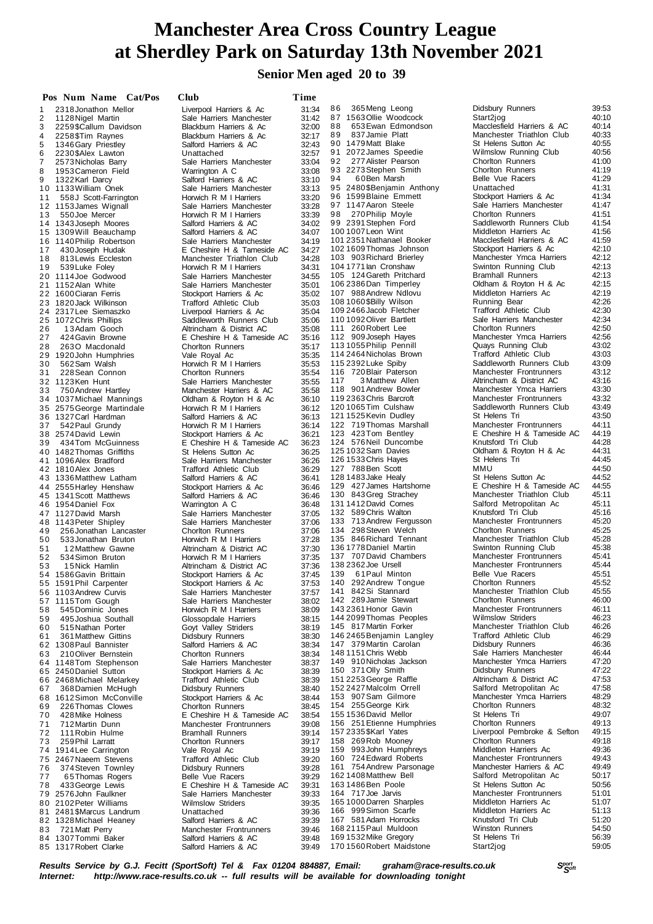# **at Sherdley Park on Saturday 13th November 2021 Manchester Area Cross Country League**

### **Senior Men aged 20 to 39**

|          | Pos Num Name Cat/Pos                         | <b>Club</b>                                            | Time           |
|----------|----------------------------------------------|--------------------------------------------------------|----------------|
| 1        | 2318 Jonathon Mellor                         | Liverpool Harriers & Ac                                | 31:34          |
| 2        | 1128 Nigel Martin                            | Sale Harriers Manchester                               | 31:42          |
| 3        | 2259\$Callum Davidson                        | Blackburn Harriers & Ac                                | 32:00          |
| 4        | 2258 \$Tim Raynes                            | Blackburn Harriers & Ac<br>Salford Harriers & AC       | 32:17<br>32:43 |
| 5<br>6   | 1346 Gary Priestley<br>2230\$Alex Lawton     | Unattached                                             | 32:57          |
| 7        | 2573 Nicholas Barry                          | Sale Harriers Manchester                               | 33:04          |
| 8        | 1953 Cameron Field                           | Warrington A C                                         | 33:08          |
| 9        | 1322 Karl Darcy                              | Salford Harriers & AC                                  | 33:10          |
| 10<br>11 | 1133 William Onek<br>558J Scott-Farrington   | Sale Harriers Manchester<br>Horwich R M I Harriers     | 33:13<br>33:20 |
| 12       | 1153 James Wignall                           | Sale Harriers Manchester                               | 33:28          |
| 13       | 550 Joe Mercer                               | Horwich R M I Harriers                                 | 33:39          |
| 14       | 1343 Joseph Moores                           | Salford Harriers & AC                                  | 34:02          |
| 15<br>16 | 1309 Will Beauchamp<br>1140 Philip Robertson | Salford Harriers & AC<br>Sale Harriers Manchester      | 34:07<br>34:19 |
| 17       | 430 Joseph Hudak                             | E Cheshire H & Tameside AC                             | 34:27          |
| 18       | 813 Lewis Eccleston                          | Manchester Triathlon Club                              | 34:28          |
| 19       | 539 Luke Foley                               | Horwich R M I Harriers                                 | 34:31          |
| 20<br>21 | 1114 Joe Godwood<br>1152 Alan White          | Sale Harriers Manchester<br>Sale Harriers Manchester   | 34:55<br>35:01 |
| 22       | 1600 Ciaran Ferris                           | Stockport Harriers & Ac                                | 35:02          |
| 23       | 1820 Jack Wilkinson                          | Trafford Athletic Club                                 | 35:03          |
| 24       | 2317 Lee Siemaszko                           | Liverpool Harriers & Ac                                | 35:04          |
| 25       | 1072 Chris Phillips                          | Saddleworth Runners Club                               | 35:06          |
| 26<br>27 | 13Adam Gooch<br>424 Gavin Browne             | Altrincham & District AC<br>E Cheshire H & Tameside AC | 35:08<br>35:16 |
| 28       | 2630 Macdonald                               | Chorlton Runners                                       | 35:17          |
| 29       | 1920 John Humphries                          | Vale Royal Ac                                          | 35:35          |
| 30       | 562 Sam Walsh                                | Horwich R M I Harriers                                 | 35:53          |
| 31<br>32 | 228 Sean Connon<br>1123Ken Hunt              | <b>Chorlton Runners</b><br>Sale Harriers Manchester    | 35:54          |
| 33       | 750 Andrew Hartley                           | Manchester Harriers & AC                               | 35:55<br>35:58 |
| 34       | 1037 Michael Mannings                        | Oldham & Royton H & Ac                                 | 36:10          |
| 35       | 2575 George Martindale                       | Horwich R M I Harriers                                 | 36:12          |
| 36       | 1327 Carl Hardman                            | Salford Harriers & AC                                  | 36:13          |
| 37<br>38 | 542 Paul Grundy<br>2574 David Lewin          | Horwich R M I Harriers<br>Stockport Harriers & Ac      | 36:14<br>36:21 |
| 39       | 434 Tom McGuinness                           | E Cheshire H & Tameside AC                             | 36:23          |
| 40       | 1482 Thomas Griffiths                        | St Helens Sutton Ac                                    | 36:25          |
| 41       | 1096 Alex Bradford                           | Sale Harriers Manchester                               | 36:26          |
| 42<br>43 | 1810 Alex Jones<br>1336 Matthew Latham       | Trafford Athletic Club<br>Salford Harriers & AC        | 36:29<br>36:41 |
| 44       | 2555 Harley Henshaw                          | Stockport Harriers & Ac                                | 36:46          |
| 45       | 1341 Scott Matthews                          | Salford Harriers & AC                                  | 36:46          |
| 46       | 1954 Daniel Fox                              | Warrington A C                                         | 36:48          |
| 47<br>48 | 1127 David Marsh<br>1143 Peter Shipley       | Sale Harriers Manchester<br>Sale Harriers Manchester   | 37:05<br>37:06 |
| 49       | 256 Jonathan Lancaster                       | <b>Chorlton Runners</b>                                | 37:06          |
| 50       | 533 Jonathan Bruton                          | Horwich R M I Harriers                                 | 37:28          |
| 51       | 12 Matthew Gawne                             | Altrincham & District AC                               | 37:30          |
| 52       | 534 Simon Bruton                             | Horwich R M I Harriers                                 | 37:35<br>37:36 |
| 53       | 15 Nick Hamlin<br>54 1586 Gavin Brittain     | Altrincham & District AC<br>Stockport Harriers & Ac    | 37:45          |
| 55       | 1591 Phil Carpenter                          | Stockport Harriers & Ac                                | 37:53          |
| 56       | 1103 Andrew Curvis                           | Sale Harriers Manchester                               | 37:57          |
| 57       | 1115Tom Gough                                | Sale Harriers Manchester                               | 38:02          |
| 58<br>59 | 545 Dominic Jones<br>495 Joshua Southall     | Horwich R M I Harriers<br>Glossopdale Harriers         | 38:09<br>38:15 |
| 60       | 515 Nathan Porter                            | Goyt Valley Striders                                   | 38:19          |
| 61       | 361 Matthew Gittins                          | Didsbury Runners                                       | 38:30          |
| 62       | 1308 Paul Bannister                          | Salford Harriers & AC                                  | 38:34          |
| 63<br>64 | 210 Oliver Bernstein<br>1148Tom Stephenson   | <b>Chorlton Runners</b><br>Sale Harriers Manchester    | 38:34<br>38:37 |
| 65       | 2450 Daniel Sutton                           | Stockport Harriers & Ac                                | 38:39          |
| 66       | 2468 Michael Melarkey                        | <b>Trafford Athletic Club</b>                          | 38:39          |
| 67       | 368 Damien McHugh                            | Didsbury Runners                                       | 38:40          |
| 68<br>69 | 1612 Simon McConville                        | Stockport Harriers & Ac                                | 38:44          |
| 70       | 226 Thomas Clowes<br>428 Mike Holness        | <b>Chorlton Runners</b><br>E Cheshire H & Tameside AC  | 38:45<br>38:54 |
| 71       | 712 Martin Dunn                              | Manchester Frontrunners                                | 39.08          |
| 72       | 111 Robin Hulme                              | <b>Bramhall Runners</b>                                | 39:14          |
| 73       | 259 Phil Larratt                             | <b>Chorlton Runners</b>                                | 39:17          |
| 74<br>75 | 1914 Lee Carrington<br>2467 Naeem Stevens    | Vale Royal Ac<br>Trafford Athletic Club                | 39:19<br>39:20 |
| 76       | 374 Steven Townley                           | Didsbury Runners                                       | 39:28          |
| 77       | 65 Thomas Rogers                             | Belle Vue Racers                                       | 39:29          |
| 78       | 433 George Lewis                             | E Cheshire H & Tameside AC                             | 39:31          |
| 79<br>80 | 2576 John Faulkner<br>2102 Peter Williams    | Sale Harriers Manchester<br><b>Wilmslow Striders</b>   | 39:33<br>39:35 |
| 81       | 2481 \$Marcus Landrum                        | Unattached                                             | 39:36          |
| 82       | 1328 Michael Heaney                          | Salford Harriers & AC                                  | 39:39          |
| 83       | 721 Matt Perry                               | Manchester Frontrunners                                | 39:46          |
| 84<br>85 | 1307 Tommi Baker<br>1317 Robert Clarke       | Salford Harriers & AC<br>Salford Harriers & AC         | 39:48          |
|          |                                              |                                                        | 39:49          |

|          | Pos Num Name                                 |                        | <b>Cat/Pos</b> | Club                                                     | Time           |
|----------|----------------------------------------------|------------------------|----------------|----------------------------------------------------------|----------------|
| 1        | 2318 Jonathon Mellor                         |                        |                | Liverpool Harriers & Ac                                  | 31:34          |
| 2        | 1128 Nigel Martin                            |                        |                | Sale Harriers Manchester                                 | 31:42          |
| 3        | 2259\$Callum Davidson                        |                        |                | Blackburn Harriers & Ac                                  | 32:00<br>32:17 |
| 4<br>5   | 2258 \$Tim Raynes                            |                        |                | Blackburn Harriers & Ac<br>Salford Harriers & AC         | 32:43          |
| 6        | 1346 Gary Priestley<br>2230\$Alex Lawton     |                        |                | Unattached                                               | 32:57          |
| 7        | 2573 Nicholas Barry                          |                        |                | Sale Harriers Manchester                                 | 33:04          |
| 8        | 1953 Cameron Field                           |                        |                | Warrington A C                                           | 33:08          |
| 9        | 1322 Karl Darcy                              |                        |                | Salford Harriers & AC                                    | 33:10          |
| 10       | 1133 William Onek                            |                        |                | Sale Harriers Manchester                                 | 33:13          |
| 11       |                                              | 558J Scott-Farrington  |                | Horwich R M I Harriers                                   | 33:20          |
| 12       | 1153 James Wignall<br>550 Joe Mercer         |                        |                | Sale Harriers Manchester                                 | 33:28          |
| 13<br>14 | 1343 Joseph Moores                           |                        |                | Horwich R M I Harriers<br>Salford Harriers & AC          | 33:39<br>34:02 |
| 15       | 1309 Will Beauchamp                          |                        |                | Salford Harriers & AC                                    | 34:07          |
| 16       | 1140 Philip Robertson                        |                        |                | Sale Harriers Manchester                                 | 34:19          |
| 17       |                                              | 430 Joseph Hudak       |                | E Cheshire H & Tameside AC                               | 34:27          |
| 18       |                                              | 813 Lewis Eccleston    |                | Manchester Triathlon Club                                | 34:28          |
| 19       | 539 Luke Foley                               |                        |                | Horwich R M I Harriers                                   | 34:31          |
| 20       | 1114 Joe Godwood                             |                        |                | Sale Harriers Manchester                                 | 34:55          |
| 21<br>22 | 1152 Alan White                              |                        |                | Sale Harriers Manchester                                 | 35:01          |
| 23       | 1600 Ciaran Ferris<br>1820 Jack Wilkinson    |                        |                | Stockport Harriers & Ac<br><b>Trafford Athletic Club</b> | 35:02<br>35:03 |
| 24       | 2317Lee Siemaszko                            |                        |                | Liverpool Harriers & Ac                                  | 35:04          |
| 25       | 1072 Chris Phillips                          |                        |                | Saddleworth Runners Club                                 | 35:06          |
| 26       |                                              | 13Adam Gooch           |                | Altrincham & District AC                                 | 35:08          |
| 27       |                                              | 424 Gavin Browne       |                | E Cheshire H & Tameside AC                               | 35:16          |
| 28       |                                              | 2630 Macdonald         |                | <b>Chorlton Runners</b>                                  | 35:17          |
| 29       | 1920 John Humphries                          |                        |                | Vale Royal Ac                                            | 35:35          |
| 30       | 562 Sam Walsh                                |                        |                | Horwich R M I Harriers<br><b>Chorlton Runners</b>        | 35:53          |
| 31<br>32 | 1123Ken Hunt                                 | 228 Sean Connon        |                | Sale Harriers Manchester                                 | 35:54<br>35:55 |
| 33       | 750 Andrew Hartley                           |                        |                | Manchester Harriers & AC                                 | 35:58          |
| 34       | 1037 Michael Mannings                        |                        |                | Oldham & Royton H & Ac                                   | 36:10          |
| 35       | 2575 George Martindale                       |                        |                | Horwich R M I Harriers                                   | 36:12          |
| 36       | 1327 Carl Hardman                            |                        |                | Salford Harriers & AC                                    | 36:13          |
| 37       | 542 Paul Grundy                              |                        |                | Horwich R M I Harriers                                   | 36:14          |
| 38       | 2574 David Lewin                             |                        |                | Stockport Harriers & Ac                                  | 36:21          |
| 39<br>40 | 434 Tom McGuinness<br>1482 Thomas Griffiths  |                        |                | E Cheshire H & Tameside AC<br>St Helens Sutton Ac        | 36:23<br>36:25 |
| 41       | 1096 Alex Bradford                           |                        |                | Sale Harriers Manchester                                 | 36:26          |
| 42       | 1810 Alex Jones                              |                        |                | <b>Trafford Athletic Club</b>                            | 36:29          |
| 43       | 1336 Matthew Latham                          |                        |                | Salford Harriers & AC                                    | 36:41          |
| 44       | 2555 Harley Henshaw                          |                        |                | Stockport Harriers & Ac                                  | 36:46          |
| 45       | 1341 Scott Matthews                          |                        |                | Salford Harriers & AC                                    | 36:46          |
| 46       | 1954 Daniel Fox                              |                        |                | Warrington A C                                           | 36:48          |
| 47       | 1127 David Marsh                             |                        |                | Sale Harriers Manchester<br>Sale Harriers Manchester     | 37:05          |
| 48<br>49 | 1143 Peter Shipley                           | 256 Jonathan Lancaster |                | <b>Chorlton Runners</b>                                  | 37:06<br>37:06 |
| 50       |                                              | 533 Jonathan Bruton    |                | Horwich R M I Harriers                                   | 37:28          |
| 51       |                                              | 12 Matthew Gawne       |                | Altrincham & District AC                                 | 37:30          |
| 52       |                                              | 534 Simon Bruton       |                | Horwich R M I Harriers                                   | 37:35          |
| 53       |                                              | 15 Nick Hamlin         |                | Altrincham & District AC                                 | 37:36          |
| 54       | 1586 Gavin Brittain                          |                        |                | Stockport Harriers & Ac                                  | 37:45          |
| 55       | 1591 Phil Carpenter                          |                        |                | Stockport Harriers & Ac                                  | 37:53          |
| 56<br>57 | 1103 Andrew Curvis<br>1115Tom Gough          |                        |                | Sale Harriers Manchester<br>Sale Harriers Manchester     | 37:57<br>38:02 |
| 58       |                                              | 545 Dominic Jones      |                | Horwich R M I Harriers                                   | 38:09          |
| 59       |                                              | 495 Joshua Southall    |                | Glossopdale Harriers                                     | 38:15          |
| 60       |                                              | 515 Nathan Porter      |                | Goyt Valley Striders                                     | 38:19          |
| 61       |                                              | 361 Matthew Gittins    |                | Didsbury Runners                                         | 38:30          |
| 62       | 1308 Paul Bannister                          |                        |                | Salford Harriers & AC                                    | 38:34          |
| 63       | 210 Oliver Bernstein                         |                        |                | <b>Chorlton Runners</b>                                  | 38:34          |
| 64<br>65 | 1148 Tom Stephenson<br>2450 Daniel Sutton    |                        |                | Sale Harriers Manchester<br>Stockport Harriers & Ac      | 38:37<br>38:39 |
| 66       | 2468 Michael Melarkey                        |                        |                | Trafford Athletic Club                                   | 38:39          |
| 67       |                                              | 368 Damien McHugh      |                | Didsbury Runners                                         | 38:40          |
| 68       | 1612 Simon McConville                        |                        |                | Stockport Harriers & Ac                                  | 38:44          |
| 69       |                                              | 226 Thomas Clowes      |                | <b>Chorlton Runners</b>                                  | 38:45          |
| 70       |                                              | 428 Mike Holness       |                | E Cheshire H & Tameside AC                               | 38:54          |
| 71       | 712 Martin Dunn                              |                        |                | Manchester Frontrunners                                  | 39:08          |
| 72       |                                              | 111 Robin Hulme        |                | <b>Bramhall Runners</b>                                  | 39:14          |
| 73<br>74 | 259 Phil Larratt<br>1914 Lee Carrington      |                        |                | <b>Chorlton Runners</b><br>Vale Royal Ac                 | 39:17<br>39:19 |
| 75       | 2467 Naeem Stevens                           |                        |                | Trafford Athletic Club                                   | 39:20          |
| 76       |                                              | 374 Steven Townley     |                | Didsbury Runners                                         | 39:28          |
| 77       |                                              | 65 Thomas Rogers       |                | Belle Vue Racers                                         | 39:29          |
| 78       | 433 George Lewis                             |                        |                | E Cheshire H & Tameside AC                               | 39:31          |
| 79       | 2576 John Faulkner                           |                        |                | Sale Harriers Manchester                                 | 39:33          |
| 80       | 2102 Peter Williams                          |                        |                | <b>Wilmslow Striders</b>                                 | 39:35          |
| 81<br>82 | 2481 \$Marcus Landrum<br>1328 Michael Heaney |                        |                | Unattached<br>Salford Harriers & AC                      | 39:36<br>39:39 |
| 83       | 721 Matt Perry                               |                        |                | Manchester Frontrunners                                  | 39:46          |
| 84       | 1307 Tommi Baker                             |                        |                | Salford Harriers & AC                                    | 39:48          |
|          | 85 1317 Robert Clarke                        |                        |                | Salford Harriers & AC                                    | 39:49          |

8 6 365Meng Leong Didsbury Runners 39:53 8 7 1563Ollie Woodcock Start2jog 40:10 91 2072 James Speedie 115 2392 Luke Spiby Saddleworth Runners Club<br>116 720 Blair Paterson Manchester Frontrunners 118 901 Andrew Bowler 124 576 Neil Duncombe 144 2099 Thomas Peoples 151 2253 George Raffle 170 1560 Robert Maidstone

8 8 653Ewan Edmondson Macclesfield Harriers & AC 40:14 89 837 Jamie Platt Manchester Triathlon Club 40:33<br>90 1479 Matt Blake St Helens Sutton Ac 40:55 9 9 10:55 Sutton Ac 40:55<br>Wilmslow Running Club 9 2 277Alister Pearson Chorlton Runners 41:00 9 3 2273Stephen Smith Chorlton Runners 41:19 94 60 Ben Marsh Belle Vue Racers 41:29<br>95 2480 \$Benjamin Anthony Unattached 41:31 95 2480\$Benjamin Anthony Unattached 41:31<br>96 1599Blaine Emmett Stockport Harriers & Ac 41:34 96 1599 Blaine Emmett Stockport Harriers & Ac 41:34<br>97 1147 Aaron Steele Sale Harriers Manchester 41:47 Sale Harriers Manchester 98 270 Philip Moyle Chorlton Runners 41:51<br>99 2391 Stephen Ford Saddleworth Runners Club 41:54 9 9 2391Stephen Ford Saddleworth Runners Club 41:54 100 1007 Leon Wint Middleton Harriers Ac 41:56<br>101 2351 Nathanael Booker Macclesfield Harriers & AC 41:59 101 2351Nathanael Booker Macclesfield Harriers & AC 41:59 102 1609Thomas Johnson Stockport Harriers & Ac 42:10 Manchester Ymca Harriers 104 1771Ian Cronshaw Swinton Running Club 42:13 105 124 Gareth Pritchard Bramhall Runners 42:13<br>106 2386 Dan Timperlev Bramhall Runners A Rovton H & Ac 42:15 106 238660.<br>12:15 Didham & Royton H & Ac 42:15 107 988 Andrew Ndlovu Middleton Harriers Ac 42:19<br>108 1060 \$Billy Wilson Running Bear 42:26 108 1060 \$Billy Wilson **Running Bear 108 1060 \$P** 42:26<br>109 2466 Jacob Fletcher **Running Bear 11** Trafford Athletic Club 109 2466Jacob Fletcher Trafford Athletic Club 42:30 Sale Harriers Manchester 42:34<br>Chorlton Runners 42:50 111 260 Robert Lee Chorlton Runners 42:50<br>112 909 Joseph Haves Manchester Ymca Harriers 42:56 112 909Joseph Hayes Manchester Ymca Harriers 42:56<br>1131055 Philip Pennill Quays Running Club 43:02<br>114 2464 Nicholas Brown Trafford Athletic Club 43:03 113 1055 Philip Pennill Cuays Running Club 43:02<br>114 2464 Nicholas Brown Trafford Athletic Club 43:03 114 2464 Nicholas Brown Trafford Athletic Club 43:03<br>115 2392 Luke Spiby Saddleworth Runners Club 43:03 116 720Blair Paterson Manchester Frontrunners 43:12 Altrincham & District AC 43:16<br>Manchester Ymca Harriers 43:30 119 2363 Chris Barcroft Manchester Frontrunners 43:32<br>120 1065 Tim Culshaw Saddleworth Runners Club 43:49 Saddleworth Runners Club 43:49<br>St Helens Tri 43:50 121 1525 Kevin Dudley St Helens Tri 43:50<br>122 719 Thomas Marshall Manchester Frontrunners 44:11 122 719 Thomas Marshall Manchester Frontrunners 44:11<br>123 423 Tom Bentley E Cheshire H & Tameside AC 44:19 E Cheshire H & Tameside AC 44:19<br>Knutsford Tri Club 44:28 125 1032Sam Davies Oldham & Royton H & Ac 44:31 126 1533Chris Hayes St Helens Tri 44:45 127 788Ben Scott MMU<br>1281483Jake Healy St Helens Sutton Ac 44:52 128 1483 Jake Healy **St Helens Sutton Ac** 44:52<br>129 427 James Hartshorne **St Helens Sutter H & Tameside AC** 44:55 129 427James Hartshorne E Cheshire H & Tameside AC 44:55 Manchester Triathlon Club 131 1412David Cornes Salford Metropolitan Ac 45:11 132 589Chris Walton **Knutsford Tri Club**<br>132 589Chris Walton **Knutsford Tri Club**<br>133 713Andrew Fergusson Manchester Frontrunners 45:20 133 713Andrew Fergusson Manchester Frontrunners 45:20 134 298 Steven Welch **Chorlton Runners** 45:25<br>135 846 Richard Tennant Manchester Triathlon Club 45:28 Manchester Triathlon Club 45:28<br>Swinton Running Club 45:38 136 1778 Daniel Martin **Swinton Running Club** 45:38<br>137 707 David Chambers Manchester Frontrunners 45:41 137 707David Chambers Manchester Frontrunners 45:41 138 2362Joe Ursell Manchester Frontrunners 45:44 139 Belle Vue Racers 45:51<br>Chorlton Runners 45:52 140 292Andrew Tongue Chorlton Runners 45:52<br>141 842Si Stannard Manchester Triathlon Club 45:55 Manchester Triathlon Club 45:55<br>Chorlton Runners 46:00 142 289Jamie Stewart Chorlton Runners 46:00 146:11 Manchester Frontrunners 46:11<br>Wilmslow Striders 46:23 145 817Martin Forker Manchester Triathlon Club 46:26 146 2465Benjamin Langley Trafford Athletic Club 46:29 147 379 Martin Carolan Curcias Didsbury Runners 46:36<br>148 1151 Chris Webb Cale Harriers Manchester 46:44 Sale Harriers Manchester 149 910Nicholas Jackson Manchester Ymca Harriers 47:20 150 371 Olly Smith **Didsbury Runners** 47:22<br>151 2253 George Raffle **Altrincham & District AC** 47:53 152 2427Malcolm Orrell Salford Metropolitan Ac 47:58 Manchester Ymca Harriers 48:29<br>Chorlton Runners 48:32 154 255 George Kirk Chorlton Runners 48:32<br>155 1536 David Mellor St Helens Tri 49:07 155 1536 David Mellor St Helens Tri 155 1536 David Mellor St Helens Tri 49:07<br>156 251 Etienne Humphries Choriton Runners 19:13 156 251 Etienne Humphries Chorlton Runners 49:13<br>157 2335 \$Karl Yates Chorline Civerpool Pembroke & Setton 49:15 Liverpool Pembroke & Sefton 49:15<br>Chorlton Runners 49:18 158 269Rob Mooney Chorlton Runners 49:18 159 993John Humphreys Middleton Harriers Ac 49:36<br>160 724 Edward Roberts Manchester Frontrunners 49:43 160 724 Edward Roberts Manchester Frontrunners 49:43<br>161 754 Andrew Parsonage Manchester Harriers & AC 49:49 161 754Andrew Parsonage Manchester Harriers & AC 49:49 162 1408Matthew Bell Salford Metropolitan Ac 50:17 163 1486 Ben Poole St Helens Sutton Ac 50:56<br>164 717 Joe Jarvis St Manchester Frontrunners 51:01 164 717Joe Jarvis Manchester Frontrunners 51:01 165 1000Darren Sharples Middleton Harriers Ac 51:07 166 999 Simon Scarfe Middleton Harriers Ac 51:13<br>167 581 Adam Horrocks Knutsford Tri Club 51:20 167 581 Adam Horrocks 167 167 Knutsford Tri Club 51:20<br>167 115 Paul Muldoon 167 Winston Runners 168 2115 Paul Muldoon Minston Runners 54:50<br>169 1532 Mike Gregory St Helens Tri 56:39 169 1532 Mike Gregory **St Helens Tri 56:39**<br>170 1560 Robert Maidstone Start2jog 59:05

*<sup>S</sup>port Results Service by G.J. Fecitt (SportSoft) Tel & Fax 01204 884887, Email: graham@race-results.co.uk <sup>S</sup>oft Internet: http://www.race-results.co.uk -- full results will be available for downloading tonight*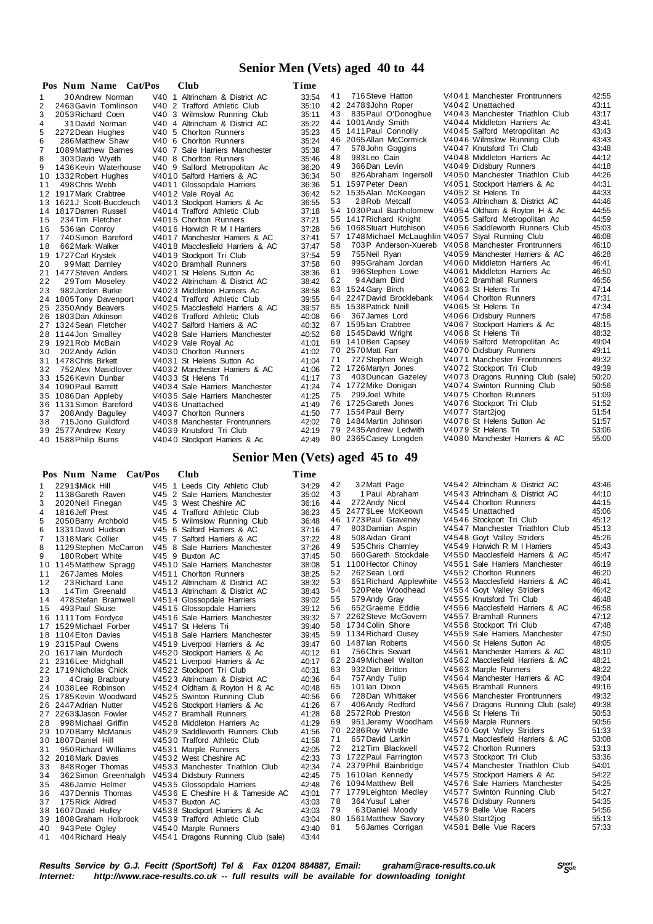# **Senior Men (Vets) aged 40 to 44**

|                | Pos Num Name Cat/Pos      | Club                             | Time  |    |                                                     |                                   |       |
|----------------|---------------------------|----------------------------------|-------|----|-----------------------------------------------------|-----------------------------------|-------|
| 1              | 30 Andrew Norman          | V40 1 Altrincham & District AC   | 33:54 | 41 | 716 Steve Hatton                                    | V4041 Manchester Frontrunners     | 42:55 |
| $\overline{2}$ | 2463 Gavin Tomlinson      | V40 2 Trafford Athletic Club     | 35:10 |    | 42 2478 \$John Roper                                | V4042 Unattached                  | 43:11 |
| 3              | 2053 Richard Coen         | V40 3 Wilmslow Running Club      | 35:11 | 43 | 835 Paul O'Donoghue                                 | V4043 Manchester Triathlon Club   | 43:17 |
| 4              | 31 David Norman           | V40 4 Altrincham & District AC   | 35:22 |    | 44 1001 Andy Smith                                  | V4044 Middleton Harriers Ac       | 43:41 |
| 5              | 2272 Dean Hughes          | V40 5 Chorlton Runners           | 35:23 |    | 45 1411 Paul Connolly                               | V4045 Salford Metropolitan Ac     | 43:43 |
| 6              | 286 Matthew Shaw          | V40 6 Chorlton Runners           | 35:24 |    | 46 2065 Allan McCormick                             | V4046 Wilmslow Running Club       | 43:43 |
| $\overline{7}$ | 1089 Matthew Barnes       | V40 7 Sale Harriers Manchester   | 35:38 | 47 | 578 John Goggins                                    | V4047 Knutsford Tri Club          | 43:48 |
| 8              | 303 David Wyeth           | V40 8 Chorlton Runners           | 35:46 | 48 | 983Leo Cain                                         | V4048 Middleton Harriers Ac       | 44:12 |
| 9              | 1436 Kevin Waterhouse     | V40 9 Salford Metropolitan Ac    | 36:20 | 49 | 366 Dan Levin                                       | V4049 Didsbury Runners            | 44:18 |
|                | 10 1332 Robert Hughes     | V4010 Salford Harriers & AC      | 36:34 | 50 | 826 Abraham Ingersoll                               | V4050 Manchester Triathlon Club   | 44:26 |
| 11             | 498 Chris Webb            | V4011 Glossopdale Harriers       | 36:36 |    | 51 1597 Peter Dean                                  | V4051 Stockport Harriers & Ac     | 44:31 |
|                | 12 1917 Mark Crabtree     | V4012 Vale Royal Ac              | 36:42 |    | 52 1535 Alan McKeegan                               | V4052 St Helens Tri               | 44:33 |
|                | 13 1621 J Scott-Buccleuch | V4013 Stockport Harriers & Ac    | 36:55 | 53 | 28Rob Metcalf                                       | V4053 Altrincham & District AC    | 44:46 |
|                | 14 1817 Darren Russell    | V4014 Trafford Athletic Club     | 37:18 |    | 54 1030 Paul Bartholomew                            | V4054 Oldham & Royton H & Ac      | 44:55 |
| 15             | 234 Tim Fletcher          | V4015 Chorlton Runners           | 37:21 |    | 55 1417 Richard Knight                              | V4055 Salford Metropolitan Ac     | 44.59 |
| 16             | 536 lan Conroy            | V4016 Horwich R M I Harriers     | 37:28 |    | 56 1068 Stuart Hutchison                            | V4056 Saddleworth Runners Club    | 45:03 |
| 17             | 740 Simon Bareford        | V4017 Manchester Harriers & AC   | 37:41 |    | 57 1748 Michael McLaughlin V4057 Styal Running Club |                                   | 46:08 |
| 18             | 662 Mark Walker           | V4018 Macclesfield Harriers & AC | 37:47 | 58 | 703P Anderson-Xuereb V4058 Manchester Frontrunners  |                                   | 46:10 |
|                | 19 1727 Carl Krystek      | V4019 Stockport Tri Club         | 37:54 | 59 | 755 Neil Ryan                                       | V4059 Manchester Harriers & AC    | 46:28 |
| 20             | 99 Matt Darnley           | V4020 Bramhall Runners           | 37:58 | 60 | 995 Graham Jordan                                   | V4060 Middleton Harriers Ac       | 46:41 |
|                | 21 1477 Steven Anders     | V4021 St Helens Sutton Ac        | 38:36 | 61 | 996 Stephen Lowe                                    | V4061 Middleton Harriers Ac       | 46:50 |
| 22             | 29Tom Moseley             | V4022 Altrincham & District AC   | 38:42 | 62 | 94Adam Bird                                         | V4062 Bramhall Runners            | 46.56 |
| 23             | 982 Jorden Burke          | V4023 Middleton Harriers Ac      | 38:58 |    | 63 1524 Gary Birch                                  | V4063 St Helens Tri               | 47:14 |
|                | 24 1805 Tony Davenport    | V4024 Trafford Athletic Club     | 39:55 |    | 64 2247 David Brocklebank                           | V4064 Chorlton Runners            | 47:31 |
|                | 25 2350 Andy Beavers      | V4025 Macclesfield Harriers & AC | 39:57 |    | 65 1538 Patrick Neill                               | V4065 St Helens Tri               | 47:34 |
|                | 26 1803Dan Atkinson       | V4026 Trafford Athletic Club     | 40:08 | 66 | 367 James Lord                                      | V4066 Didsbury Runners            | 47:58 |
|                | 27 1324 Sean Fletcher     | V4027 Salford Harriers & AC      | 40:32 |    | 67 1595 lan Crabtree                                | V4067 Stockport Harriers & Ac     | 48:15 |
|                | 28 1144 Jon Smalley       | V4028 Sale Harriers Manchester   | 40:52 |    | 68 1545 David Wright                                | V4068 St Helens Tri               | 48:32 |
|                | 29 1921 Rob McBain        | V4029 Vale Royal Ac              | 41:01 |    | 69 1410 Ben Capsey                                  | V4069 Salford Metropolitan Ac     | 49:04 |
| 30             | 202 Andy Adkin            | V4030 Chorlton Runners           | 41:02 |    | 70 2570 Matt Farr                                   | V4070 Didsbury Runners            | 49:11 |
|                | 31 1478 Chris Birkett     | V4031 St Helens Sutton Ac        | 41:04 | 71 | 727 Stephen Weigh                                   | V4071 Manchester Frontrunners     | 49:32 |
| 32             | 752 Alex Masidlover       | V4032 Manchester Harriers & AC   | 41:06 |    | 72 1726 Martyn Jones                                | V4072 Stockport Tri Club          | 49:39 |
|                | 33 1526 Kevin Dunbar      | V4033 St Helens Tri              | 41:17 | 73 | 403 Duncan Gazeley                                  | V4073 Dragons Running Club (sale) | 50:20 |
|                | 34 1090 Paul Barrett      | V4034 Sale Harriers Manchester   | 41:24 |    | 74 1772 Mike Donigan                                | V4074 Swinton Running Club        | 50:56 |
|                | 35 1086Dan Appleby        | V4035 Sale Harriers Manchester   | 41:25 | 75 | 299 Joel White                                      | V4075 Chorlton Runners            | 51:09 |
|                | 36 1131 Simon Bareford    | V4036 Unattached                 | 41:49 |    | 76 1725 Gareth Jones                                | V4076 Stockport Tri Club          | 51:52 |
| 37             | 208 Andy Baguley          | V4037 Chorlton Runners           | 41:50 |    | 77 1554 Paul Berry                                  | V4077 Start2jog                   | 51:54 |
| 38             | 715 Jono Guildford        | V4038 Manchester Frontrunners    | 42:02 |    | 78 1484 Martin Johnson                              | V4078 St Helens Sutton Ac         | 51:57 |
| 39             | 2577 Andrew Keary         | V4039 Knutsford Tri Club         | 42:19 |    | 79 2435 Andrew Ledwith                              | V4079 St Helens Tri               | 53:06 |
|                | 40 1588 Philip Burns      | V4040 Stockport Harriers & Ac    | 42:49 |    | 80 2365 Casey Longden                               | V4080 Manchester Harriers & AC    | 55:00 |

## **Senior Men (Vets) aged 45 to 49**

|                | Pos Num Name Cat/Pos    | <b>Club</b>                       | Time  |    |                         |                                   |       |
|----------------|-------------------------|-----------------------------------|-------|----|-------------------------|-----------------------------------|-------|
| -1             | 2291 \$Mick Hill        | V45 1 Leeds City Athletic Club    | 34:29 | 42 | 32Matt Page             | V4542 Altrincham & District AC    | 43:46 |
| 2              | 1138 Gareth Raven       | V45 2 Sale Harriers Manchester    | 35:02 | 43 | 1 Paul Abraham          | V4543 Altrincham & District AC    | 44:10 |
| 3              | 2020 Neil Finegan       | V45 3 West Cheshire AC            | 36:16 | 44 | 272 Andy Nicol          | V4544 Chorlton Runners            | 44:15 |
| 4              | 1816 Jeff Prest         | V45 4 Trafford Athletic Club      | 36:23 |    | 45 2477 SLee McKeown    | V4545 Unattached                  | 45:06 |
| 5              | 2050 Barry Archbold     | V45 5 Wilmslow Running Club       | 36:48 |    | 46 1723 Paul Graveney   | V4546 Stockport Tri Club          | 45:12 |
| 6              | 1331 David Hudson       | V45 6 Salford Harriers & AC       | 37:16 | 47 | 803 Damian Aspin        | V4547 Manchester Triathlon Club   | 45:13 |
| $\overline{7}$ | 1318 Mark Collier       | V45 7 Salford Harriers & AC       | 37:22 | 48 | 508 Aidan Grant         | V4548 Goyt Valley Striders        | 45:26 |
| 8              | 1129 Stephen McCarron   | V45 8 Sale Harriers Manchester    | 37:26 | 49 | 535 Chris Charnley      | V4549 Horwich R M I Harriers      | 45:43 |
| 9              | 180 Robert White        | V45 9 Buxton AC                   | 37:45 | 50 | 660 Gareth Stockdale    | V4550 Macclesfield Harriers & AC  | 45:47 |
|                | 10 1145 Matthew Spragg  | V4510 Sale Harriers Manchester    | 38:08 | 51 | 1100 Hector Chinoy      | V4551 Sale Harriers Manchester    | 46:19 |
| 11             | 267 James Moles         | V4511 Chorlton Runners            | 38:25 | 52 | 262 Sean Lord           | V4552 Chorlton Runners            | 46:20 |
| 12             | 23 Richard Lane         | V4512 Altrincham & District AC    | 38:32 | 53 | 651 Richard Applewhite  | V4553 Macclesfield Harriers & AC  | 46.41 |
| 13             | 14Tim Greenald          | V4513 Altrincham & District AC    | 38:43 | 54 | 520 Pete Woodhead       | V4554 Goyt Valley Striders        | 46:42 |
| 14             | 478 Stefan Bramwell     | V4514 Glossopdale Harriers        | 39:02 | 55 | 579 Andy Gray           | V4555 Knutsford Tri Club          | 46:48 |
| 15             | 493 Paul Skuse          | V4515 Glossopdale Harriers        | 39:12 | 56 | 652 Graeme Eddie        | V4556 Macclesfield Harriers & AC  | 46:58 |
|                | 16 1111 Tom Fordyce     | V4516 Sale Harriers Manchester    | 39:32 |    | 57 2262 Steve McGovern  | V4557 Bramhall Runners            | 47:12 |
|                | 17 1529 Michael Forber  | V4517 St Helens Tri               | 39:40 |    | 58 1734 Colin Shore     | V4558 Stockport Tri Club          | 47.48 |
|                | 18 1104 Elton Davies    | V4518 Sale Harriers Manchester    | 39:45 |    | 59 1134 Richard Ousey   | V4559 Sale Harriers Manchester    | 47:50 |
|                | 19 2315 Paul Owens      | V4519 Liverpool Harriers & Ac     | 39:47 |    | 60 1487 lan Roberts     | V4560 St Helens Sutton Ac         | 48:05 |
|                | 20 1617 lain Murdoch    | V4520 Stockport Harriers & Ac     | 40:12 | 61 | 756 Chris Sewart        | V4561 Manchester Harriers & AC    | 48:10 |
| 21             | 2316 Lee Midghall       | V4521 Liverpool Harriers & Ac     | 40:17 |    | 62 2349 Michael Walton  | V4562 Macclesfield Harriers & AC  | 48:21 |
|                | 22 1719 Nicholas Chick  | V4522 Stockport Tri Club          | 40:31 | 63 | 932 Dan Britton         | V4563 Marple Runners              | 48:22 |
| 23             | 4 Craig Bradbury        | V4523 Altrincham & District AC    | 40:36 | 64 | 757 Andy Tulip          | V4564 Manchester Harriers & AC    | 49:04 |
|                | 24 1038 Lee Robinson    | V4524 Oldham & Royton H & Ac      | 40:48 | 65 | 101 lan Dixon           | V4565 Bramhall Runners            | 49:16 |
|                | 25 1785 Kevin Woodward  | V4525 Swinton Running Club        | 40:56 | 66 | 728 Dan Whittaker       | V4566 Manchester Frontrunners     | 49:32 |
|                | 26 2447 Adrian Nutter   | V4526 Stockport Harriers & Ac     | 41:26 | 67 | 406 Andy Redford        | V4567 Dragons Running Club (sale) | 49:38 |
|                | 27 2263 \$Jason Fowler  | V4527 Bramhall Runners            | 41:28 |    | 68 2572 Rob Preston     | V4568 St Helens Tri               | 50:53 |
| 28             | 998 Michael Griffin     | V4528 Middleton Harriers Ac       | 41:29 | 69 | 951 Jeremy Woodham      | V4569 Marple Runners              | 50:56 |
|                | 29 1070 Barry McManus   | V4529 Saddleworth Runners Club    | 41:56 |    | 70 2286 Roy Whittle     | V4570 Goyt Valley Striders        | 51:33 |
|                | 30 1807 Daniel Hill     | V4530 Trafford Athletic Club      | 41:58 | 71 | 657 David Larkin        | V4571 Macclesfield Harriers & AC  | 53:08 |
| 31             | 950 Richard Williams    | V4531 Marple Runners              | 42:05 | 72 | 212Tim Blackwell        | V4572 Chorlton Runners            | 53:13 |
|                | 32 2018 Mark Davies     | V4532 West Cheshire AC            | 42:33 |    | 73 1722 Paul Farrington | V4573 Stockport Tri Club          | 53:36 |
| 33             | 848 Roger Thomas        | V4533 Manchester Triathlon Club   | 42:34 |    | 74 2379 Phil Bainbridge | V4574 Manchester Triathlon Club   | 54:01 |
| 34             | 362 Simon Greenhalgh    | V4534 Didsbury Runners            | 42:45 |    | 75 1610 lan Kennedy     | V4575 Stockport Harriers & Ac     | 54:22 |
| 35             | 486 Jamie Helmer        | V4535 Glossopdale Harriers        | 42:48 |    | 76 1094 Matthew Bell    | V4576 Sale Harriers Manchester    | 54:25 |
| 36             | 437 Dennis Thomas       | V4536 E Cheshire H & Tameside AC  | 43:01 | 77 | 1779 Leighton Medley    | V4577 Swinton Running Club        | 54:27 |
| 37             | 175 Rick Aldred         | V4537 Buxton AC                   | 43:03 | 78 | 364 Yusuf Laher         | V4578 Didsbury Runners            | 54:35 |
|                | 38 1607 David Hulley    | V4538 Stockport Harriers & Ac     | 43:03 | 79 | 63Daniel Moody          | V4579 Belle Vue Racers            | 54:56 |
|                | 39 1808 Graham Holbrook | V4539 Trafford Athletic Club      | 43:04 |    | 80 1561 Matthew Savory  | V4580 Start2jog                   | 55:13 |
| 40             | 943 Pete Ogley          | V4540 Marple Runners              | 43:40 | 81 | 56 James Corrigan       | V4581 Belle Vue Racers            | 57:33 |
| 41             | 404 Richard Healy       | V4541 Dragons Running Club (sale) | 43:44 |    |                         |                                   |       |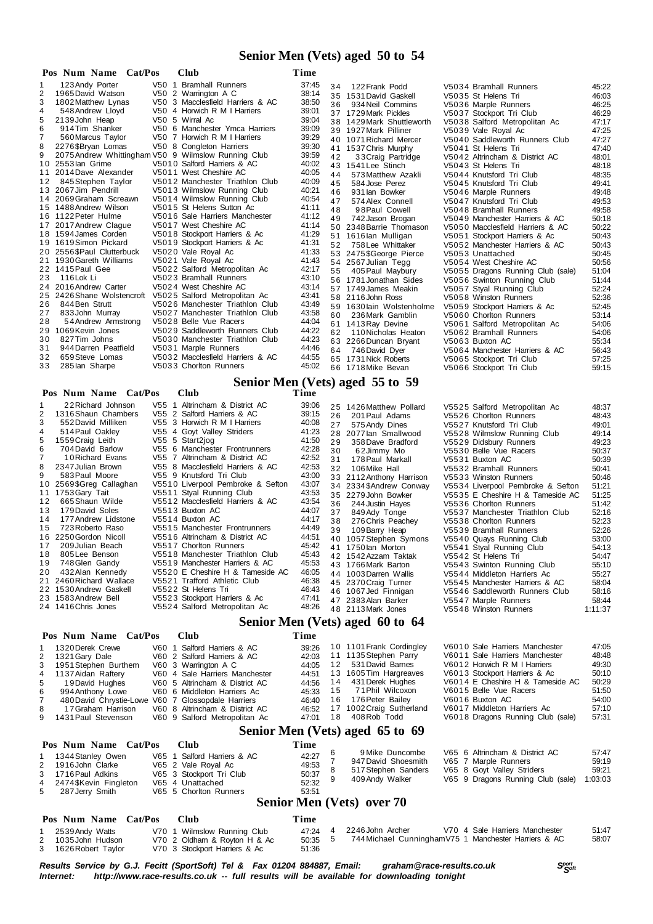## **Senior Men (Vets) aged 50 to 54**

| Pos      | <b>Num Name</b><br>Cat/Pos                          | <b>Club</b>                                              | Time           |    |                           |                                   |       |
|----------|-----------------------------------------------------|----------------------------------------------------------|----------------|----|---------------------------|-----------------------------------|-------|
|          | 123 Andy Porter                                     | V50 1 Bramhall Runners                                   | 37:45          | 34 | 122 Frank Podd            | V5034 Bramhall Runners            | 45:22 |
| 2        | 1965 David Watson                                   | V50 2 Warrington A C                                     | 38:14          |    | 35 1531 David Gaskell     | V5035 St Helens Tri               | 46:03 |
| 3        | 1802 Matthew Lynas                                  | V50 3 Macclesfield Harriers & AC                         | 38:50          | 36 | 934 Neil Commins          | V5036 Marple Runners              | 46:25 |
| 4        | 548 Andrew Lloyd                                    | V50 4 Horwich R M I Harriers                             | 39:01          |    | 37 1729 Mark Pickles      | V5037 Stockport Tri Club          | 46:29 |
| 5        | 2139 John Heap                                      | V50 5 Wirral Ac                                          | 39:04          |    | 38 1429 Mark Shuttleworth | V5038 Salford Metropolitan Ac     | 47:17 |
| 6        | 914 Tim Shanker                                     | V50 6 Manchester Ymca Harriers                           | 39:09          |    | 39 1927 Mark Pilliner     | V5039 Vale Royal Ac               | 47:25 |
|          | 560 Marcus Taylor                                   | V50 7 Horwich R M I Harriers                             | 39:29          |    | 40 1071 Richard Mercer    | V5040 Saddleworth Runners Club    | 47:27 |
| 8        | 2276 \$Bryan Lomas                                  | V50 8 Congleton Harriers                                 | 39:30          |    | 41 1537 Chris Murphy      | V5041 St Helens Tri               | 47:40 |
| 9        | 2075 Andrew Whittingham V50 9 Wilmslow Running Club |                                                          | 39:59          | 42 | 33 Craig Partridge        | V5042 Altrincham & District AC    | 48:01 |
| 10       | 2553 lan Grime                                      | V5010 Salford Harriers & AC                              | 40:02          |    | 43 1541 Lee Stinch        | V5043 St Helens Tri               | 48:18 |
|          | 2014 Dave Alexander                                 | V5011 West Cheshire AC                                   | 40:05          | 44 | 573 Matthew Azakli        | V5044 Knutsford Tri Club          | 48:35 |
| 12       | 845 Stephen Taylor                                  | V5012 Manchester Triathlon Club                          | 40:09          | 45 | 584 Jose Perez            | V5045 Knutsford Tri Club          | 49:41 |
| 13       | 2067 Jim Pendrill                                   | V5013 Wilmslow Running Club                              | 40:21          | 46 | 931 lan Bowker            | V5046 Marple Runners              | 49:48 |
| 14       | 2069 Graham Screawn                                 | V5014 Wilmslow Running Club                              | 40:54          | 47 | 574 Alex Connell          | V5047 Knutsford Tri Club          | 49:53 |
| 15       | 1488 Andrew Wilson                                  | V5015 St Helens Sutton Ac                                | 41:11          | 48 | 98Paul Cowell             | V5048 Bramhall Runners            | 49.58 |
|          | 16 1122 Peter Hulme                                 | V5016 Sale Harriers Manchester                           | 41:12          | 49 | 742 Jason Brogan          | V5049 Manchester Harriers & AC    | 50:18 |
|          | 2017 Andrew Claque                                  | V5017 West Cheshire AC                                   | 41:14          |    | 50 2348 Barrie Thomason   | V5050 Macclesfield Harriers & AC  | 50:22 |
|          | 18 1594 James Corden                                | V5018 Stockport Harriers & Ac                            | 41:29          |    | 51 1616 lan Mulligan      | V5051 Stockport Harriers & Ac     | 50:43 |
| 19       | 1619 Simon Pickard                                  | V5019 Stockport Harriers & Ac                            | 41:31          | 52 | 758 Lee Whittaker         | V5052 Manchester Harriers & AC    | 50:43 |
| 20       | 2556\$Paul Clutterbuck                              | V5020 Vale Royal Ac                                      | 41:33          |    | 53 2475\$George Pierce    | V5053 Unattached                  | 50:45 |
|          | 1930 Gareth Williams                                | V5021 Vale Royal Ac                                      | 41:43          |    | 54 2567 Julian Tegg       | V5054 West Cheshire AC            | 50:56 |
|          | 22 1415 Paul Gee                                    | V5022 Salford Metropolitan Ac                            | 42:17          | 55 | 405 Paul Maybury          | V5055 Dragons Running Club (sale) | 51:04 |
| 23       | 116 Lok Li                                          | V5023 Bramhall Runners                                   | 43:10          |    | 56 1781 Jonathan Sides    | V5056 Swinton Running Club        | 51:44 |
| 24       | 2016 Andrew Carter                                  | V5024 West Cheshire AC                                   | 43:14          |    | 57 1749 James Meakin      | V5057 Styal Running Club          | 52:24 |
| 25       | 2426 Shane Wolstencroft                             | V5025 Salford Metropolitan Ac                            | 43:41          |    | 58 2116 John Ross         | V5058 Winston Runners             | 52:36 |
| 26       | 844 Ben Strutt                                      | V5026 Manchester Triathlon Club                          | 43:49          |    | 59 1630 lain Wolstenholme | V5059 Stockport Harriers & Ac     | 52:45 |
| 27       | 833 John Murray                                     | V5027 Manchester Triathlon Club                          | 43:58          | 60 | 236 Mark Gamblin          | V5060 Chorlton Runners            | 53:14 |
| 28       | 54 Andrew Armstrong                                 | V5028 Belle Vue Racers                                   | 44:04          |    | 61 1413 Ray Devine        | V5061 Salford Metropolitan Ac     | 54:06 |
| 29       | 1069 Kevin Jones<br>827 Tim Johns                   | V5029 Saddleworth Runners Club                           | 44:22          | 62 | 110 Nicholas Heaton       | V5062 Bramhall Runners            | 54:06 |
| 30<br>31 | 944 Darren Peatfield                                | V5030 Manchester Triathlon Club                          | 44:23<br>44:46 |    | 63 2266 Duncan Bryant     | V5063 Buxton AC                   | 55:34 |
| 32       |                                                     | V5031 Marple Runners<br>V5032 Macclesfield Harriers & AC | 44:55          | 64 | 746 David Dyer            | V5064 Manchester Harriers & AC    | 56:43 |
| 33       | 659 Steve Lomas<br>285 lan Sharpe                   | V5033 Chorlton Runners                                   | 45:02          |    | 65 1731 Nick Roberts      | V5065 Stockport Tri Club          | 57:25 |
|          |                                                     |                                                          |                |    | 66 1718 Mike Bevan        | V5066 Stockport Tri Club          | 59:15 |

# **Senior Men (Vets) aged 55 to 59**

|                                                                                                                    | Pos Num Name Cat/Pos                                                                                                                                                                                                                                                                                                                                                                                                  | 50<br><b>Club</b>                                                                                                                                                                                                                                                                                                                                                                                                                                                                                                                                                                                                                  | Time                                                                                                                                                                             |                                                          |                                                                                                                                                                                                                                                                                                                                                                                                                                                |                                                                                                                                                                                                                                                                                                                                                                                                                                                                                                                                                                                    |                                                                                                                                                                                  |
|--------------------------------------------------------------------------------------------------------------------|-----------------------------------------------------------------------------------------------------------------------------------------------------------------------------------------------------------------------------------------------------------------------------------------------------------------------------------------------------------------------------------------------------------------------|------------------------------------------------------------------------------------------------------------------------------------------------------------------------------------------------------------------------------------------------------------------------------------------------------------------------------------------------------------------------------------------------------------------------------------------------------------------------------------------------------------------------------------------------------------------------------------------------------------------------------------|----------------------------------------------------------------------------------------------------------------------------------------------------------------------------------|----------------------------------------------------------|------------------------------------------------------------------------------------------------------------------------------------------------------------------------------------------------------------------------------------------------------------------------------------------------------------------------------------------------------------------------------------------------------------------------------------------------|------------------------------------------------------------------------------------------------------------------------------------------------------------------------------------------------------------------------------------------------------------------------------------------------------------------------------------------------------------------------------------------------------------------------------------------------------------------------------------------------------------------------------------------------------------------------------------|----------------------------------------------------------------------------------------------------------------------------------------------------------------------------------|
| 1<br>2<br>3<br>4<br>5<br>6<br>$\overline{7}$<br>8<br>9<br>10<br>12<br>13<br>14<br>15<br>16<br>17<br>18<br>19<br>20 | 22 Richard Johnson<br>1316 Shaun Chambers<br>552 David Milliken<br>514 Paul Oakley<br>1559 Craig Leith<br>704 David Barlow<br>10 Richard Evans<br>2347 Julian Brown<br>583 Paul Moore<br>2569\$Greg Callaghan<br>11 1753 Gary Tait<br>665 Shaun Wilde<br>179 David Soles<br>177 Andrew Lidstone<br>723 Roberto Raso<br>2250 Gordon Nicoll<br>209 Julian Beach<br>805 Lee Benson<br>748 Glen Gandy<br>432 Alan Kennedy | V55 1 Altrincham & District AC<br>V55 2 Salford Harriers & AC<br>V55 3 Horwich R M I Harriers<br>V55 4 Goyt Valley Striders<br>V55 5 Start2jog<br>V55 6 Manchester Frontrunners<br>V55 7 Altrincham & District AC<br>V55 8 Macclesfield Harriers & AC<br>V55 9 Knutsford Tri Club<br>V5510 Liverpool Pembroke & Sefton<br>V5511 Styal Running Club<br>V5512 Macclesfield Harriers & AC<br>V5513 Buxton AC<br>V5514 Buxton AC<br>V5515 Manchester Frontrunners<br>V5516 Altrincham & District AC<br>V5517 Chorlton Runners<br>V5518 Manchester Triathlon Club<br>V5519 Manchester Harriers & AC<br>V5520 E Cheshire H & Tameside AC | 39:06<br>39:15<br>40:08<br>41:23<br>41:50<br>42:28<br>42:52<br>42:53<br>43:00<br>43:07<br>43:53<br>43:54<br>44:07<br>44:17<br>44:49<br>44:51<br>45:42<br>45:43<br>45:53<br>46:05 | 26<br>27<br>29<br>30<br>31<br>32<br>36<br>37<br>38<br>39 | 25 1426 Matthew Pollard<br>201 Paul Adams<br>575 Andy Dines<br>28 2077 lan Smallwood<br>358 Dave Bradford<br>62Jimmy Mo<br>178 Paul Markall<br>106 Mike Hall<br>33 2112 Anthony Harrison<br>34 2334 \$Andrew Conway<br>35 2279 John Bowker<br>244 Justin Hayes<br>849 Ady Tonge<br>276 Chris Peachey<br>109 Barry Heap<br>40 1057 Stephen Symons<br>41 1750 lan Morton<br>42 1542 Azzam Taktak<br>43 1766 Mark Barton<br>44 1003 Darren Wallis | V5525 Salford Metropolitan Ac<br>V5526 Chorlton Runners<br>V5527 Knutsford Tri Club<br>V5528 Wilmslow Running Club<br>V5529 Didsbury Runners<br>V5530 Belle Vue Racers<br>V5531 Buxton AC<br>V5532 Bramhall Runners<br>V5533 Winston Runners<br>V5534 Liverpool Pembroke & Sefton<br>V5535 E Cheshire H & Tameside AC<br>V5536 Chorlton Runners<br>V5537 Manchester Triathlon Club<br>V5538 Chorlton Runners<br>V5539 Bramhall Runners<br>V5540 Quays Running Club<br>V5541 Styal Running Club<br>V5542 St Helens Tri<br>V5543 Swinton Running Club<br>V5544 Middleton Harriers Ac | 48:37<br>48:43<br>49:01<br>49:14<br>49:23<br>50:37<br>50:39<br>50:41<br>50:46<br>51:21<br>51:25<br>51:42<br>52:16<br>52:23<br>52:26<br>53:00<br>54:13<br>54:47<br>55:10<br>55:27 |
|                                                                                                                    | 21 2460 Richard Wallace<br>22 1530 Andrew Gaskell<br>23 1583 Andrew Bell<br>24 1416 Chris Jones                                                                                                                                                                                                                                                                                                                       | V5521 Trafford Athletic Club<br>V5522 St Helens Tri<br>V5523 Stockport Harriers & Ac<br>V5524 Salford Metropolitan Ac                                                                                                                                                                                                                                                                                                                                                                                                                                                                                                              | 46:38<br>46:43<br>47:41<br>48:26                                                                                                                                                 |                                                          | 45 2370 Craig Turner<br>46 1067 Jed Finnigan<br>47 2383 Alan Barker<br>48 2113 Mark Jones                                                                                                                                                                                                                                                                                                                                                      | V5545 Manchester Harriers & AC<br>V5546 Saddleworth Runners Club<br>V5547 Marple Runners<br>V5548 Winston Runners                                                                                                                                                                                                                                                                                                                                                                                                                                                                  | 58:04<br>58:16<br>58:44<br>1:11:37                                                                                                                                               |
|                                                                                                                    |                                                                                                                                                                                                                                                                                                                                                                                                                       |                                                                                                                                                                                                                                                                                                                                                                                                                                                                                                                                                                                                                                    |                                                                                                                                                                                  |                                                          | Senior Men (Vets) aged 60 to 64                                                                                                                                                                                                                                                                                                                                                                                                                |                                                                                                                                                                                                                                                                                                                                                                                                                                                                                                                                                                                    |                                                                                                                                                                                  |
|                                                                                                                    | Pos Num Name<br>Cat/Pos                                                                                                                                                                                                                                                                                                                                                                                               | <b>Club</b>                                                                                                                                                                                                                                                                                                                                                                                                                                                                                                                                                                                                                        | Time                                                                                                                                                                             |                                                          |                                                                                                                                                                                                                                                                                                                                                                                                                                                |                                                                                                                                                                                                                                                                                                                                                                                                                                                                                                                                                                                    |                                                                                                                                                                                  |
| 1<br>$\overline{2}$<br>3<br>4<br>5<br>6<br>$\overline{7}$<br>8<br>9                                                | 1320 Derek Crewe<br>1321 Gary Dale<br>1951 Stephen Burthem<br>1137 Aidan Raftery<br>19 David Hughes<br>994 Anthony Lowe<br>480 David Chrystie-Lowe V60 7 Glossopdale Harriers<br>17 Graham Harrison<br>1431 Paul Stevenson                                                                                                                                                                                            | V60 1 Salford Harriers & AC<br>V60 2 Salford Harriers & AC<br>V60 3 Warrington A C<br>V60 4 Sale Harriers Manchester<br>V60 5 Altrincham & District AC<br>V60 6 Middleton Harriers Ac<br>V60 8 Altrincham & District AC<br>V60 9 Salford Metropolitan Ac                                                                                                                                                                                                                                                                                                                                                                           | 39:26<br>42:03<br>44:05<br>44:51<br>44:56<br>45:33<br>46:40<br>46:52<br>47:01                                                                                                    | 12<br>14<br>15<br>16<br>18                               | 10 1101 Frank Cordingley<br>11 1135 Stephen Parry<br>531 David Barnes<br>13 1605 Tim Hargreaves<br>431 Derek Hughes<br>71Phil Wilcoxon<br>176 Peter Bailey<br>17 1002 Craig Sutherland<br>408 Rob Todd                                                                                                                                                                                                                                         | V6010 Sale Harriers Manchester<br>V6011 Sale Harriers Manchester<br>V6012 Horwich R M I Harriers<br>V6013 Stockport Harriers & Ac<br>V6014 E Cheshire H & Tameside AC<br>V6015 Belle Vue Racers<br>V6016 Buxton AC<br>V6017 Middleton Harriers Ac<br>V6018 Dragons Running Club (sale)                                                                                                                                                                                                                                                                                             | 47:05<br>48:48<br>49:30<br>50:10<br>50:29<br>51:50<br>54:00<br>57:10<br>57:31                                                                                                    |
|                                                                                                                    |                                                                                                                                                                                                                                                                                                                                                                                                                       |                                                                                                                                                                                                                                                                                                                                                                                                                                                                                                                                                                                                                                    |                                                                                                                                                                                  |                                                          | Senior Men (Vets) aged 65 to 69                                                                                                                                                                                                                                                                                                                                                                                                                |                                                                                                                                                                                                                                                                                                                                                                                                                                                                                                                                                                                    |                                                                                                                                                                                  |
|                                                                                                                    | Pos Num Name<br>Cat/Pos                                                                                                                                                                                                                                                                                                                                                                                               | <b>Club</b>                                                                                                                                                                                                                                                                                                                                                                                                                                                                                                                                                                                                                        | Time                                                                                                                                                                             | 6                                                        | 9 Mike Duncombe                                                                                                                                                                                                                                                                                                                                                                                                                                | V65 6 Altrincham & District AC                                                                                                                                                                                                                                                                                                                                                                                                                                                                                                                                                     | 57:47                                                                                                                                                                            |
| 1<br>2<br>3<br>4<br>5                                                                                              | 1344 Stanley Owen<br>1916 John Clarke<br>1716 Paul Adkins<br>2474 SKevin Fingleton<br>287 Jerry Smith                                                                                                                                                                                                                                                                                                                 | V65 1 Salford Harriers & AC<br>V65 2 Vale Royal Ac<br>V65 3 Stockport Tri Club<br>V65 4 Unattached<br>V65 5 Chorlton Runners                                                                                                                                                                                                                                                                                                                                                                                                                                                                                                       | 42:27<br>49:53<br>50:37<br>52:32<br>53:51                                                                                                                                        | $\overline{7}$<br>8<br>9                                 | 947 David Shoesmith<br>517 Stephen Sanders<br>409 Andy Walker<br><b>Senior Men (Vets) over 70</b>                                                                                                                                                                                                                                                                                                                                              | V65 7 Marple Runners<br>V65 8 Goyt Valley Striders<br>V65 9 Dragons Running Club (sale)                                                                                                                                                                                                                                                                                                                                                                                                                                                                                            | 59:19<br>59:21<br>1:03:03                                                                                                                                                        |
|                                                                                                                    | Pos Num Name Cat/Pos                                                                                                                                                                                                                                                                                                                                                                                                  | Club                                                                                                                                                                                                                                                                                                                                                                                                                                                                                                                                                                                                                               | Time                                                                                                                                                                             |                                                          |                                                                                                                                                                                                                                                                                                                                                                                                                                                |                                                                                                                                                                                                                                                                                                                                                                                                                                                                                                                                                                                    |                                                                                                                                                                                  |

*<sup>S</sup>port Results Service by G.J. Fecitt (SportSoft) Tel & Fax 01204 884887, Email: graham@race-results.co.uk <sup>S</sup>oft* http://www.race-results.co.uk -- full results will be available for downloading tonight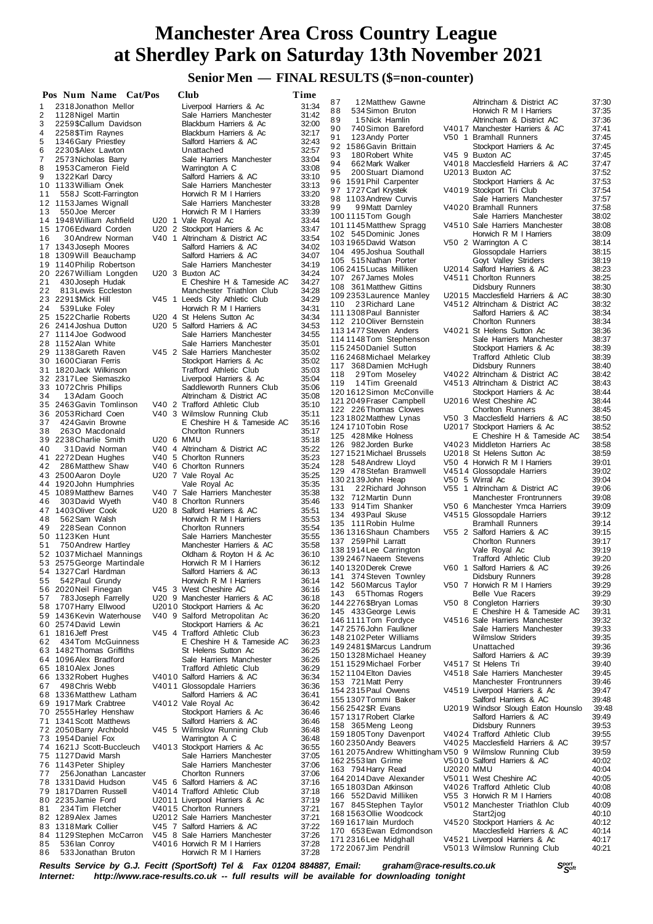# **Senior Men — FINAL RESULTS (\$=non-counter)**

|    | Pos Num Name Cat/Pos                          | Club                                                | Time           |                                                         |           |                                                              |                |
|----|-----------------------------------------------|-----------------------------------------------------|----------------|---------------------------------------------------------|-----------|--------------------------------------------------------------|----------------|
| 1  | 2318 Jonathon Mellor                          | Liverpool Harriers & Ac                             | 31:34          | 12Matthew Gawne<br>87                                   |           | Altrincham & District AC                                     | 37:30          |
| 2  | 1128 Nigel Martin                             | Sale Harriers Manchester                            | 31:42          | 88<br>534 Simon Bruton<br>89                            |           | Horwich R M I Harriers<br>Altrincham & District AC           | 37:35          |
| 3  | 2259\$Callum Davidson                         | Blackburn Harriers & Ac                             | 32:00          | 15Nick Hamlin<br>90<br>740 Simon Bareford               |           | V4017 Manchester Harriers & AC                               | 37:36<br>37:41 |
| 4  | 2258 \$Tim Raynes                             | Blackburn Harriers & Ac                             | 32:17          | 91<br>123 Andy Porter                                   |           | V50 1 Bramhall Runners                                       | 37:45          |
| 5  | 1346 Gary Priestley                           | Salford Harriers & AC                               | 32:43          | 92 1586 Gavin Brittain                                  |           | Stockport Harriers & Ac                                      | 37:45          |
| 6  | 2230 \$Alex Lawton                            | Unattached                                          | 32:57          | 93<br>180 Robert White                                  |           | V45 9 Buxton AC                                              | 37:45          |
| 7  | 2573 Nicholas Barry                           | Sale Harriers Manchester                            | 33:04          | 94<br>662 Mark Walker                                   |           | V4018 Macclesfield Harriers & AC                             | 37:47          |
| 8  | 1953 Cameron Field                            | Warrington A C                                      | 33:08          | 95<br>200 Stuart Diamond                                |           | U2013 Buxton AC                                              | 37:52          |
| 9  | 1322 Karl Darcy                               | Salford Harriers & AC                               | 33:10          | 96 1591 Phil Carpenter                                  |           | Stockport Harriers & Ac                                      | 37:53          |
|    | 10 1133 William Onek                          | Sale Harriers Manchester                            | 33:13          | 97 1727 Carl Krystek                                    |           | V4019 Stockport Tri Club                                     | 37:54          |
| 11 | 558J Scott-Farrington                         | Horwich R M I Harriers<br>Sale Harriers Manchester  | 33:20<br>33:28 | 98 1103 Andrew Curvis                                   |           | Sale Harriers Manchester                                     | 37:57          |
| 13 | 12 1153 James Wignall<br>550 Joe Mercer       | Horwich R M I Harriers                              | 33:39          | 99<br>99Matt Darnley                                    |           | V4020 Bramhall Runners                                       | 37:58          |
|    | 14 1948 William Ashfield                      | U20 1 Vale Royal Ac                                 | 33:44          | 1001115Tom Gough                                        |           | Sale Harriers Manchester                                     | 38:02          |
|    | 15 1706 Edward Corden                         | U20 2 Stockport Harriers & Ac                       | 33:47          | 101 1145 Matthew Spragg                                 |           | V4510 Sale Harriers Manchester                               | 38:08          |
| 16 | 30 Andrew Norman                              | V40 1 Altrincham & District AC                      | 33:54          | 102 545 Dominic Jones                                   |           | Horwich R M I Harriers                                       | 38:09          |
|    | 17 1343 Joseph Moores                         | Salford Harriers & AC                               | 34:02          | 1031965 David Watson                                    |           | V50 2 Warrington A C                                         | 38:14          |
|    | 18 1309 Will Beauchamp                        | Salford Harriers & AC                               | 34:07          | 104 495 Joshua Southall                                 |           | Glossopdale Harriers                                         | 38:15          |
|    | 19 1140 Philip Robertson                      | Sale Harriers Manchester                            | 34:19          | 105 515 Nathan Porter                                   |           | Goyt Valley Striders                                         | 38:19          |
|    | 20 2267 William Longden                       | U20 3 Buxton AC                                     | 34:24          | 106 2415 Lucas Milliken                                 |           | U2014 Salford Harriers & AC                                  | 38:23          |
| 21 | 430 Joseph Hudak                              | E Cheshire H & Tameside AC                          | 34:27          | 107 267 James Moles                                     |           | V4511 Chorlton Runners                                       | 38:25<br>38:30 |
| 22 | 813 Lewis Eccleston                           | Manchester Triathlon Club                           | 34:28          | 108 361 Matthew Gittins<br>109 2353 Laurence Manley     |           | Didsbury Runners<br>U2015 Macclesfield Harriers & AC         | 38:30          |
|    | 23 2291 \$Mick Hill                           | V45 1 Leeds City Athletic Club                      | 34:29          | 110<br>23Richard Lane                                   |           | V4512 Altrincham & District AC                               | 38:32          |
| 24 | 539 Luke Foley                                | Horwich R M I Harriers                              | 34:31          | 111 1308 Paul Bannister                                 |           | Salford Harriers & AC                                        | 38:34          |
|    | 25 1522 Charlie Roberts                       | U20 4 St Helens Sutton Ac                           | 34:34          | 112 210 Oliver Bernstein                                |           | <b>Chorlton Runners</b>                                      | 38:34          |
|    | 26 2414 Joshua Dutton                         | U20 5 Salford Harriers & AC                         | 34:53          | 113 1477 Steven Anders                                  |           | V4021 St Helens Sutton Ac                                    | 38:36          |
|    | 27 1114 Joe Godwood                           | Sale Harriers Manchester                            | 34:55          | 114 1148 Tom Stephenson                                 |           | Sale Harriers Manchester                                     | 38:37          |
|    | 28 1152 Alan White                            | Sale Harriers Manchester                            | 35:01          | 115 2450 Daniel Sutton                                  |           | Stockport Harriers & Ac                                      | 38:39          |
|    | 29 1138 Gareth Raven<br>30 1600 Ciaran Ferris | V45 2 Sale Harriers Manchester                      | 35:02          | 116 2468 Michael Melarkey                               |           | Trafford Athletic Club                                       | 38:39          |
|    | 31 1820 Jack Wilkinson                        | Stockport Harriers & Ac                             | 35:02          | 117 368 Damien McHugh                                   |           | Didsbury Runners                                             | 38:40          |
|    | 32 2317 Lee Siemaszko                         | Trafford Athletic Club<br>Liverpool Harriers & Ac   | 35:03<br>35:04 | 118<br>29Tom Moseley                                    |           | V4022 Altrincham & District AC                               | 38:42          |
|    | 33 1072 Chris Phillips                        | Saddleworth Runners Club                            | 35:06          | 14Tim Greenald<br>119                                   |           | V4513 Altrincham & District AC                               | 38:43          |
| 34 | 13Adam Gooch                                  | Altrincham & District AC                            | 35:08          | 1201612Simon McConville                                 |           | Stockport Harriers & Ac                                      | 38:44          |
|    | 35 2463 Gavin Tomlinson                       | V40 2 Trafford Athletic Club                        | 35:10          | 121 2049 Fraser Campbell                                |           | U2016 West Cheshire AC                                       | 38:44          |
|    | 36 2053 Richard Coen                          | V40 3 Wilmslow Running Club                         | 35:11          | 122 226 Thomas Clowes                                   |           | <b>Chorlton Runners</b>                                      | 38:45          |
| 37 | 424 Gavin Browne                              | E Cheshire H & Tameside AC                          | 35:16          | 123 1802 Matthew Lynas                                  |           | V50 3 Macclesfield Harriers & AC                             | 38:50          |
| 38 | 2630 Macdonald                                | Chorlton Runners                                    | 35:17          | 124 1710 Tobin Rose                                     |           | U2017 Stockport Harriers & Ac                                | 38:52          |
|    | 39 2238 Charlie Smith                         | U20 6 MMU                                           | 35:18          | 125 428 Mike Holness                                    |           | E Cheshire H & Tameside AC                                   | 38:54          |
| 40 | 31 David Norman                               | V40 4 Altrincham & District AC                      | 35:22          | 126 982 Jorden Burke                                    |           | V4023 Middleton Harriers Ac                                  | 38:58          |
|    | 41 2272 Dean Hughes                           | V40 5 Chorlton Runners                              | 35:23          | 127 1521 Michael Brussels                               |           | U2018 St Helens Sutton Ac                                    | 38:59          |
| 42 | 286 Matthew Shaw                              | V40 6 Chorlton Runners                              | 35:24          | 128 548 Andrew Lloyd<br>129 478 Stefan Bramwell         |           | V50 4 Horwich R M I Harriers<br>V4514 Glossopdale Harriers   | 39:01<br>39:02 |
|    | 43 2500 Aaron Doyle                           | U20 7 Vale Royal Ac                                 | 35:25          | 130 2139 John Heap                                      |           | V50 5 Wirral Ac                                              | 39:04          |
|    | 44 1920 John Humphries                        | Vale Royal Ac                                       | 35:35          | 131<br>22 Richard Johnson                               |           | V55 1 Altrincham & District AC                               | 39:06          |
|    | 45 1089 Matthew Barnes                        | V40 7 Sale Harriers Manchester                      | 35:38          | 132 712 Martin Dunn                                     |           | Manchester Frontrunners                                      | 39:08          |
| 46 | 303 David Wyeth                               | V40 8 Chorlton Runners                              | 35:46          | 133 914 Tim Shanker                                     |           | V50 6 Manchester Ymca Harriers                               | 39:09          |
|    | 47 1403 Oliver Cook                           | U20 8 Salford Harriers & AC                         | 35:51          | 134 493 Paul Skuse                                      |           | V4515 Glossopdale Harriers                                   | 39:12          |
| 48 | 562 Sam Walsh                                 | Horwich R M I Harriers                              | 35:53          | 135 111 Robin Hulme                                     |           | <b>Bramhall Runners</b>                                      | 39:14          |
| 49 | 228 Sean Connon<br>50 1123Ken Hunt            | <b>Chorlton Runners</b><br>Sale Harriers Manchester | 35:54<br>35:55 | 136 1316 Shaun Chambers                                 |           | V55 2 Salford Harriers & AC                                  | 39:15          |
| 51 | 750 Andrew Hartley                            | Manchester Harriers & AC                            | 35:58          | 137 259 Phil Larratt                                    |           | Chorlton Runners                                             | 39:17          |
|    | 52 1037 Michael Mannings                      | Oldham & Royton H & Ac                              | 36:10          | 138 1914 Lee Carrington                                 |           | Vale Royal Ac                                                | 39:19          |
| 53 | 2575 George Martindale                        | Horwich R M I Harriers                              | 36:12          | 139 2467 Naeem Stevens                                  |           | <b>Trafford Athletic Club</b>                                | 39:20          |
|    | 54 1327 Carl Hardman                          | Salford Harriers & AC                               | 36:13          | 140 1320 Derek Crewe                                    |           | V60 1 Salford Harriers & AC                                  | 39:26          |
|    | 55 542 Paul Grundy                            | Horwich R M I Harriers                              | 36:14          | 141 374 Steven Townley                                  |           | Didsbury Runners                                             | 39:28          |
|    | 56 2020 Neil Finegan                          | V45 3 West Cheshire AC                              | 36:16          | 142 560 Marcus Taylor                                   |           | V50 7 Horwich R M I Harriers                                 | 39:29          |
| 57 | 783 Joseph Farrelly                           | U20 9 Manchester Harriers & AC                      | 36:18          | 65Thomas Rogers<br>143                                  |           | Belle Vue Racers                                             | 39:29          |
|    | 58 1707 Harry Ellwood                         | U2010 Stockport Harriers & Ac                       | 36:20          | 144 2276 \$Bryan Lomas<br>145 433 George Lewis          |           | V50 8 Congleton Harriers                                     | 39:30          |
|    | 59 1436 Kevin Waterhouse                      | V40 9 Salford Metropolitan Ac                       | 36:20          | 146 1111 Tom Fordyce                                    |           | E Cheshire H & Tameside AC<br>V4516 Sale Harriers Manchester | 39:31<br>39:32 |
|    | 60 2574 David Lewin                           | Stockport Harriers & Ac                             | 36:21          | 147 2576 John Faulkner                                  |           | Sale Harriers Manchester                                     | 39:33          |
|    | 61 1816 Jeff Prest                            | V45 4 Trafford Athletic Club                        | 36:23          | 148 2102 Peter Williams                                 |           | <b>Wilmslow Striders</b>                                     | 39:35          |
| 62 | 434Tom McGuinness                             | E Cheshire H & Tameside AC                          | 36:23          | 149 2481 \$Marcus Landrum                               |           | Unattached                                                   | 39:36          |
|    | 63 1482 Thomas Griffiths                      | St Helens Sutton Ac                                 | 36:25          | 150 1328 Michael Heaney                                 |           | Salford Harriers & AC                                        | 39:39          |
|    | 64 1096 Alex Bradford                         | Sale Harriers Manchester                            | 36:26          | 151 1529 Michael Forber                                 |           | V4517 St Helens Tri                                          | 39:40          |
|    | 65 1810 Alex Jones                            | <b>Trafford Athletic Club</b>                       | 36:29          | 152 1104 Elton Davies                                   |           | V4518 Sale Harriers Manchester                               | 39:45          |
| 66 | 1332 Robert Hughes                            | V4010 Salford Harriers & AC                         | 36:34          | 153 721 Matt Perry                                      |           | Manchester Frontrunners                                      | 39:46          |
| 67 | 498 Chris Webb<br>68 1336 Matthew Latham      | V4011 Glossopdale Harriers<br>Salford Harriers & AC | 36:36<br>36:41 | 154 2315 Paul Owens                                     |           | V4519 Liverpool Harriers & Ac                                | 39:47          |
|    | 69 1917 Mark Crabtree                         | V4012 Vale Royal Ac                                 | 36:42          | 155 1307 Tommi Baker                                    |           | Salford Harriers & AC                                        | 39:48          |
|    | 70 2555 Harley Henshaw                        | Stockport Harriers & Ac                             | 36:46          | 156 2542 \$R Evans                                      |           | U2019 Windsor Slough Eaton Hounslo                           | 39:48          |
|    | 71 1341 Scott Matthews                        | Salford Harriers & AC                               | 36:46          | 157 1317 Robert Clarke                                  |           | Salford Harriers & AC                                        | 39:49          |
|    | 72 2050 Barry Archbold                        | V45 5 Wilmslow Running Club                         | 36:48          | 158 365 Meng Leong                                      |           | Didsbury Runners                                             | 39:53          |
|    | 73 1954 Daniel Fox                            | Warrington A C                                      | 36:48          | 159 1805 Tony Davenport                                 |           | V4024 Trafford Athletic Club                                 | 39:55          |
|    | 74 1621J Scott-Buccleuch                      | V4013 Stockport Harriers & Ac                       | 36:55          | 160 2350 Andy Beavers                                   |           | V4025 Macclesfield Harriers & AC                             | 39.57          |
|    | 75 1127 David Marsh                           | Sale Harriers Manchester                            | 37:05          | 161 2075 Andrew Whittingham V50 9 Wilmslow Running Club |           |                                                              | 39:59          |
|    | 76 1143 Peter Shipley                         | Sale Harriers Manchester                            | 37:06          | 162 2553 lan Grime                                      |           | V5010 Salford Harriers & AC                                  | 40:02          |
| 77 | 256 Jonathan Lancaster                        | <b>Chorlton Runners</b>                             | 37:06          | 163 794 Harry Read                                      | U2020 MMU |                                                              | 40:04          |
|    | 78 1331 David Hudson                          | V45 6 Salford Harriers & AC                         | 37:16          | 164 2014 Dave Alexander<br>165 1803 Dan Atkinson        |           | V5011 West Cheshire AC<br>V4026 Trafford Athletic Club       | 40:05          |
|    | 79 1817 Darren Russell                        | V4014 Trafford Athletic Club                        | 37:18          | 166 552 David Milliken                                  |           | V55 3 Horwich R M I Harriers                                 | 40:08<br>40:08 |
|    | 80 2235 Jamie Ford                            | U2011 Liverpool Harriers & Ac                       | 37:19          | 167 845 Stephen Taylor                                  |           | V5012 Manchester Triathlon Club                              | 40:09          |
| 81 | 234 Tim Fletcher                              | V4015 Chorlton Runners                              | 37:21          | 168 1563 Ollie Woodcock                                 |           | Start2jog                                                    | 40:10          |
|    | 82 1289 Alex James                            | U2012 Sale Harriers Manchester                      | 37:21          | 169 1617 lain Murdoch                                   |           | V4520 Stockport Harriers & Ac                                | 40:12          |
|    | 83 1318 Mark Collier                          | V45 7 Salford Harriers & AC                         | 37:22          | 170 653 Ewan Edmondson                                  |           | Macclesfield Harriers & AC                                   | 40:14          |
| 84 | 1129 Stephen McCarron                         | V45 8 Sale Harriers Manchester                      | 37:26          | 171 2316 Lee Midghall                                   |           | V4521 Liverpool Harriers & Ac                                | 40:17          |
| 85 | 536 lan Conroy                                | V4016 Horwich R M I Harriers                        | 37:28          | 172 2067 Jim Pendrill                                   |           | V5013 Wilmslow Running Club                                  | 40:21          |
| 86 | 533 Jonathan Bruton                           | Horwich R M I Harriers                              | 37:28          |                                                         |           |                                                              |                |

*<sup>S</sup>port Results Service by G.J. Fecitt (SportSoft) Tel & Fax 01204 884887, Email: graham@race-results.co.uk <sup>S</sup>oft* http://www.race-results.co.uk -- full results will be available for downloading tonight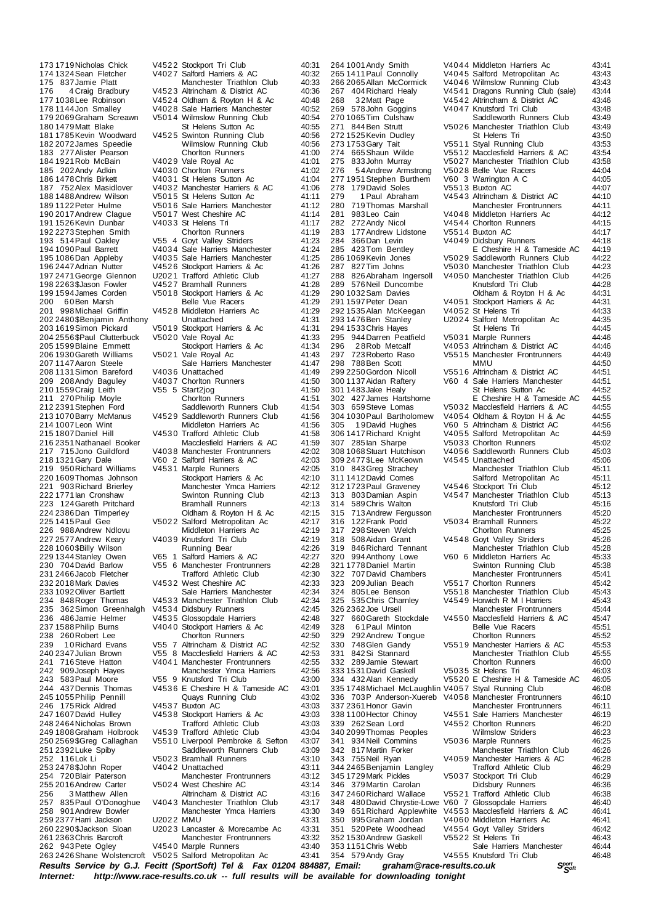*<sup>S</sup>port Results Service by G.J. Fecitt (SportSoft) Tel & Fax 01204 884887, Email: graham@race-results.co.uk <sup>S</sup>oft Internet: http://www.race-results.co.uk -- full results will be available for downloading tonight* 210 1559 Craig Leith V55 5 Start2jog<br>211 270 Philip Movie Choriton Runners 263 2426 Shane Wolstencroft V5025 Salford Metropolitan Ac

173 1719 Nicholas Chick V4522 Stockport Tri Club 40:31<br>174 1324 Sean Fletcher V4027 Salford Harriers & AC 40:32 174 1324 Sean Fletcher V4027 Salford Harriers & AC 40:32<br>175 837 Jamie Platt Manchester Triathlon Club 40:33 175 837Jamie Platt Manchester Triathlon Club 40:33 176 4 Craig Bradbury V452 3 Altrincham & District AC 40:36 177 1038 Lee Robinson V4524 Oldham & Royton H & Ac 40:48<br>178 1144 Jon Smalley V4028 Sale Harriers Manchester 40:52 178 1144 Jon Smalley 194028 Sale Harriers Manchester 140:52<br>179 2069 Graham Screawn 175014 Wilmslow Running Club 140:54 179 2069 Graham Screawn V5014 Wilmslow Running Club 40:54<br>180 1479 Matt Blake St Helens Sutton Ac 40:55 180 1479 Matt Blake St Helens Sutton Ac 40:55<br>180 1479 Matt Blake St Helens Sutton Ac 40:55<br>181 1785 Kevin Woodward V4525 Swinton Running Club 40:56 1918 1785 V4525 Swinton Running Club 40:56<br>Wilmslow Running Club 40:56 182 2072James Speedie Wilmslow Running Club 40:56 183 277 Alister Pearson Chorlton Runners 41:00<br>184 1921 Rob McBain V4029 Vale Roval Ac 41:01 184 1921Rob McBain V402 9 Vale Royal Ac 41:01 185 202Andy Adkin V403 0 Chorlton Runners 41:02 186 1478 Chris Birkett V4031 St Helens Sutton Ac 41:04<br>187 152 Alex Masidlover V4032 Manchester Harriers & AC 41:06 187 752 Alex Masidlover V4032 Manchester Harriers & AC 41:06<br>188 1488 Andrew Wilson V5015 St Helens Sutton Ac 41:11 188 1488 Andrew Wilson V501 5 St Helens Sutton Ac 41:11<br>189 1122 Peter Hulme V501 6 Sale Harriers Manchester 41:12 189 1122Peter Hulme V501 6 Sale Harriers Manchester 41:12 190 V5017 West Cheshire AC 41:14<br>190 V4033 St Helens Tri 41:17 191 1526Kevin Dunbar V403 3 St Helens Tri 41:17 192 2273Stephen Smith Chorlton Runners 41:19 193 514 Paul Oakley  $V55$  4 Goyt Valley Striders 41:23<br>194 1090 Paul Barrett V4034 Sale Harriers Manchester 41:24 194 1090Paul Barrett V403 4 Sale Harriers Manchester 41:24 195 1086 Dan Appleby V4035 Sale Harriers Manchester 41:25<br>196 2447 Adrian Nutter V4526 Stockport Harriers & Ac 41:26 V4526 Stockport Harriers & Ac 41:26<br>112021 Trafford Athletic Club 41:27 197 2471George Glennon U202 1 Trafford Athletic Club 41:27 198 2263 Salason Fowler V4527 Bramhall Runners 41:28<br>198 2263 Salason Fowler V4527 Bramhall Runners 41:28<br>199 1594 James Corden V5018 Stockport Harriers & Ac 41:29 199 1594 James Corden V501 8 Stockport Harriers & Ac 41:29<br>200 60 Ben Marsh Belle Vue Racers 41:29 200 60Ben Marsh Belle Vue Racers 41:29<br>201 998 Michael Griffin V4528 Middleton Harriers Ac 41:29 201 V4528 Middleton Harriers Ac 41:29<br>11:31 Unattached 202 2480 \$Benjamin Anthony Unattached 41:31<br>203 1619 Simon Pickard V5019 Stockport Harriers & Ac 41:31 V5019 Stockport Harriers & Ac<br>V5020 Vale Roval Ac 204 2556 \$Paul Clutterbuck V5020 Vale Royal Ac 41:33<br>205 1599 Blaine Emmett Stockport Harriers & Ac 41:34 205 1599Blaine Emmett Stockport Harriers & Ac 41:34 206 1930 Gareth Williams V5021 Vale Royal Ac 41:43<br>207 1147 Aaron Steele Sale Harriers Manchester 41:43 21:47 Sale Harriers Manchester 41:47<br>21:49 V4036 Unattached 208 1131 Simon Bareford V403 6 Unattached 41:49<br>209 208 Andy Baguley V4037 Choriton Runners 41:50 209 208 Andy Baguley V4037 Chorlton Runners 41:50<br>210 1559 Craig Leith V55 5 Start2jog 41:50 211 270 Philip Moyle Chorlton Runners 41:51<br>212 2391 Stephen Ford Saddleworth Runners Club 41:54 212 2391Stephen Ford Saddleworth Runners Club 41:54 213 1070 Barry McManus V4529 Saddleworth Runners Club 41:56<br>214 1007 Leon Wint Middleton Harriers Ac 41:56 214 1007 Leon Wint Middleton Harriers Ac 41:56<br>215 1807 Daniel Hill V4530 Trafford Athletic Club 41:58 215 1807Daniel Hill V453 0 Trafford Athletic Club 41:58 216 2351Nathanael Booker Macclesfield Harriers & AC 41:59 217 715Jono Guildford V4038 Manchester Frontrunners 42:02<br>218 1321 Gary Dale V60 2 Salford Harriers & AC 42:03 218 1321Gary Dale V60 2 Salford Harriers & AC 42:03 exteen and Williams values and Marple Runners 42:05<br>12:05 1609 Thomas Johnson 500 Stockport Harriers & Ac 220 1609Thomas Johnson Stockport Harriers & Ac 42:10 Example Franchester Ymca Harriers 42:12<br>Swinton Running Club 42:13 222 1771 Ian Cronshaw Swinton Running Club 42:13<br>223 124 Gareth Pritchard Bramhall Runners 42:13 223 124 Gareth Pritchard Bramhall Runners 42:13<br>224 2386 Dan Timperley Cldham & Rovton H & Ac 42:15 224 2386 Dan Timperley Coldham & Royton H & Ac 42:15<br>225 1415 Paul Gee V5022 Salford Metropolitan Ac 42:17 21.17 14.15Paul Germann Griegen<br>21.17 Middleton Harriers Ac 42:19 226 988Andrew Ndlovu Middleton Harriers Ac 42:19 227 2577 Andrew Keary V4039 Knutsford Tri Club 42:19<br>228 1060 \$Billy Wilson Running Bear 42:26 228 1060 \$Billy Wilson Running Bear 42:26<br>229 1344 Stanley Owen V65 1 Salford Harriers & AC 42:27 229 1344Stanley Owen V65 1 Salford Harriers & AC 42:27 230 704David Barlow V55 6 Manchester Frontrunners 42:28 231 2466Jacob Fletcher Trafford Athletic Club 42:30 232 2018 Mark Davies V453 2 West Cheshire AC 42:33<br>233 2018 Mark Davies V453 2 West Cheshire AC 42:33<br>233 1092 Oliver Bartlett Sale Harriers Manchester 42:34 233 1092Oliver Bartlett Sale Harriers Manchester 42:34 234 848 Roger Thomas V4533 Manchester Triathlon Club 42:34<br>235 362 Simon Greenhalgh V4534 Didsbury Runners 42:45 235 362Simon Greenhalgh V4534 Didsbury Runners 42:45<br>236 486Jamie Helmer V4535 Glossopdale Harriers 42:48 236 486Jamie Helmer V4535 Glossopdale Harriers 42:48<br>237 1588 Philip Burns V4040 Stockport Harriers & Ac 42:49 237 1588 Philip Burns V4040 Stockport Harriers & Ac 42:49<br>238 260 Robert Lee Choriton Runners 42:50 238 260 Robert Lee **Chorlton Runners** 42:50<br>239 10 Richard Evans V55 7 Altrincham & District AC 42:52 239 1 0Richard Evans V55 7 Altrincham & District AC 42:52 240 2347 Julian Brown V55 8 Macclesfield Harriers & AC 42:53<br>241 716 Steve Hatton V4041 Manchester Frontrunners 42:55 241 716 Steve Hatton V4041 Manchester Frontrunners 42:55<br>242 909 Joseph Hayes Manchester Ymca Harriers 42:56 242 909Joseph Hayes Manchester Ymca Harriers 42:56 243 583Paul Moore V55 9 Knutsford Tri Club 43:00 V4536 E Cheshire H & Tameside AC<br>Quays Running Club 245 1055Philip Pennill Quays Running Club 43:02 246 175 Rick Aldred V4537 Buxton AC 43:03<br>247 1607 David Hulley V4538 Stockport Harriers & Ac 43:03 V4538 Stockport Harriers & Ac 43:03<br>Trafford Athletic Club 43:03 248 2464Nicholas Brown Trafford Athletic Club 43:03 249 1808 Graham Holbrook V4539 Trafford Athletic Club 43:04<br>250 2569 \$Greg Callaghan V5510 Liverpool Pembroke & Sefton 43:07 25510 Liverpool Pembroke & Sefton 43:07<br>Saddleworth Runners Club 43:09 251 2392Luke Spiby Saddleworth Runners Club 43:09 252 116Lok Li V502 3 Bramhall Runners 43:10 253 2478\$John Roper V404 2 Unattached 43:11 254 720Blair Paterson Manchester Frontrunners 43:12 255 16 2016 2016 2016 2016 16 Andrew Carter V5024 West Cheshire AC 43:14<br>25 21:16 43:16 Altrincham & District AC 256 3 Matthew Allen **Altrincham & District AC** 43:16<br>257 835 Paul O'Donoghue V4043 Manchester Triathlon Club 43:17 257 835 Paul O'Donoghue V4043 Manchester Triathlon Club 43:17<br>258 901 Andrew Bowler Manchester Ymca Harriers 43:30 Manchester Ymca Harriers 43:30<br>13:31 43:31 259 2377 Harri Jackson U2022 MMU<br>260 2290 \$Jackson Sloan U2023 Lancaster & Morecambe Ac 43:31 260 2290\$Jackson Sloan U202 3 Lancaster & Morecambe Ac 43:31 261 2363Chris Barcroft Manchester Frontrunners 43:32 V4540 Marple Runners 43:40<br>V5025 Salford Metropolitan Ac 43:41

 $3011483$  Jake Healy  $302427$ . James Hartshorne

264 1001 Andy Smith V4044 Middleton Harriers Ac 43:41<br>265 1411 Paul Connolly V4045 Salford Metropolitan Ac 43:43 265 1411 Paul Connolly V4045 Salford Metropolitan Ac 43:43<br>266 2065 Allan McCormick V4046 Wilmslow Running Club 43:43 266 2065 Allan McCormick V404 6 Wilmslow Running Club 43:43<br>267 101 Richard Healv V4541 Dragons Running Club (sale) 43:44 267 404Richard Healy V454 1 Dragons Running Club (sale) 43:44 26 3 2Matt Page V4542 Altrincham & District AC 43:46<br>578 John Goggins V4047 Knutsford Tri Club 43:48 269 578John Goggins V4047 Knutsford Tri Club 43:48<br>270 1065 Tim Culshaw Saddleworth Runners Club 43:49 270 1065Tim Culshaw Saddleworth Runners Club 43:49<br>271 844 Ben Strutt V5026 Manchester Triathlon Club 43:49 V5026 Manchester Triathlon Club 43:49<br>St Helens Tri 43:50 272 1525 Kevin Dudley St Helens Tri 43:50<br>273 1753 Gary Tait 1975 11 Styal Running Club 43:53 273 1753 Gary Tait  $\overline{y}$  v5511 Styal Running Club 43:53<br>274 665 Shaun Wilde v5512 Macclesfield Harriers & AC 43:54 274 665 Shaun Wilde V551 2 Macclesfield Harriers & AC 43:54<br>275 833 John Murray V50 27 Manchester Triathlon Club 43:58 275 833John Murray V5027 Manchester Triathlon Club 43:58<br>276 54Andrew Armstrong V5028 Belle Vue Racers 44:04 V5021 Mahonootol Mahono Classen<br>V5028 Belle Vue Racers 44:04<br>V60 3 Warrington A C 44:05 277 1951Stephen Burthem V60 3 Warrington A C 44:05 278 179David Soles V551 3 Buxton AC 44:07<br>279 1 Paul Abraham V4543 Altrincham & District AC 44:10 279 1 Paul Abraham V4543 Altrincham & District AC 44:10<br>280 719 Thomas Marshall Manchester Frontrunners 44:11 280 719Thomas Marshall Manchester Frontrunners 44:11 281 983 Leo Cain  $V4048$  Middleton Harriers Ac  $44:12$ <br>282 272 Andy Nicol  $V4544$  Chorlton Runners  $44:15$ 282 272Andy Nicol V454 4 Chorlton Runners 44:15 283 177Andrew Lidstone V551 4 Buxton AC 44:17 284 366Dan Levin V404 9 Didsbury Runners 44:18 285 423Tom Bentley E Cheshire H & Tameside AC 44:19<br>286 1069 Kevin Jones V5029 Saddleworth Runners Club 44:22 286 1069 Kevin Jones V5029 Saddleworth Runners Club 44:22<br>287 827 Tim Johns V5030 Manchester Triathlon Club 44:23 287 827Tim Johns V503 0 Manchester Triathlon Club 44:23 288 826Abraham Ingersoll V405 0 Manchester Triathlon Club 44:26 289 576 Neil Duncombe Knutsford Tri Club 44:28<br>29 576 Neil Duncombe Knutsford Tri Club 44:28<br>290 1032 Sam Davies Oldham & Royton H & Ac 44:31 290 1032 Sam Davies Coldham & Royton H & Ac 44:31<br>291 1597 Peter Dean V4051 Stockport Harriers & Ac 44:31  $V4051$  Stockport Harriers & Ac  $44:31$ <br> $V4052$  St Helens Tri  $44:33$ 292 1535 Alan McKeegan V4052 St Helens Tri 44:33<br>293 1476 Ben Stanley U2024 Salford Metropolitan Ac 44:35 U2024 Salford Metropolitan Ac 44:35<br>St Helens Tri 44:45 294 1533Chris Hayes St Helens Tri 44:45 295 944Darren Peatfield V5031 Marple Runners 44:46<br>296 28 Roh Metcalf V4053 Altrincham & District AC 44:46 296 28Rob Metcalf V4053 Altrincham & District AC 44:46<br>297 723 Roberto Raso V5515 Manchester Frontrunners 44:49 297 723Roberto Raso V5515 Manchester Frontrunners 44:49<br>297 723Roberto Raso V5515 Manchester Frontrunners 44:49<br>298 788Ben Scott MMU 298 788Ben Scott MMU 44:50 299 2250 Gordon Nicoll V551 6 Altrincham & District AC 44:51<br>300 1137 Aidan Raftery V60 4 Sale Harriers Manchester 44:51 V60 4 Sale Harriers Manchester 44:51<br>St Helens Sutton Ac 44:52 302 427James Hartshorne E Cheshire H & Tameside AC 44:55 303 659Steve Lomas V503 2 Macclesfield Harriers & AC 44:55 304 1030 Paul Bartholomew V4054 Oldham & Royton H & Ac 44:55<br>305 19 David Hughes V60 5 Altrincham & District AC 44:56 305 1 9David Hughes V60 5 Altrincham & District AC 44:56 306 1417Richard Knight V405 5 Salford Metropolitan Ac 44:59 307 285Ian Sharpe V503 3 Chorlton Runners 45:02 V4056 Saddleworth Runners Club 45:03<br>V4545 Unattached 45:06 309 2477\$Lee McKeown V454 5 Unattached 45:06 310 843 Greg Strachey Manchester Triathlon Club 45:11<br>311 1412 David Cornes Salford Metropolitan Ac 45:11 311 14120 1122 1122 1123<br>Salford Metropolitan Ac 45:11<br>V4546 Stockport Tri Club 45:12 312 1723 Paul Graveney V4546 Stockport Tri Club 45:12<br>313 803 Damian Aspin V4547 Manchester Triathlon Club 45:13 313 803Damian Aspin V4547 Manchester Triathlon Club 45:13<br>314 589Chris Walton Knutsford Tri Club 45:16 314 589 Chris Walton **Knutsford Tri Club** 45:16<br>315 713 Andrew Fergusson Manchester Frontrunners 45:20 315 713Andrew Fergusson Manchester Frontrunners 45:20 316 122Frank Podd V5034 Bramhall Runners 45:22<br>317 298Steven Welch Choriton Runners 45:25 317 298 Steven Welch Chorlton Runners 45:25<br>318 508 Aidan Grant V4548 Govt Valley Striders 45:26 318 508Aidan Grant V454 8 Goyt Valley Striders 45:26 319 846Richard Tennant Manchester Triathlon Club 45:28 320 994Anthony Lowe V60 6 Middleton Harriers Ac 45:33 321 1778 Daniel Martin **Swinton Running Club** 45:38<br>322 707 David Chambers Manchester Frontrunners 45:41 322 707David Chambers Manchester Frontrunners 45:41 323 209Julian Beach v5517 Chorlton Runners 45:42<br>324 805 Lee Benson v5518 Manchester Triathlon Club 45:43 324 805Lee Benson V551 8 Manchester Triathlon Club 45:43 325 535Chris Charnley V4549 Horwich R M I Harriers 45:43<br>326 2362 Joe Ursell Manchester Frontrunners 45:44 326 2362 Joe Ursell Manchester Frontrunners 45:44<br>327 660 Gareth Stockdale V4550 Macclesfield Harriers & AC 45:47 327 660 Gareth Stockdale V4550 Macclesfield Harriers & AC 45:47<br>328 61 Paul Minton Belle Vue Racers 328 61 Paul Minton **Belle Vue Racers** 45:51<br>329 292 Andrew Tongue Chortton Runners 45:52 329 292Andrew Tongue Chorlton Runners 45:52<br>330 748 Glen Gandy 6 V5519 Manchester Harriers & AC 45:53 330 748 Glen Gandy  $V5519$  Manchester Harriers & AC 45:53<br>331 842 Si Stannard Manchester Triathlon Club 45:55 Manchester Triathlon Club 45:55<br>Chorlton Runners 46:00 332 289Jamie Stewart Chorlton Runners 46:00<br>3331531 David Gaskell 197035 St Helens Tri 46:03 333 1531 David Gaskell V5035 St Helens Tri 46:03<br>334 432 Alan Kennedy V5520 F Cheshire H & Tameside AC 46:05 V5520 E Cheshire H & Tameside AC 46:05<br>V4057 Stval Running Club 46:08 335 1748 Michael McLaughlin V4057 Styal Running Club 46:08<br>336 703 P Anderson-Xuereb V4058 Manchester Frontrunners 46:10 336 703P Anderson-Xuereb V405 8 Manchester Frontrunners 46:10 337 2361Honor Gavin Manchester Frontrunners 46:11 338 1100 Hector Chinoy V4551 Sale Harriers Manchester 46:19<br>339 262 Sean Lord V4552 Chorlton Runners 46:20 339 262Sean Lord V455 2 Chorlton Runners 46:20 340 2099Thomas Peoples Wilmslow Striders 46:23 341 934Neil Commins V5036 Marple Runners 46:25<br>342 817 Martin Forker Manchester Triathlon Club 46:26 342 817Martin Forker Manchester Triathlon Club 46:26 343 755Neil Ryan V405 9 Manchester Harriers & AC 46:28 344 2465Benjamin Langley Trafford Athletic Club 46:29 V5037 Stockport Tri Club 46:29<br>Didsbury Runners 46:36 346 379Martin Carolan Didsbury Runners 46:36 V5521 Trafford Athletic Club 46:38<br>V60 7 Glossopdale Harriers 46:40 348 480 David Chrystie-Lowe V60 7 Glossopdale Harriers 46:40<br>349 651 Richard Applewhite V4553 Macclesfield Harriers & AC 46:41 349 651 Richard Applewhite V4553 Macclesfield Harriers & AC 46:41<br>350 995 Graham Jordan V4060 Middleton Harriers Ac 46:41 350 995 Graham Jordan V4060 Middleton Harriers Ac 46:41<br>351 520 Pete Woodhead V4554 Govt Valley Striders 46:42 V4554 Goyt Valley Striders **46:42**<br>V5522 St Helens Tri 46:43 352 1530Andrew Gaskell V552 2 St Helens Tri 46:43 353 1151 Chris Webb Sale Harriers Manchester 46:44<br>354 579 Andy Gray V4555 Knutsford Tri Club 46:48 V4555 Knutsford Tri Club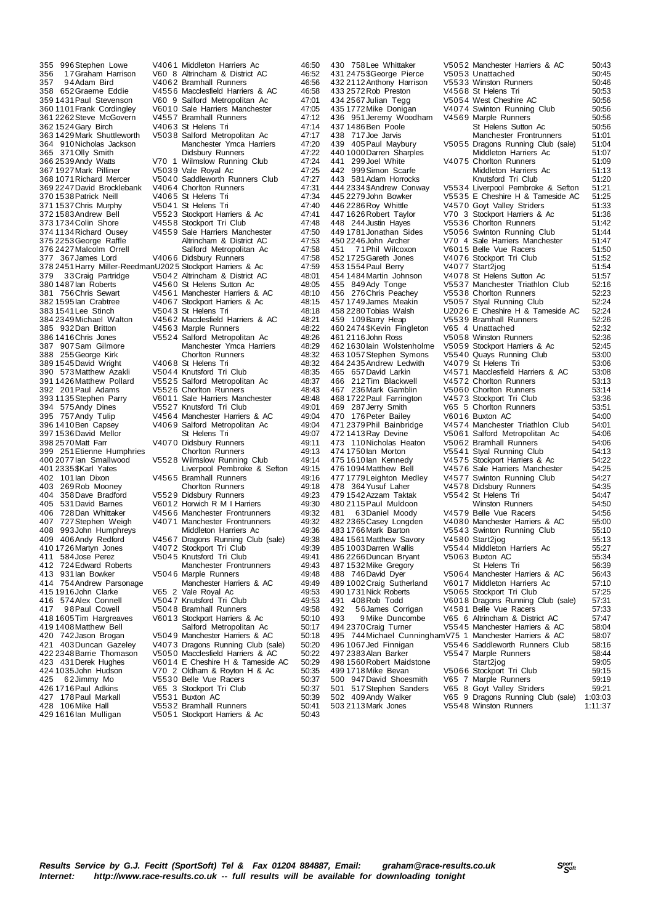385 932Dan Britton V4563 Marple Runners<br>386.1416Chris Jones V5524 Salford Metropol 392 201 Paul Adams V5526 Chorlton Runners<br>393 1135 Stephen Parry V6011 Sale Harriers Man 428 106 Mike Hall V5532 Bramhall Runners 50:41<br>429 1616 Jan V5532 Bramhall Runners 50:41<br>429 1616 Jan Mulligan V5051 Stockport Harriers & Ac 50:43

355 996 Stephen Lowe V4061 Middleton Harriers Ac 46:50<br>356 17 Graham Harrison V60 8 Altrincham & District AC 46:52 356 1 7Graham Harrison V60 8 Altrincham & District AC 46:52 357 9 4 Adam Bird V406 2 Bramhall Runners 46:56<br>358 652 Graeme Eddie V4556 Macclesfield Harriers & AC 46:58 358 652Graeme Eddie V455 6 Macclesfield Harriers & AC 46:58 359 1431 Paul Stevenson V60 9 Salford Metropolitan Ac 47:01101 Frank Cordinaley V60 10 Sale Harriers Manchester 360 1101 Frank Cordingley V6010 Sale Harriers Manchester 47:05<br>361 2262 Steve McGovern V4557 Bramhall Runners 47:12 361 2262 Steve McGovern V455 7 Bramhall Runners (1992)<br>361 2262 Steve McGovern V455 7 Bramhall Runners (47:12<br>362 1524 Gary Birch V4063 St Helens Tri (47:14 362 1524 Gary Birch V406 3 St Helens Trimes<br>362 1524 Gary Birch V406 3 St Helens Tri 47:14<br>363 1429 Mark Shuttleworth V5038 Salford Metropolitan Ac 47:17 V5038 Salford Metropolitan Ac 47:17<br>Manchester Ymca Harriers 47:20 364 910Nicholas Jackson Manchester Ymca Harriers 47:20 365 371 Olly Smith Didsbury Runners 47:22<br>366 2539 Andy Watts V70 1 Wilmslow Running Club 47:24<br>367 1927 Mark Pilliner V5039 Vale Royal Ac 47:25 V70 1 Wilmslow Running Club 47:24<br>V5039 Vale Roval Ac 47:25 367 1927 Mark Pilliner (1983) Vale Royal Ac 1997 Mark Pilliner (1983) Vale Royal Ac 47:25<br>368 1071 Richard Mercer (1960 40 Saddleworth Runners Club 47:27 V5040 Saddleworth Runners Club 47:27<br>V4064 Chorlton Runners 47:31 369 2247David Brocklebank V406 4 Chorlton Runners 47:31 370 1538Patrick Neill V406 5 St Helens Tri 47:34 371 1537 Chris Murphy V5041 St Helens Tri 47:40<br>372 1583 Andrew Bell V5523 Stockport Harriers & Ac 47:41 372 1583Andrew Bell V552 3 Stockport Harriers & Ac 47:41 373 1734 Colin Shore V455 8 Stockport Tri Club 47:48<br>373 1734 Colin Shore V455 8 Stockport Tri Club 47:48<br>47:50 47:50 Sale Harriers Manchester 47:50 374 1134 Richard Ousey V4559 Sale Harriers Manchester 47:50<br>375 2253 George Raffle Altrincham & District AC 47:53 Altrincham & District AC 47:53<br>Salford Metropolitan Ac 47:58 376 2427Malcolm Orrell Salford Metropolitan Ac 47:58 V4066 Didsbury Runners 47:58<br>at 1202.5 Stockport Harriers & Ac 47:59 378 2451 Harry Miller-ReedmanU2025 Stockport Harriers & Ac 47:59<br>379 33Craig Partridge V5042 Altrincham & District AC 48:01 380 1487Ian Roberts V456 0 St Helens Sutton Ac 48:05 381 756 Chris Sewart V456 1 Manchester Harriers & AC 48:10<br>382 1595 Ian Crabtree V4067 Stockport Harriers & Ac 48:15 382 1595Ian Crabtree V406 7 Stockport Harriers & Ac 48:15 383 1541 Lee Stinch V5043 St Helens Tri 48:18<br>384 2349 Michael Walton V4562 Macclesfield Harriers & AC 48:21 384 2349Michael Walton V456 2 Macclesfield Harriers & AC 48:21 386 1416Chris Jones V552 4 Salford Metropolitan Ac 48:26 387 907Sam Gilmore Manchester Ymca Harriers 48:29 388 Chorlton Runners<br>28:32 V4068 St Helens Tri 48:32 389 1545 David Wright V4068 St Helens Tri 48:32<br>390 573 Matthew Azakli V5044 Knutsford Tri Club 48:35 390 573 Matthew Azakli V5044 Knutsford Tri Club 48:35<br>391 1426 Matthew Pollard V5525 Salford Metropolitan Ac 48:37 391 1426 Matthew Pollard V5525 Salford Metropolitan Ac 48:37<br>392 201 Paul Adams V5526 Choriton Runners 48:43 393 1135Stephen Parry V601 1 Sale Harriers Manchester 48:48 394 575Andy Dines V5527 Knutsford Tri Club 49:01<br>395 757Andy Tulip V4564 Manchester Harriers & AC 49:04 395 757 Andy Tulip V4564 Manchester Harriers & AC 49:04<br>396 1410 Ben Capsey V4069 Salford Metropolitan Ac 49:04 V4069 Salford Metropolitan Ac 49:04<br>39:07 St Helens Tri 49:07 397 1536 David Mellor St Helens Tri 49:07<br>398 2570 Matt Farr (1990) 1407 0 Didsbury Runners 49:11 V4070 Didsbury Runners 49:11<br>Chorlton Runners 49:13 399 251Etienne Humphries Chorlton Runners 49:13 400 2077 Ian Smallwood V5528 Wilmslow Running Club 49:14<br>401 2335 \$Karl Yates Liverpool Pembroke & Sefton 49:15 401 2335 \$Karl Yates Liverpool Pembroke & Sefton 49:15<br>401 2335 \$Karl Yates Liverpool Pembroke & Sefton 49:15 402 101 km Channel Channel V4565 Bramhall Runners 49:16<br>403 269 Rob Mooney Choriton Runners 49:18 403 269Rob Mooney Chorlton Runners 49:18 404 358Dave Bradford V552 9 Didsbury Runners 49:23 405 531 David Barnes V6012 Horwich R M I Harriers 49:30<br>406 728 Dan Whittaker V4566 Manchester Frontrunners 49:32 406 728Dan Whittaker V456 6 Manchester Frontrunners 49:32 407 727Stephen Weigh V407 1 Manchester Frontrunners 49:32 408 993John Humphreys Middleton Harriers Ac 49:36 409 406 Andy Redford V4567 Dragons Running Club (sale) 49:38<br>410 1726 Martyn Jones V4072 Stockport Tri Club 49:39 410 1726 Martyn Jones V4072 Stockport Tri Club 49:39<br>411 584 Jose Perez V5045 Knutsford Tri Club 49:41 411 584 Jose Perez V5045 Knutsford Tri Club 49:41<br>412 724 Edward Roberts Manchester Frontrunners 49:43 412 724 Edward Roberts Manchester Frontrunners 49:43<br>413 931 Jan Bowker V5046 Marrile Runners 49:48 413 931 Ian Bowker V504 6 Marple Runners<br>49:48 414 754 Andrew Parsonage Manchester Harriers & AC 49:49 414 754Andrew Parsonage Manchester Harriers & AC 49:49<br>415 1916 John Clarke V65 2 Vale Royal Ac 49:53 415 1916 John Clarke V65 2 Vale Royal Ac 49:53<br>416 574 Alex Connell V5047 Knutsford Tri Club 49:53 416 574Alex Connell V5047 Knutsford Tri Club 49:53<br>417 98 Paul Cowell V5048 Bramhall Runners 49:58 417 98 Paul Cowell V5048 Bramhall Runners 49:58<br>418 1605 Tim Hargreaves V6013 Stockport Harriers & Ac 50:10 418 1605 Tim Hargreaves V6013 Stockport Harriers & Ac 50:10<br>419 1408 Matthew Bell Salford Metropolitan Ac 50:17 419 1408 Matthew Bell Salford Metropolitan Ac 50:17<br>420 742 Jason Brogan V5049 Manchester Harriers & AC 50:18 420 742Jason Brogan V504 9 Manchester Harriers & AC 50:18 421 403Duncan Gazeley V4073 Dragons Running Club (sale) 50:20<br>422 2348 Barrie Thomason V5050 Macclesfield Harriers & AC 50:22 422 2348 Barrie Thomason V5050 Macclesfield Harriers & AC 50:22<br>423 431 Derek Hughes V6014 E Cheshire H & Tameside AC 50:22 423 431 Derek Hughes V6014 E Cheshire H & Tameside AC 50:29<br>424 1035 John Hudson V70 2 Oldham & Royton H & Ac 50:35 424 1035John Hudson V70 2 Oldham & Royton H & Ac 50:35 425 6 2Jimmy Mo  $V5530$  Belle Vue Racers 50:37<br>426 1716 Paul Adkins V65 3 Stockport Tri Club V65 3 Stockport Tri Club<br>V5531 Buxton AC 427 178 Paul Markall V5531 Buxton AC 50:39<br>428 106 Mike Hall V5532 Bramhall Runners 50:39 V5051 Stockport Harriers & Ac

467 236 Mark Gamblin V5060 Chorlton Runners<br>468 1722 Paul Farrington V4573 Stockhort Tri Club

430 758 Lee Whittaker  $V5052$  Manchester Harriers & AC 50:43<br>431 2475 SGeorge Pierce V5053 Unattached 50:45 431 2475 \$George Pierce V5053 Unattached 50:45<br>432 2112 Anthony Harrison V5533 Winston Runners 50:46 432 2112Anthony Harrison V553 3 Winston Runners 50:46 433 2572Rob Preston V456 8 St Helens Tri 50:53 434 2567 Julian Tegg V5054 West Cheshire AC 50:56<br>435 1772 Mike Donigan V4074 Swinton Running Club 50:56 44074 Swinton Running Club 50:56<br>V4569 Marple Runners 50:56 436 951 Jeremy Woodham V4569 Marple Runners Case 2016<br>437 1486 Ben Poole St Helens Sutton Ac 50:56 437 1486 Ben Poole St Helens Sutton Ac 50:56<br>438 717 Joe Jarvis Manchester Frontrunners 51:01 438 717Joe Jarvis Manchester Frontrunners 51:01 459 V5055 Dragons Running Club (sale) 51:04<br>Middleton Harriers Ac 51:07 440 1000 Darren Sharples Middleton Harriers Ac 51:07<br>441 299 Joel White V4075 Chortton Runners 51:09 441 299Joel White V4075 Chorlton Runners 51:09<br>442 999Simon Scarfe Middleton Harriers Ac 51:13 Middleton Harriers Ac 51:13<br>Knutsford Tri Club 51:20 443 581 Adam Horrocks Knutsford Tri Club 51:20<br>444 2334 \$Andrew Conway V5534 Liverpool Pembroke & Sefton 51:21 444 2334\$Andrew Conway V553 4 Liverpool Pembroke & Sefton 51:21 445 2279John Bowker V553 5 E Cheshire H & Tameside AC 51:25 446 2286 Roy Whittle V4570 Goyt Valley Striders 51:33<br>447 1626 Robert Taylor V70 3 Stockport Harriers & Ac 51:36 447 1626Robert Taylor V70 3 Stockport Harriers & Ac 51:36 448 244Justin Hayes V553 6 Chorlton Runners 51:42 449 1781 Jonathan Sides V5056 Swinton Running Club 51:44<br>450 2246 John Archer V70 4 Sale Harriers Manchester 51:47 450 2246John Archer V70 4 Sale Harriers Manchester 51:47 451 71 Phil Wilcoxon V601 5 Belle Vue Racers 51:50<br>452 1725 Gareth Jones V4076 Stockport Tri Club 51:52 452 1725 Gareth Jones V4076 Stockport Tri Club 51:52<br>453 1554 Paul Berry V4077 Start2jog 51:54<br>454 1484 Martin Johnson V4078 St Helens Sutton Ac 51:57 453 1554Paul Berry V407 7 Start2jog 51:54 454 1484Martin Johnson V407 8 St Helens Sutton Ac 51:57 455 849 Ady Tonge V5537 Manchester Triathlon Club 52:16<br>456 276 Chris Peachey V5538 Chorlton Runners 52:23 456 276 Chris Peachey 195538 Chorlton Runners 1952.23<br>457 1749 James Meakin 1956 7 Styal Running Club 52:23 457 1749James Meakin V505 7 Styal Running Club 52:24 458 2280Tobias Walsh U202 6 E Cheshire H & Tameside AC 52:24 45539 Bramhall Runners 52:26<br>V65 4 Unattached 52:32 460 2474\$Kevin Fingleton V65 4 Unattached 52:32 461 2116 John Ross V5058 Winston Runners 52:36<br>462 1630 Jain Wolstenholme V5059 Stockport Harriers & Ac 52:45 462 1630 lain Wolstenholme V5059 Stockport Harriers & Ac 52:45<br>463 1057 Stephen Symons V5540 Quays Running Club 53:00 463 1057Stephen Symons V554 0 Quays Running Club 53:00 464 2435 Andrew Ledwith V4079 St Helens Tri 53:06<br>465 657 David Larkin V4571 Macclesfield Harriers & AC 53:08 465 657David Larkin V457 1 Macclesfield Harriers & AC 53:08 V4572 Chorlton Runners 53:13<br>V5060 Chorlton Runners 53:14 468 1722Paul Farrington V457 3 Stockport Tri Club 53:36 469 2886, 2016 2886, 2016<br>1965 5 Chorlton Runners 53:51<br>1960 16 Buxton AC 54:00 470 176 Peter Bailey V6016 Buxton AC 54:00<br>471 2379 Phil Bainbridge V4574 Manchester Triathlon Club 54:00 471 2379 Phil Bainbridge V4574 Manchester Triathlon Club 54:01<br>472 1413 Ray Devine V5061 Salford Metropolitan Ac 54:06 472 1413 Ray Devine  $\frac{1}{2}$  V5061 Salford Metropolitan Ac 54:06<br>473 110 Nicholas Heaton V5062 Bramball Runners 54:06 473 110Nicholas Heaton V506 2 Bramhall Runners 54:06 474 1750Ian Morton V554 1 Styal Running Club 54:13 475 1610 lan Kennedy V4575 Stockport Harriers & Ac 54:22<br>476 1094 Matthew Bell V4576 Sale Harriers Manchester 54:25 476 1094 Matthew Bell 1957 6 Sale Harriers Manchester 54:25<br>477 4779 Leighton Medley 19577 Swinton Running Club 477 1779 Leighton Medley V4577 Swinton Running Club 54:27<br>478 364 Yusuf Laher V4578 Didsbury Runners 54:35 V4578 Didsbury Runners<br>V4578 Didsbury Runners 54:35<br>V5542 St Helens Tri 54:47 479 1542 Azzam Taktak V554 2 St Helens Tri 54:47<br>480 2115 Paul Muldoon Minston Runners 54:50 480 2115Paul Muldoon Winston Runners 54:50 481 6 3 Daniel Moody V4579 Belle Vue Racers 54:56 54:56<br>482 2365 Casev Lonaden V4080 Manchester Harriers & AC 55:00 482 2365 Casey Longden V4080 Manchester Harriers & AC 55:00<br>483 1766 Mark Barton V5543 Swinton Running Club 55:10 483 1766 Mark Barton V5543 Swinton Running Club 55:10<br>484 1561 Matthew Savory V4580 Start2jog 55:13 484 1561Matthew Savory V458 0 Start2jog 55:13 485 1003Darren Wallis V554 4 Middleton Harriers Ac 55:27 486 2266 Duncan Bryant V5063 Buxton AC 55:34<br>487 1532 Mike Gregory St Helens Tri 56:39 187 1532 Mike Gregory St Helens Tri 56:39<br>188 746 David Diver St St Manchester Harriers & AC 56:43 488 11660 11660 11660 11660 11660 11660 11660 11660 11660 11660 11660 11660 11660 11660 11660 11660 11660 1166<br>V6017 Middleton Harriers Ac 57:10 489 1002 Craig Sutherland V6017 Middleton Harriers Ac 57:10<br>490 1731 Nick Roberts V5065 Stockport Tri Club 57:25 490 1731 Nick Roberts V5065 Stockport Tri Club 57:25<br>491 408 Rob Todd V6018 Dragons Running Club (sale) 57:31 491 408Rob Todd V6018 Dragons Running Club (sale) 57:31<br>492 56James Corrigan V4581 Belle Vue Racers 57:33 492 56James Corrigan V4581 Belle Vue Racers (1957:33 493 9 Mike Duncombe V65 6 Altrincham & District AC 57:47 494 2370Craig Turner V554 5 Manchester Harriers & AC 58:04 494 2370 Craig Turner 1955 45 Manchester Harriers & AC 58:04<br>495 744 Michael Cunningham V75 1 Manchester Harriers & AC 58:07<br>496 1067 Jed Finnigan 1955 46 Saddleworth Runners Club 58:16 496 1067 Jed Finnigan V5546 Saddleworth Runners Club 58:16<br>497 2383 Alan Barker V5547 Marple Runners 58:44 1976 2002 2004<br>V5547 Marple Runners 58:44<br>Start2jog 59:05 498 1560Robert Maidstone Start2jog 59:05 499 1718Mike Bevan V506 6 Stockport Tri Club 59:15 500 947David Shoesmith V65 7 Marple Runners 59:19 501 517 Stephen Sanders V65 8 Goyt Valley Striders 59:21<br>502 409 Andy Walker V65 9 Dragons Running Club (sale) 1:03:03<br>503 2113 Mark Jones V5548 Winston Runners 1:11:37 502 409Andy Walker V65 9 Dragons Running Club (sale) 1:03:03 503 2113Mark Jones V554 8 Winston Runners 1:11:37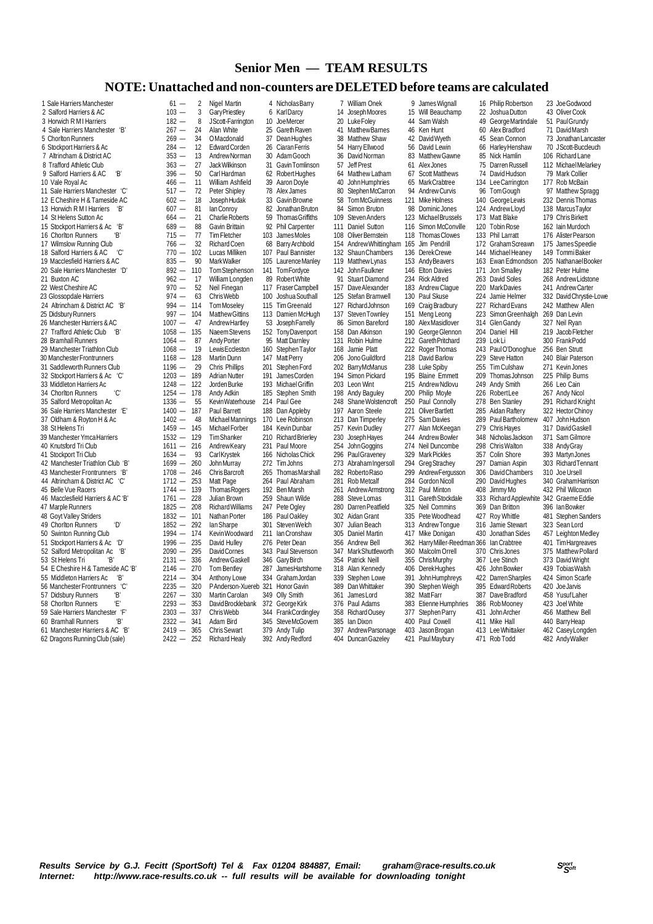## **Senior Men — TEAM RESULTS**

## **NOTE: Unattached and non-counters are DELETED before teams are calculated**

| 1 Sale Harriers Manchester        | $61 -$                           | $\overline{2}$ | Nigel Martin            |     | 4 Nicholas Barry        |            | 7 William Onek         |            | 9 James Wignall                       |     | 16 Philip Robertson                     | 23 Joe Godwood          |
|-----------------------------------|----------------------------------|----------------|-------------------------|-----|-------------------------|------------|------------------------|------------|---------------------------------------|-----|-----------------------------------------|-------------------------|
| 2 Salford Harriers & AC           | $103 -$                          | 3              | Gary Priestley          |     | 6 KarlDarcy             | 14         | Joseph Moores          |            | 15 Will Beauchamp                     | 22  | Joshua Dutton                           | 43 Oliver Cook          |
| 3 Horwich R M I Harriers          | $182 -$                          | 8              | JScott-Farrington       | 10  | JoeMercer               | 20         | Luke Foley             |            | 44 Sam Walsh                          |     | 49 George Martindale                    | 51 Paul Grundy          |
| 4 Sale Harriers Manchester 'B     | $267 -$                          | 24             | Alan White              | 25  | Gareth Raven            | 41         | <b>MatthewBarnes</b>   |            | 46 Ken Hunt                           |     | 60 Alex Bradford                        | 71 David Marsh          |
| 5 Chorlton Runners                | 269<br>$\overline{\phantom{0}}$  | 34             | OMacdonald              | 37  | DeanHughes              | 38         | <b>Matthew Shaw</b>    |            | 42 David Wyeth                        |     | 45 Sean Connon                          | 73 Jonathan Lancaster   |
| 6 Stockport Harriers & Ac         | $284 -$                          | 12             | <b>Edward Corden</b>    | 26  | Ciaran Ferris           | 54         | Harry Ellwood          |            | 56 David Lewin                        |     | 66 Harley Henshaw                       | 70 JScott-Buccleuch     |
| 7 Altrincham & District AC        | $353 -$                          | 13             | Andrew Norman           | 30  | Adam Gooch              | 36         | David Norman           | 83         | Matthew Gawne                         |     | 85 Nick Hamlin                          | 106 Richard Lane        |
| 8 Trafford Athletic Club          | $363 -$                          | 27             | Jack Wilkinson          | 31  | Gavin Tomlinson         | 57         | Jeff Prest             |            | 61 Alex Jones                         |     | 75 Darren Russell                       | 112 MichaelMelarkey     |
| Έ<br>9 Salford Harriers & AC      | 396<br>$\qquad \qquad -$         | 50             | Carl Hardman            |     | 62 Robert Hughes        | 64         | Matthew Latham         |            | 67 Scott Matthews                     |     | 74 David Hudson                         | 79 Mark Collier         |
| 10 Vale Royal Ac                  | 466<br>—                         | 11             | William Ashfield        | 39  | Aaron Doyle             | 40         | John Humphries         |            | 65 MarkCrabtree                       |     | 134 Lee Carrington                      | 177 Rob McBain          |
| 11 Sale Harriers Manchester 'C'   | $517 -$                          | 72             | Peter Shipley           |     | 78 Alex James           | 80         | Stephen McCarron       |            | 94 Andrew Curvis                      | 96  | Tom Gough                               | 97 Matthew Spragg       |
| 12 E Cheshire H & Tameside AC     | $602 -$                          | 18             | Joseph Hudak            |     | 33 Gavin Browne         | 58         | Tom McGuinness         |            | 121 Mike Holness                      |     | 140 George Lewis                        | 232 Dennis Thomas       |
| 13 Horwich R M I Harriers<br>'B'  | $607 -$                          | 81             | lan Conroy              | 82  | Jonathan Bruton         | 84         | Simon Bruton           | 98         | Dominic Jones                         |     | 124 Andrew Lloyd                        | 138 MarcusTaylor        |
| 14 St Helens Sutton Ac            | $664 -$                          | 21             | <b>Charlie Roberts</b>  | 59  | <b>Thomas Griffiths</b> | 109        | Steven Anders          | 123        | Michael Brussels                      |     | 173 Matt Blake                          | 179 Chris Birkett       |
| 15 Stockport Harriers & Ac 'B'    | 689<br>$\overline{\phantom{0}}$  | 88             | Gavin Brittain          |     | 92 Phil Carpenter       | 111        | Daniel Sutton          | 116        | Simon McConville                      | 120 | <b>Tobin Rose</b>                       | 162 Iain Murdoch        |
| 16 Chorlton Runners<br>Έ,         | $715 -$                          | 77             | Tim Fletcher            | 103 | JamesMoles              | 108        | Oliver Bernstein       |            | 118 Thomas Clowes                     | 133 | <b>Phil Larratt</b>                     | 176 Alister Pearson     |
| 17 Wilmslow Running Club          | $766 -$                          | 32             | <b>Richard Coen</b>     | 68  | Barry Archbold          | 154        | Andrew Whittingham     | 165        | Jim Pendrill                          |     | 172 Graham Screawn                      | 175 James Speedie       |
| 18 Salford Harriers & AC<br>'C'   | $770 -$                          | 102            | Lucas Milliken          | 107 | Paul Bannister          | 132        | Shaun Chambers         |            | 136 Derek Crewe                       |     | 144 Michael Heaney                      | 149 Tommi Baker         |
| 19 Macclesfield Harriers & AC     | 835<br>$\overline{\phantom{0}}$  | 90             | <b>MarkWalker</b>       | 105 | Laurence Manley         | 119        | Matthew Lynas          |            | 153 Andy Beavers                      | 163 | Ewan Edmondson                          | 205 NathanaelBooker     |
| 20 Sale Harriers Manchester 'D'   | $892 - 110$                      |                | Tom Stephenson          | 141 | TomFordyce              | 142        | <b>John Faulkner</b>   |            | 146 Elton Davies                      | 171 | Jon Smalley                             | 182 Peter Hulme         |
| 21 Buxton AC                      | $962 -$                          | 17             | William Longden         | 89  | Robert White            | 91         | <b>Stuart Diamond</b>  |            | 234 Rick Aldred                       |     | 263 David Soles                         | 268 AndrewLidstone      |
| 22 West Cheshire AC               | $970 -$                          | 52             | Neil Finegan            | 117 | Fraser Campbell         | 157        | Dave Alexander         | 183        | Andrew Claque                         | 220 | <b>MarkDavies</b>                       | 241 Andrew Carter       |
| 23 Glossopdale Harriers           | $974 -$                          | 63             | <b>ChrisWebb</b>        | 100 | Joshua Southall         | 125        | Stefan Bramwell        |            | 130 Paul Skuse                        | 224 | Jamie Helmer                            | 332 David Chrystie-Lowe |
| 24 Altrincham & District AC 'B'   | $994 -$                          | 114            | <b>Tom Moselev</b>      | 115 | Tim Greenald            | 127        | <b>Richard Johnson</b> |            | 169 Craig Bradbury                    | 227 | <b>Richard Evans</b>                    | 242 Matthew Allen       |
| 25 Didsbury Runners               | $997 -$                          | 104            | <b>Matthew Gittins</b>  | 113 | Damien McHugh           | 137        | Steven Townley         | 151        | Meng Leong                            | 223 | Simon Greenhalgh                        | 269 Dan Levin           |
| 26 Manchester Harriers & AC       | $1007 -$                         | 47             | Andrew Hartley          | 53  | Joseph Farrelly         | 86         | Simon Bareford         | 180        | AlexMasidlover                        |     | 314 GlenGandy                           | 327 Neil Ryan           |
| 27 Trafford Athletic Club<br>'В   | $1058 - 135$                     |                | Naeem Stevens           |     | 152 Tony Davenport      | 158        | Dan Atkinson           | 190        | George Glennon                        |     | 204 Daniel Hill                         | 219 Jacob Fletcher      |
| 28 Bramhall Runners               | $1064 -$                         | 87             | Andy Porter             | 95  | <b>Matt Darnley</b>     | 131        | Robin Hulme            |            | 212 Gareth Pritchard                  |     | 239 Lok Li                              | 300 FrankPodd           |
| 29 Manchester Triathlon Club      | 1068<br>$\overline{\phantom{0}}$ | 19             | Lewis Eccleston         | 160 | Stephen Taylor          | 168        | Jamie Platt            |            | 222 Roger Thomas                      | 243 |                                         | 256 Ben Strutt          |
| 30 Manchester Frontrunners        | 1168                             | $-128$         | <b>Martin Dunn</b>      | 147 | <b>MattPerry</b>        | 206        | Jono Guildford         | 218        | David Barlow                          | 229 | Paul O'Donoghue<br>Steve Hatton         | 240 Blair Paterson      |
| 31 Saddleworth Runners Club       | 1196<br>$\overline{\phantom{0}}$ | 29             | <b>Chris Phillips</b>   | 201 | Stephen Ford            | 202        | <b>BarryMcManus</b>    | 238        | Luke Spiby                            | 255 | <b>Tim Culshaw</b>                      | 271 Kevin Jones         |
|                                   | $1203 - 189$                     |                | <b>Adrian Nutter</b>    | 191 | James Corden            | 194        | Simon Pickard          | 195        | <b>Blaine Emmett</b>                  | 209 | <b>Thomas Johnson</b>                   | 225 Philip Burns        |
| 32 Stockport Harriers & Ac 'C'    |                                  |                | Jorden Burke            | 193 |                         | 203        |                        |            | 215 Andrew Ndlovu                     |     |                                         |                         |
| 33 Middleton Harriers Ac<br>'C'   | $1248 - 122$                     |                |                         | 185 | Michael Griffin         |            | Leon Wint              |            |                                       |     | 249 Andy Smith                          | 266 Leo Cain            |
| 34 Chorlton Runners               | $1254 - 178$                     |                | Andy Adkin              |     | Stephen Smith           |            | 198 Andy Baguley       |            | 200 Philip Moyle                      |     | 226 RobertLee                           | 267 Andy Nicol          |
| 35 Salford Metropolitan Ac        | 1336<br>$\overline{\phantom{0}}$ | 55             | Kevin Waterhouse        |     | 214 Paul Gee            | 248<br>197 | Shane Wolstencroft     | 250<br>221 | Paul Connolly                         | 285 | 278 Ben Stanley                         | 291 Richard Knight      |
| 36 Sale Harriers Manchester 'E'   | $1400 -$                         | 187            | Paul Barrett            | 188 | Dan Appleby             |            | Aaron Steele           |            | Oliver Bartlett                       |     | Aidan Raftery                           | 322 Hector Chinov       |
| 37 Oldham & Royton H & Ac         | $1402 -$                         | 48             | Michael Mannings        |     | 170 Lee Robinson        |            | 213 Dan Timperley      |            | 275 Sam Davies                        | 289 | Paul Bartholomew                        | 407 John Hudson         |
| 38 St Helens Tri                  | $1459 - 145$                     |                | Michael Forber          |     | 184 Kevin Dunbar        | 257        | Kevin Dudley           | 277        | Alan McKeegan                         | 279 | Chris Hayes                             | 317 David Gaskell       |
| 39 Manchester Ymca Harriers       | $1532 - 129$                     |                | <b>TimShanker</b>       |     | 210 Richard Brierley    | 230        | Joseph Hayes           | 244        | Andrew Bowler                         |     | 348 Nicholas Jackson                    | 371 Sam Gilmore         |
| 40 Knutsford Tri Club             | $1611 - 216$                     |                | AndrewKeary             |     | 231 Paul Moore          | 254        | John Goggins           |            | 274 Neil Duncombe                     |     | 298 Chris Walton                        | 338 Andy Gray           |
| 41 Stockport Tri Club             | $1634 -$                         | 93             | CarlKrystek             | 166 | Nicholas Chick          | 296        | <b>Paul Graveney</b>   | 329        | Mark Pickles                          | 357 | Colin Shore                             | 393 Martyn Jones        |
| 42 Manchester Triathlon Club 'B'  | $1699 - 260$                     |                | John Murray             | 272 | Tim Johns               | 273        | AbrahamIngersoll       | 294        | Greg Strachey                         |     | 297 Damian Aspin                        | 303 Richard Tennant     |
| 43 Manchester Frontrunners 'B'    | $1708 - 246$                     |                | Chris Barcroft          | 265 | <b>ThomasMarshall</b>   | 282        | Roberto Raso           | 299        | AndrewFergusson                       |     | 306 David Chambers                      | 310 Joe Ursell          |
| 44 Altrincham & District AC 'C'   | $1712 - 253$                     |                | Matt Page               | 264 | Paul Abraham            | 281        | Rob Metcalf            | 284        | Gordon Nicoll                         | 290 | David Hughes                            | 340 Graham Harrison     |
| 45 Belle Vue Racers               | 1744<br>$\qquad \qquad -$        | 139            | <b>Thomas Rogers</b>    |     | 192 Ben Marsh           | 261        | Andrew Armstrong       |            | 312 Paul Minton                       |     | 408 Jimmy Mo                            | 432 Phil Wilcoxon       |
| 46 Macclesfield Harriers & AC 'B' | $1761 -$                         | 228            | Julian Brown            | 259 | Shaun Wilde             | 288        | Steve Lomas            | 311        | Gareth Stockdale                      |     | 333 Richard Applewhite 342 Graeme Eddie |                         |
| 47 Marple Runners                 | $1825 - 208$                     |                | <b>Richard Williams</b> |     | 247 Pete Ogley          | 280        | Darren Peatfield       | 325        | Neil Commins                          | 369 | Dan Britton                             | 396 Ian Bowker          |
| 48 Goyt Valley Striders           | $1832 - 101$                     |                | Nathan Porter           | 186 | Paul Oakley             |            | 302 Aidan Grant        |            | 335 Pete Woodhead                     | 427 | <b>Roy Whittle</b>                      | 481 Stephen Sanders     |
| 'D'<br>49 Chorlton Runners        | $1852 - 292$                     |                | lan Sharpe              | 301 | Steven Welch            | 307        | Julian Beach           |            | 313 Andrew Tonque                     |     | 316 Jamie Stewart                       | 323 Sean Lord           |
| 50 Swinton Running Club           | $1994 - 174$                     |                | Kevin Woodward          |     | 211 Ian Cronshaw        | 305        | <b>Daniel Martin</b>   |            | 417 Mike Donigan                      | 430 | Jonathan Sides                          | 457 Leighton Medley     |
| 51 Stockport Harriers & Ac 'D'    | 1996<br>$\overline{\phantom{0}}$ | 235            | David Hulley            | 276 | Peter Dean              | 356        | Andrew Bell            | 362        | Harry Miller-Reedman 366 Ian Crabtree |     |                                         | 401 Tim Hargreaves      |
| 52 Salford Metropolitan Ac<br>ʻB' | $2090 -$                         | 295            | David Cornes            | 343 | Paul Stevenson          | 347        | Mark Shuttleworth      | 360        | Malcolm Orrell                        |     | 370 Chris Jones                         | 375 Matthew Pollard     |
| 53 St Helens Tri<br>'B'           | $2131 -$                         | 336            | Andrew Gaskell          | 346 | <b>Gary Birch</b>       | 354        | Patrick Neill          | 355        | <b>ChrisMurphy</b>                    |     | 367 Lee Stinch                          | 373 David Wright        |
| 54 E Cheshire H & Tameside AC 'B' | 2146                             | $-270$         | <b>Tom Bentley</b>      | 287 | JamesHartshorne         |            | 318 Alan Kennedy       | 406        | <b>DerekHughes</b>                    | 426 | John Bowker                             | 439 Tobias Walsh        |
| 55 Middleton Harriers Ac<br>'В'   | $2214 -$                         | 304            | Anthony Lowe            | 334 | GrahamJordan            | 339        | Stephen Lowe           | 391        | John Humphreys                        |     | 422 Darren Sharples                     | 424 Simon Scarfe        |
| 56 Manchester Frontrunners 'C'    | $2235 -$                         | 320            | PAnderson-Xuereb 321    |     | <b>Honor Gavin</b>      | 389        | Dan Whittaker          | 390        | Stephen Weigh                         | 395 | <b>Edward Roberts</b>                   | 420 Joe Jarvis          |
| 'B'<br>57 Didsbury Runners        | $2267 -$                         | 330            | <b>Martin Carolan</b>   |     | 349 Olly Smith          | 361        | JamesLord              | 382        | <b>MattFarr</b>                       | 387 | Dave Bradford                           | 458 Yusuf Laher         |
| Έ<br>58 Chorlton Runners          | $2293 -$                         | 353            | David Brocklebank       | 372 | George Kirk             | 376        | Paul Adams             | 383        | Etienne Humphries                     | 386 | RobMooney                               | 423 Joel White          |
| 59 Sale Harriers Manchester 'F'   | $2303 -$                         | 337            | <b>ChrisWebb</b>        | 344 | FrankCordingley         | 358        | Richard Ousey          | 377        | Stephen Parry                         | 431 | John Archer                             | 456 Matthew Bell        |
| 60 Bramhall Runners<br>Έ,         | 2322<br>$\overline{\phantom{0}}$ | 341            | Adam Bird               | 345 | SteveMcGovern           | 385        | lan Dixon              | 400        | Paul Cowell                           |     | 411 Mike Hall                           | 440 Barry Heap          |
| 61 Manchester Harriers & AC 'B    | $2419 - 365$                     |                | <b>Chris Sewart</b>     |     | 379 Andy Tulip          |            | 397 Andrew Parsonage   |            | 403 Jason Brogan                      |     | 413 Lee Whittaker                       | 462 Casey Longden       |
| 62 Dragons Running Club (sale)    | $2422 - 252$                     |                | <b>Richard Healy</b>    |     | 392 Andy Redford        |            | 404 Duncan Gazeley     |            | 421 PaulMaybury                       |     | 471 Rob Todd                            | 482 Andy Walker         |